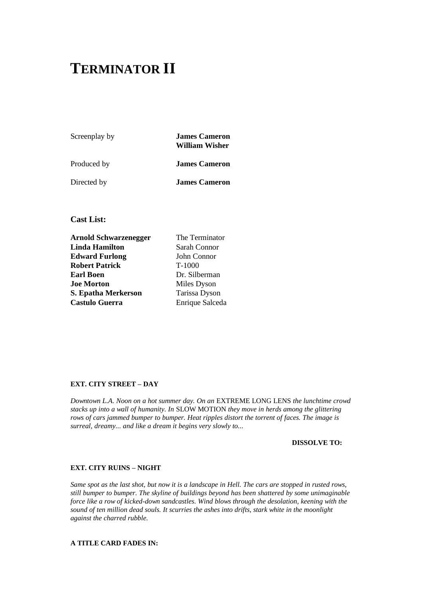# **TERMINATOR II**

Screenplay by **James Cameron William Wisher**

Produced by **James Cameron**

Directed by **James Cameron**

**Cast List:** 

| <b>Arnold Schwarzenegger</b> |
|------------------------------|
| Linda Hamilton               |
| <b>Edward Furlong</b>        |
| <b>Robert Patrick</b>        |
| Earl Boen                    |
| <b>Joe Morton</b>            |
| S. Epatha Merkerson          |
| <b>Castulo Guerra</b>        |
|                              |

**The Terminator Sarah Connor John Connor Robert Patrick** T-1000 Dr. Silberman **Miles Dyson Tarissa Dyson Enrique Salceda** 

# **EXT. CITY STREET – DAY**

*Downtown L.A. Noon on a hot summer day. On an* EXTREME LONG LENS *the lunchtime crowd stacks up into a wall of humanity. In* SLOW MOTION *they move in herds among the glittering rows of cars jammed bumper to bumper. Heat ripples distort the torrent of faces. The image is surreal, dreamy... and like a dream it begins very slowly to...*

**DISSOLVE TO:**

# **EXT. CITY RUINS – NIGHT**

*Same spot as the last shot, but now it is a landscape in Hell. The cars are stopped in rusted rows, still bumper to bumper. The skyline of buildings beyond has been shattered by some unimaginable force like a row of kicked-down sandcastles. Wind blows through the desolation, keening with the sound of ten million dead souls. It scurries the ashes into drifts, stark white in the moonlight against the charred rubble.*

**A TITLE CARD FADES IN:**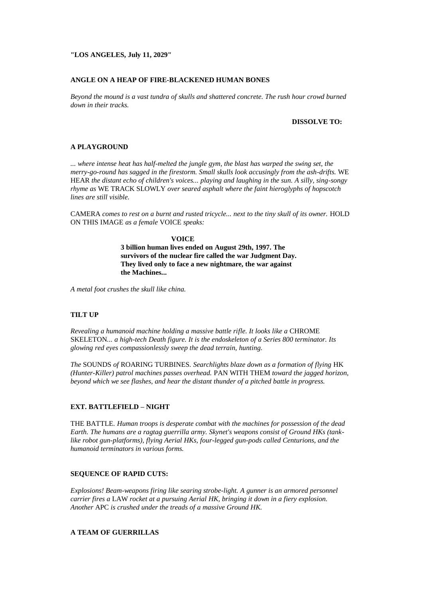### **"LOS ANGELES, July 11, 2029"**

# **ANGLE ON A HEAP OF FIRE-BLACKENED HUMAN BONES**

*Beyond the mound is a vast tundra of skulls and shattered concrete. The rush hour crowd burned down in their tracks.*

# **DISSOLVE TO:**

# **A PLAYGROUND**

*... where intense heat has half-melted the jungle gym, the blast has warped the swing set, the merry-go-round has sagged in the firestorm. Small skulls look accusingly from the ash-drifts.* WE HEAR *the distant echo of children's voices... playing and laughing in the sun. A silly, sing-songy rhyme as* WE TRACK SLOWLY *over seared asphalt where the faint hieroglyphs of hopscotch lines are still visible.*

CAMERA *comes to rest on a burnt and rusted tricycle... next to the tiny skull of its owner.* HOLD ON THIS IMAGE *as a female* VOICE *speaks:*

**VOICE**

**3 billion human lives ended on August 29th, 1997. The survivors of the nuclear fire called the war Judgment Day. They lived only to face a new nightmare, the war against the Machines...**

*A metal foot crushes the skull like china.*

# **TILT UP**

*Revealing a humanoid machine holding a massive battle rifle. It looks like a* CHROME SKELETON*... a high-tech Death figure. It is the endoskeleton of a Series 800 terminator. Its glowing red eyes compassionlessly sweep the dead terrain, hunting.*

*The* SOUNDS *of* ROARING TURBINES*. Searchlights blaze down as a formation of flying* HK *(Hunter-Killer) patrol machines passes overhead.* PAN WITH THEM *toward the jagged horizon, beyond which we see flashes, and hear the distant thunder of a pitched battle in progress.*

### **EXT. BATTLEFIELD – NIGHT**

THE BATTLE*. Human troops is desperate combat with the machines for possession of the dead Earth. The humans are a ragtag guerrilla army. Skynet's weapons consist of Ground HKs (tanklike robot gun-platforms), flying Aerial HKs, four-legged gun-pods called Centurions, and the humanoid terminators in various forms.*

# **SEQUENCE OF RAPID CUTS:**

*Explosions! Beam-weapons firing like searing strobe-light. A gunner is an armored personnel carrier fires a* LAW *rocket at a pursuing Aerial HK, bringing it down in a fiery explosion. Another* APC *is crushed under the treads of a massive Ground HK.*

# **A TEAM OF GUERRILLAS**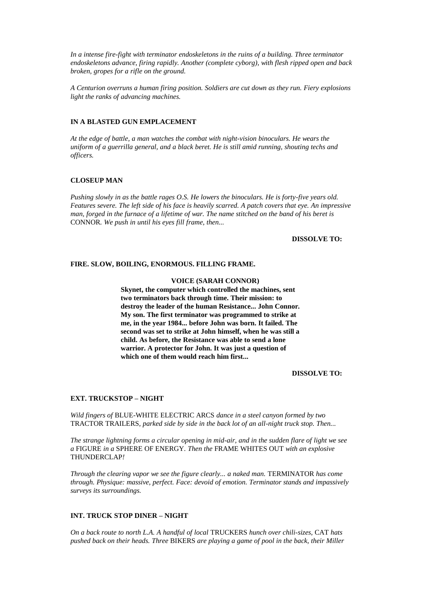*In a intense fire-fight with terminator endoskeletons in the ruins of a building. Three terminator endoskeletons advance, firing rapidly. Another (complete cyborg), with flesh ripped open and back broken, gropes for a rifle on the ground.*

*A Centurion overruns a human firing position. Soldiers are cut down as they run. Fiery explosions light the ranks of advancing machines.*

# **IN A BLASTED GUN EMPLACEMENT**

*At the edge of battle, a man watches the combat with night-vision binoculars. He wears the uniform of a guerrilla general, and a black beret. He is still amid running, shouting techs and officers.*

### **CLOSEUP MAN**

*Pushing slowly in as the battle rages O.S. He lowers the binoculars. He is forty-five years old. Features severe. The left side of his face is heavily scarred. A patch covers that eye. An impressive man, forged in the furnace of a lifetime of war. The name stitched on the band of his beret is*  CONNOR*. We push in until his eyes fill frame, then...*

# **DISSOLVE TO:**

### **FIRE. SLOW, BOILING, ENORMOUS. FILLING FRAME.**

### **VOICE (SARAH CONNOR)**

**Skynet, the computer which controlled the machines, sent two terminators back through time. Their mission: to destroy the leader of the human Resistance... John Connor. My son. The first terminator was programmed to strike at me, in the year 1984... before John was born. It failed. The second was set to strike at John himself, when he was still a child. As before, the Resistance was able to send a lone warrior. A protector for John. It was just a question of which one of them would reach him first...**

### **DISSOLVE TO:**

#### **EXT. TRUCKSTOP – NIGHT**

*Wild fingers of* BLUE-WHITE ELECTRIC ARCS *dance in a steel canyon formed by two*  TRACTOR TRAILERS*, parked side by side in the back lot of an all-night truck stop. Then...*

*The strange lightning forms a circular opening in mid-air, and in the sudden flare of light we see a* FIGURE *in a* SPHERE OF ENERGY*. Then the* FRAME WHITES OUT *with an explosive*  THUNDERCLAP*!*

*Through the clearing vapor we see the figure clearly... a naked man.* **TERMINATOR** has come *through. Physique: massive, perfect. Face: devoid of emotion. Terminator stands and impassively surveys its surroundings.*

# **INT. TRUCK STOP DINER – NIGHT**

*On a back route to north L.A. A handful of local* TRUCKERS *hunch over chili-sizes,* CAT *hats pushed back on their heads. Three* BIKERS *are playing a game of pool in the back, their Miller*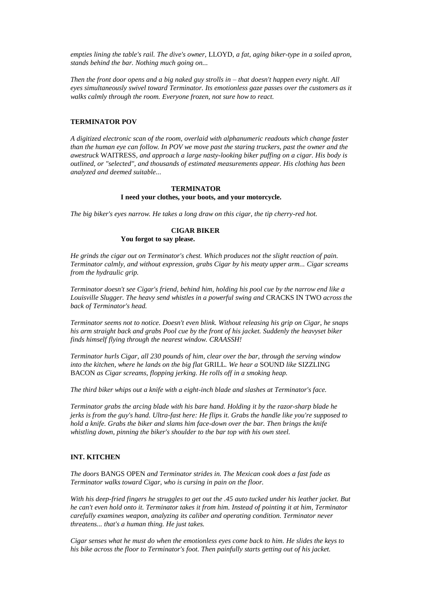*empties lining the table's rail. The dive's owner,* LLOYD*, a fat, aging biker-type in a soiled apron, stands behind the bar. Nothing much going on...*

*Then the front door opens and a big naked guy strolls in – that doesn't happen every night. All eyes simultaneously swivel toward Terminator. Its emotionless gaze passes over the customers as it walks calmly through the room. Everyone frozen, not sure how to react.*

# **TERMINATOR POV**

*A digitized electronic scan of the room, overlaid with alphanumeric readouts which change faster than the human eye can follow. In POV we move past the staring truckers, past the owner and the awestruck* WAITRESS*, and approach a large nasty-looking biker puffing on a cigar. His body is outlined, or "selected", and thousands of estimated measurements appear. His clothing has been analyzed and deemed suitable...*

# **TERMINATOR I need your clothes, your boots, and your motorcycle.**

*The big biker's eyes narrow. He takes a long draw on this cigar, the tip cherry-red hot.*

# **CIGAR BIKER**

# **You forgot to say please.**

*He grinds the cigar out on Terminator's chest. Which produces not the slight reaction of pain. Terminator calmly, and without expression, grabs Cigar by his meaty upper arm... Cigar screams from the hydraulic grip.*

*Terminator doesn't see Cigar's friend, behind him, holding his pool cue by the narrow end like a Louisville Slugger. The heavy send whistles in a powerful swing and* CRACKS IN TWO *across the back of Terminator's head.*

*Terminator seems not to notice. Doesn't even blink. Without releasing his grip on Cigar, he snaps his arm straight back and grabs Pool cue by the front of his jacket. Suddenly the heavyset biker finds himself flying through the nearest window. CRAASSH!*

*Terminator hurls Cigar, all 230 pounds of him, clear over the bar, through the serving window into the kitchen, where he lands on the big flat* GRILL*. We hear a* SOUND *like* SIZZLING BACON *as Cigar screams, flopping jerking. He rolls off in a smoking heap.*

*The third biker whips out a knife with a eight-inch blade and slashes at Terminator's face.*

*Terminator grabs the arcing blade with his bare hand. Holding it by the razor-sharp blade he jerks is from the guy's hand. Ultra-fast here: He flips it. Grabs the handle like you're supposed to hold a knife. Grabs the biker and slams him face-down over the bar. Then brings the knife whistling down, pinning the biker's shoulder to the bar top with his own steel.*

### **INT. KITCHEN**

*The doors* BANGS OPEN *and Terminator strides in. The Mexican cook does a fast fade as Terminator walks toward Cigar, who is cursing in pain on the floor.*

*With his deep-fried fingers he struggles to get out the .45 auto tucked under his leather jacket. But he can't even hold onto it. Terminator takes it from him. Instead of pointing it at him, Terminator carefully examines weapon, analyzing its caliber and operating condition. Terminator never threatens... that's a human thing. He just takes.*

*Cigar senses what he must do when the emotionless eyes come back to him. He slides the keys to his bike across the floor to Terminator's foot. Then painfully starts getting out of his jacket.*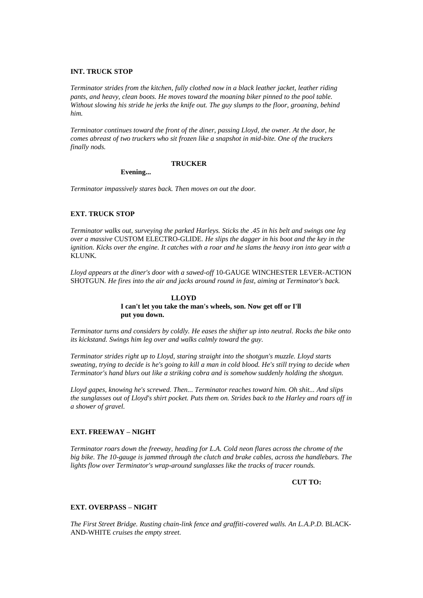# **INT. TRUCK STOP**

*Terminator strides from the kitchen, fully clothed now in a black leather jacket, leather riding pants, and heavy, clean boots. He moves toward the moaning biker pinned to the pool table. Without slowing his stride he jerks the knife out. The guy slumps to the floor, groaning, behind him.*

*Terminator continues toward the front of the diner, passing Lloyd, the owner. At the door, he comes abreast of two truckers who sit frozen like a snapshot in mid-bite. One of the truckers finally nods.*

### **TRUCKER**

**Evening...**

*Terminator impassively stares back. Then moves on out the door.*

# **EXT. TRUCK STOP**

*Terminator walks out, surveying the parked Harleys. Sticks the .45 in his belt and swings one leg over a massive* CUSTOM ELECTRO-GLIDE*. He slips the dagger in his boot and the key in the ignition. Kicks over the engine. It catches with a roar and he slams the heavy iron into gear with a*  KLUNK*.*

*Lloyd appears at the diner's door with a sawed-off* 10-GAUGE WINCHESTER LEVER-ACTION SHOTGUN*. He fires into the air and jacks around round in fast, aiming at Terminator's back.*

> **LLOYD I can't let you take the man's wheels, son. Now get off or I'll put you down.**

*Terminator turns and considers by coldly. He eases the shifter up into neutral. Rocks the bike onto its kickstand. Swings him leg over and walks calmly toward the guy.*

*Terminator strides right up to Lloyd, staring straight into the shotgun's muzzle. Lloyd starts sweating, trying to decide is he's going to kill a man in cold blood. He's still trying to decide when Terminator's hand blurs out like a striking cobra and is somehow suddenly holding the shotgun.*

*Lloyd gapes, knowing he's screwed. Then... Terminator reaches toward him. Oh shit... And slips the sunglasses out of Lloyd's shirt pocket. Puts them on. Strides back to the Harley and roars off in a shower of gravel.*

# **EXT. FREEWAY – NIGHT**

*Terminator roars down the freeway, heading for L.A. Cold neon flares across the chrome of the big bike. The 10-gauge is jammed through the clutch and brake cables, across the handlebars. The lights flow over Terminator's wrap-around sunglasses like the tracks of tracer rounds.*

**CUT TO:**

# **EXT. OVERPASS – NIGHT**

*The First Street Bridge. Rusting chain-link fence and graffiti-covered walls. An L.A.P.D.* BLACK-AND-WHITE *cruises the empty street.*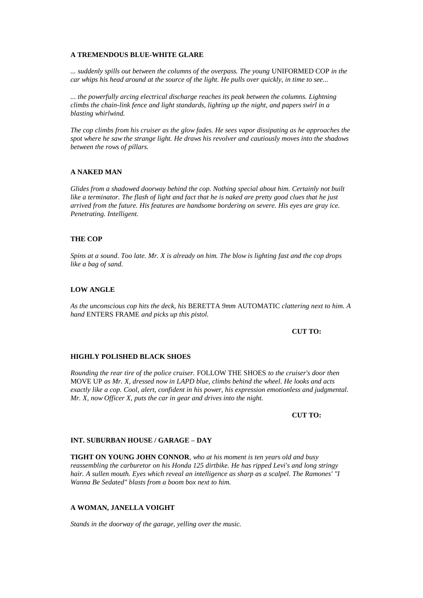### **A TREMENDOUS BLUE-WHITE GLARE**

*... suddenly spills out between the columns of the overpass. The young* UNIFORMED COP *in the car whips his head around at the source of the light. He pulls over quickly, in time to see...*

*... the powerfully arcing electrical discharge reaches its peak between the columns. Lightning climbs the chain-link fence and light standards, lighting up the night, and papers swirl in a blasting whirlwind.*

*The cop climbs from his cruiser as the glow fades. He sees vapor dissipating as he approaches the spot where he saw the strange light. He draws his revolver and cautiously moves into the shadows between the rows of pillars.*

# **A NAKED MAN**

*Glides from a shadowed doorway behind the cop. Nothing special about him. Certainly not built*  like a terminator. The flash of light and fact that he is naked are pretty good clues that he just *arrived from the future. His features are handsome bordering on severe. His eyes are gray ice. Penetrating. Intelligent.*

# **THE COP**

*Spins at a sound. Too late. Mr. X is already on him. The blow is lighting fast and the cop drops like a bag of sand.*

# **LOW ANGLE**

*As the unconscious cop hits the deck, his* BERETTA *9mm* AUTOMATIC *clattering next to him. A hand* ENTERS FRAME *and picks up this pistol.*

# **CUT TO:**

### **HIGHLY POLISHED BLACK SHOES**

*Rounding the rear tire of the police cruiser.* FOLLOW THE SHOES *to the cruiser's door then*  MOVE UP *as Mr. X, dressed now in LAPD blue, climbs behind the wheel. He looks and acts exactly like a cop. Cool, alert, confident in his power, his expression emotionless and judgmental. Mr. X, now Officer X, puts the car in gear and drives into the night.*

### **CUT TO:**

### **INT. SUBURBAN HOUSE / GARAGE – DAY**

**TIGHT ON YOUNG JOHN CONNOR***, who at his moment is ten years old and busy reassembling the carburetor on his Honda 125 dirtbike. He has ripped Levi's and long stringy hair. A sullen mouth. Eyes which reveal an intelligence as sharp as a scalpel. The Ramones' "I Wanna Be Sedated" blasts from a boom box next to him.*

### **A WOMAN, JANELLA VOIGHT**

*Stands in the doorway of the garage, yelling over the music.*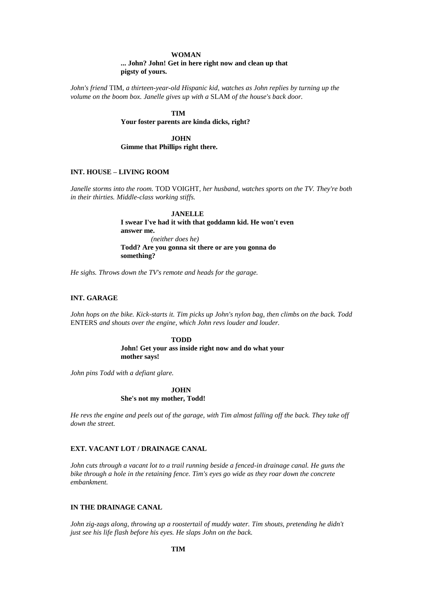### **WOMAN**

**... John? John! Get in here right now and clean up that pigsty of yours.**

*John's friend* TIM*, a thirteen-year-old Hispanic kid, watches as John replies by turning up the volume on the boom box. Janelle gives up with a* SLAM *of the house's back door.*

> **TIM Your foster parents are kinda dicks, right?**

**JOHN Gimme that Phillips right there.**

# **INT. HOUSE – LIVING ROOM**

*Janelle storms into the room.* TOD VOIGHT*, her husband, watches sports on the TV. They're both in their thirties. Middle-class working stiffs.*

> **JANELLE I swear I've had it with that goddamn kid. He won't even answer me.** *(neither does he)* **Todd? Are you gonna sit there or are you gonna do something?**

*He sighs. Throws down the TV's remote and heads for the garage.*

# **INT. GARAGE**

*John hops on the bike. Kick-starts it. Tim picks up John's nylon bag, then climbs on the back. Todd* ENTERS *and shouts over the engine, which John revs louder and louder.*

> **TODD John! Get your ass inside right now and do what your mother says!**

*John pins Todd with a defiant glare.*

# **JOHN She's not my mother, Todd!**

*He revs the engine and peels out of the garage, with Tim almost falling off the back. They take off down the street.*

# **EXT. VACANT LOT / DRAINAGE CANAL**

*John cuts through a vacant lot to a trail running beside a fenced-in drainage canal. He guns the bike through a hole in the retaining fence. Tim's eyes go wide as they roar down the concrete embankment.*

# **IN THE DRAINAGE CANAL**

*John zig-zags along, throwing up a roostertail of muddy water. Tim shouts, pretending he didn't just see his life flash before his eyes. He slaps John on the back.*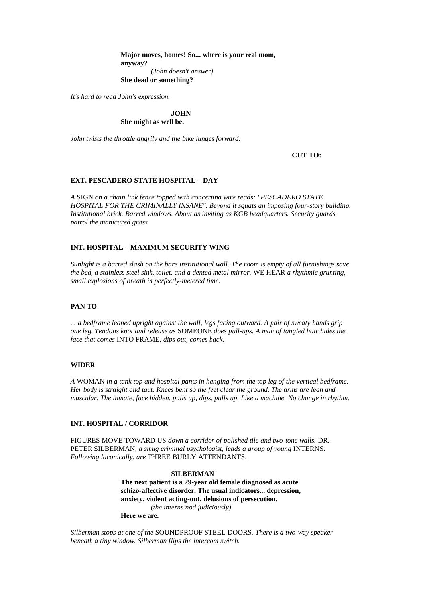**Major moves, homes! So... where is your real mom, anyway?** *(John doesn't answer)* **She dead or something?**

*It's hard to read John's expression.*

**JOHN She might as well be.**

*John twists the throttle angrily and the bike lunges forward.*

**CUT TO:**

# **EXT. PESCADERO STATE HOSPITAL – DAY**

*A* SIGN *on a chain link fence topped with concertina wire reads: "PESCADERO STATE HOSPITAL FOR THE CRIMINALLY INSANE". Beyond it squats an imposing four-story building. Institutional brick. Barred windows. About as inviting as KGB headquarters. Security guards patrol the manicured grass.*

# **INT. HOSPITAL – MAXIMUM SECURITY WING**

*Sunlight is a barred slash on the bare institutional wall. The room is empty of all furnishings save the bed, a stainless steel sink, toilet, and a dented metal mirror.* WE HEAR *a rhythmic grunting, small explosions of breath in perfectly-metered time.*

# **PAN TO**

*... a bedframe leaned upright against the wall, legs facing outward. A pair of sweaty hands grip one leg. Tendons knot and release as* SOMEONE *does pull-ups. A man of tangled hair hides the face that comes* INTO FRAME*, dips out, comes back.*

# **WIDER**

*A* WOMAN *in a tank top and hospital pants in hanging from the top leg of the vertical bedframe. Her body is straight and taut. Knees bent so the feet clear the ground. The arms are lean and muscular. The inmate, face hidden, pulls up, dips, pulls up. Like a machine. No change in rhythm.*

# **INT. HOSPITAL / CORRIDOR**

FIGURES MOVE TOWARD US *down a corridor of polished tile and two-tone walls.* DR. PETER SILBERMAN*, a smug criminal psychologist, leads a group of young* INTERNS*. Following laconically, are* THREE BURLY ATTENDANTS*.*

#### **SILBERMAN**

**The next patient is a 29-year old female diagnosed as acute schizo-affective disorder. The usual indicators... depression, anxiety, violent acting-out, delusions of persecution.** *(the interns nod judiciously)*

**Here we are.**

*Silberman stops at one of the* SOUNDPROOF STEEL DOORS*. There is a two-way speaker beneath a tiny window. Silberman flips the intercom switch.*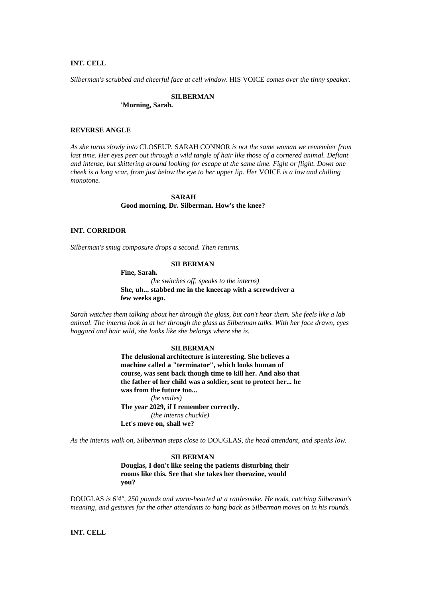# **INT. CELL**

*Silberman's scrubbed and cheerful face at cell window.* HIS VOICE *comes over the tinny speaker.*

# **SILBERMAN**

**'Morning, Sarah.**

# **REVERSE ANGLE**

*As she turns slowly into* CLOSEUP*.* SARAH CONNOR *is not the same woman we remember from*  last time. Her eyes peer out through a wild tangle of hair like those of a cornered animal. Defiant *and intense, but skittering around looking for escape at the same time. Fight or flight. Down one cheek is a long scar, from just below the eye to her upper lip. Her* VOICE *is a low and chilling monotone.*

# **SARAH**

### **Good morning, Dr. Silberman. How's the knee?**

# **INT. CORRIDOR**

*Silberman's smug composure drops a second. Then returns.*

### **SILBERMAN**

**Fine, Sarah.**

*(he switches off, speaks to the interns)* **She, uh... stabbed me in the kneecap with a screwdriver a few weeks ago.**

*Sarah watches them talking about her through the glass, but can't hear them. She feels like a lab animal. The interns look in at her through the glass as Silberman talks. With her face drawn, eyes haggard and hair wild, she looks like she belongs where she is.*

### **SILBERMAN**

**The delusional architecture is interesting. She believes a machine called a "terminator", which looks human of course, was sent back though time to kill her. And also that the father of her child was a soldier, sent to protect her... he was from the future too...** *(he smiles)* **The year 2029, if I remember correctly.** *(the interns chuckle)* **Let's move on, shall we?**

*As the interns walk on, Silberman steps close to* DOUGLAS*, the head attendant, and speaks low.*

### **SILBERMAN**

**Douglas, I don't like seeing the patients disturbing their rooms like this. See that she takes her thorazine, would you?**

DOUGLAS *is 6'4", 250 pounds and warm-hearted at a rattlesnake. He nods, catching Silberman's meaning, and gestures for the other attendants to hang back as Silberman moves on in his rounds.*

# **INT. CELL**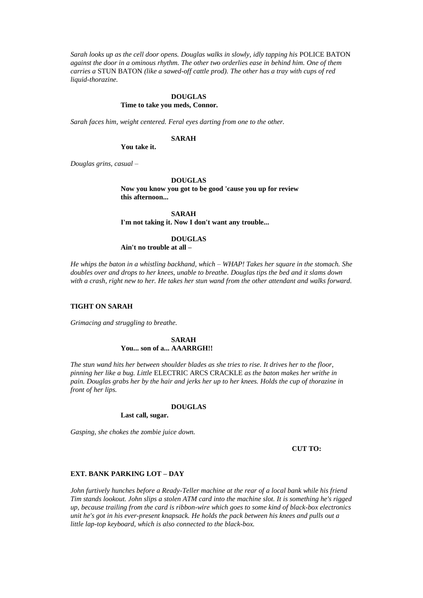*Sarah looks up as the cell door opens. Douglas walks in slowly, idly tapping his* POLICE BATON *against the door in a ominous rhythm. The other two orderlies ease in behind him. One of them carries a* STUN BATON *(like a sawed-off cattle prod). The other has a tray with cups of red liquid-thorazine.*

# **DOUGLAS**

# **Time to take you meds, Connor.**

*Sarah faces him, weight centered. Feral eyes darting from one to the other.*

# **SARAH**

**You take it.**

*Douglas grins, casual –*

#### **DOUGLAS**

**Now you know you got to be good 'cause you up for review this afternoon...**

# **SARAH**

**I'm not taking it. Now I don't want any trouble...**

# **DOUGLAS**

**Ain't no trouble at all –**

*He whips the baton in a whistling backhand, which – WHAP! Takes her square in the stomach. She doubles over and drops to her knees, unable to breathe. Douglas tips the bed and it slams down with a crash, right new to her. He takes her stun wand from the other attendant and walks forward.*

# **TIGHT ON SARAH**

*Grimacing and struggling to breathe.*

# **SARAH You... son of a... AAARRGH!!**

*The stun wand hits her between shoulder blades as she tries to rise. It drives her to the floor, pinning her like a bug. Little* ELECTRIC ARCS CRACKLE *as the baton makes her writhe in pain. Douglas grabs her by the hair and jerks her up to her knees. Holds the cup of thorazine in front of her lips.*

#### **DOUGLAS**

# **Last call, sugar.**

*Gasping, she chokes the zombie juice down.*

**CUT TO:**

# **EXT. BANK PARKING LOT – DAY**

*John furtively hunches before a Ready-Teller machine at the rear of a local bank while his friend Tim stands lookout. John slips a stolen ATM card into the machine slot. It is something he's rigged up, because trailing from the card is ribbon-wire which goes to some kind of black-box electronics unit he's got in his ever-present knapsack. He holds the pack between his knees and pulls out a little lap-top keyboard, which is also connected to the black-box.*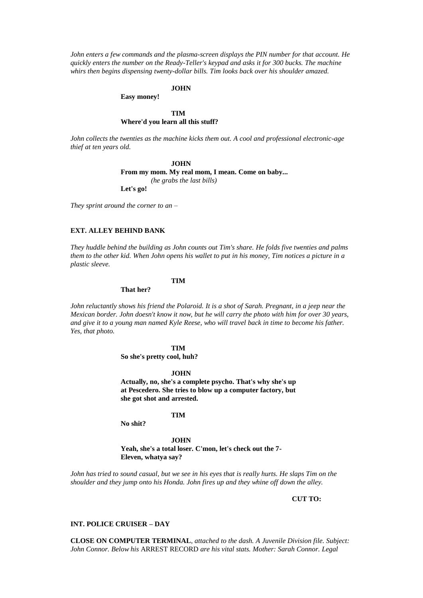*John enters a few commands and the plasma-screen displays the PIN number for that account. He quickly enters the number on the Ready-Teller's keypad and asks it for 300 bucks. The machine whirs then begins dispensing twenty-dollar bills. Tim looks back over his shoulder amazed.*

# **JOHN**

**Easy money!**

**TIM Where'd you learn all this stuff?**

*John collects the twenties as the machine kicks them out. A cool and professional electronic-age thief at ten years old.*

# **JOHN**

**From my mom. My real mom, I mean. Come on baby...**

*(he grabs the last bills)*

**Let's go!**

*They sprint around the corner to an –*

# **EXT. ALLEY BEHIND BANK**

*They huddle behind the building as John counts out Tim's share. He folds five twenties and palms them to the other kid. When John opens his wallet to put in his money, Tim notices a picture in a plastic sleeve.*

### **TIM**

### **That her?**

*John reluctantly shows his friend the Polaroid. It is a shot of Sarah. Pregnant, in a jeep near the Mexican border. John doesn't know it now, but he will carry the photo with him for over 30 years, and give it to a young man named Kyle Reese, who will travel back in time to become his father. Yes, that photo.*

**TIM**

**So she's pretty cool, huh?**

**JOHN**

**Actually, no, she's a complete psycho. That's why she's up at Pescedero. She tries to blow up a computer factory, but she got shot and arrested.**

#### **TIM**

**No shit?**

**JOHN Yeah, she's a total loser. C'mon, let's check out the 7- Eleven, whatya say?**

*John has tried to sound casual, but we see in his eyes that is really hurts. He slaps Tim on the shoulder and they jump onto his Honda. John fires up and they whine off down the alley.*

### **CUT TO:**

### **INT. POLICE CRUISER – DAY**

**CLOSE ON COMPUTER TERMINAL***, attached to the dash. A Juvenile Division file. Subject: John Connor. Below his* ARREST RECORD *are his vital stats. Mother: Sarah Connor. Legal*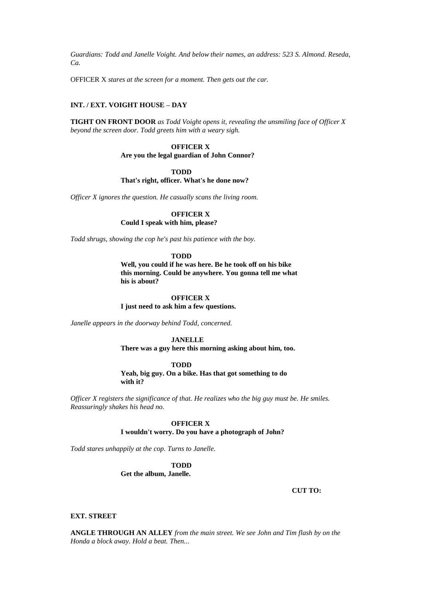*Guardians: Todd and Janelle Voight. And below their names, an address: 523 S. Almond. Reseda, Ca.*

OFFICER X *stares at the screen for a moment. Then gets out the car.*

### **INT. / EXT. VOIGHT HOUSE – DAY**

**TIGHT ON FRONT DOOR** *as Todd Voight opens it, revealing the unsmiling face of Officer X beyond the screen door. Todd greets him with a weary sigh.*

# **OFFICER X**

# **Are you the legal guardian of John Connor?**

### **TODD**

#### **That's right, officer. What's he done now?**

*Officer X ignores the question. He casually scans the living room.*

# **OFFICER X**

# **Could I speak with him, please?**

*Todd shrugs, showing the cop he's past his patience with the boy.*

**TODD**

**Well, you could if he was here. Be he took off on his bike this morning. Could be anywhere. You gonna tell me what his is about?**

### **OFFICER X**

**I just need to ask him a few questions.**

*Janelle appears in the doorway behind Todd, concerned.*

**JANELLE**

**There was a guy here this morning asking about him, too.**

#### **TODD**

**Yeah, big guy. On a bike. Has that got something to do with it?**

*Officer X registers the significance of that. He realizes who the big guy must be. He smiles. Reassuringly shakes his head no.*

### **OFFICER X**

# **I wouldn't worry. Do you have a photograph of John?**

*Todd stares unhappily at the cop. Turns to Janelle.*

# **TODD**

**Get the album, Janelle.**

### **CUT TO:**

# **EXT. STREET**

**ANGLE THROUGH AN ALLEY** *from the main street. We see John and Tim flash by on the Honda a block away. Hold a beat. Then...*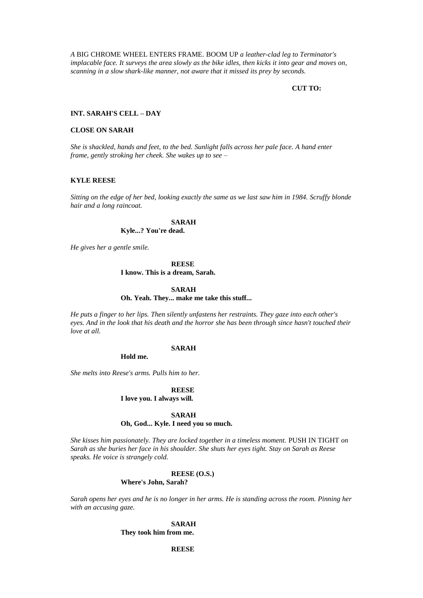*A* BIG CHROME WHEEL ENTERS FRAME*.* BOOM UP *a leather-clad leg to Terminator's implacable face. It surveys the area slowly as the bike idles, then kicks it into gear and moves on, scanning in a slow shark-like manner, not aware that it missed its prey by seconds.*

### **CUT TO:**

# **INT. SARAH'S CELL – DAY**

### **CLOSE ON SARAH**

*She is shackled, hands and feet, to the bed. Sunlight falls across her pale face. A hand enter frame, gently stroking her cheek. She wakes up to see –*

#### **KYLE REESE**

*Sitting on the edge of her bed, looking exactly the same as we last saw him in 1984. Scruffy blonde hair and a long raincoat.*

### **SARAH**

**Kyle...? You're dead.**

*He gives her a gentle smile.*

**REESE I know. This is a dream, Sarah.**

# **SARAH**

**Oh. Yeah. They... make me take this stuff...**

*He puts a finger to her lips. Then silently unfastens her restraints. They gaze into each other's eyes. And in the look that his death and the horror she has been through since hasn't touched their love at all.*

# **SARAH**

**Hold me.**

*She melts into Reese's arms. Pulls him to her.*

**REESE I love you. I always will.**

# **SARAH**

### **Oh, God... Kyle. I need you so much.**

*She kisses him passionately. They are locked together in a timeless moment.* PUSH IN TIGHT *on Sarah as she buries her face in his shoulder. She shuts her eyes tight. Stay on Sarah as Reese speaks. He voice is strangely cold.*

# **REESE (O.S.)**

# **Where's John, Sarah?**

*Sarah opens her eyes and he is no longer in her arms. He is standing across the room. Pinning her with an accusing gaze.*

> **SARAH They took him from me.**

> > **REESE**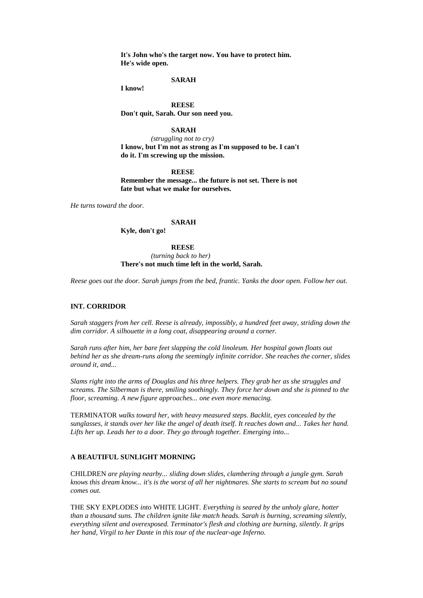**It's John who's the target now. You have to protect him. He's wide open.**

#### **SARAH**

**I know!**

**REESE Don't quit, Sarah. Our son need you.**

# **SARAH**

*(struggling not to cry)* **I know, but I'm not as strong as I'm supposed to be. I can't do it. I'm screwing up the mission.**

#### **REESE**

**Remember the message... the future is not set. There is not fate but what we make for ourselves.**

*He turns toward the door.*

#### **SARAH**

**Kyle, don't go!**

#### **REESE**

*(turning back to her)* **There's not much time left in the world, Sarah.**

*Reese goes out the door. Sarah jumps from the bed, frantic. Yanks the door open. Follow her out.*

# **INT. CORRIDOR**

*Sarah staggers from her cell. Reese is already, impossibly, a hundred feet away, striding down the dim corridor. A silhouette in a long coat, disappearing around a corner.*

*Sarah runs after him, her bare feet slapping the cold linoleum. Her hospital gown floats out behind her as she dream-runs along the seemingly infinite corridor. She reaches the corner, slides around it, and...*

*Slams right into the arms of Douglas and his three helpers. They grab her as she struggles and screams. The Silberman is there, smiling soothingly. They force her down and she is pinned to the floor, screaming. A new figure approaches... one even more menacing.*

TERMINATOR *walks toward her, with heavy measured steps. Backlit, eyes concealed by the sunglasses, it stands over her like the angel of death itself. It reaches down and... Takes her hand. Lifts her up. Leads her to a door. They go through together. Emerging into...*

### **A BEAUTIFUL SUNLIGHT MORNING**

CHILDREN *are playing nearby... sliding down slides, clambering through a jungle gym. Sarah knows this dream know... it's is the worst of all her nightmares. She starts to scream but no sound comes out.*

THE SKY EXPLODES *into* WHITE LIGHT*. Everything is seared by the unholy glare, hotter than a thousand suns. The children ignite like match heads. Sarah is burning, screaming silently, everything silent and overexposed. Terminator's flesh and clothing are burning, silently. It grips her hand, Virgil to her Dante in this tour of the nuclear-age Inferno.*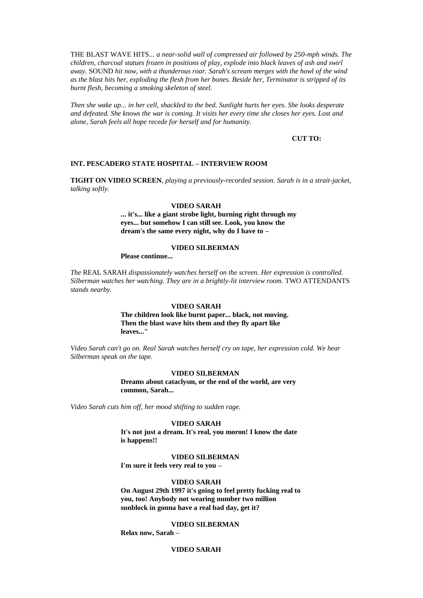THE BLAST WAVE HITS*... a near-solid wall of compressed air followed by 250-mph winds. The children, charcoal statues frozen in positions of play, explode into black leaves of ash and swirl away.* SOUND *hit now, with a thunderous roar. Sarah's scream merges with the howl of the wind as the blast hits her, exploding the flesh from her bones. Beside her, Terminator is stripped of its burnt flesh, becoming a smoking skeleton of steel.*

*Then she wake up... in her cell, shackled to the bed. Sunlight hurts her eyes. She looks desperate and defeated. She knows the war is coming. It visits her every time she closes her eyes. Lost and alone, Sarah feels all hope recede for herself and for humanity.*

# **CUT TO:**

### **INT. PESCADERO STATE HOSPITAL – INTERVIEW ROOM**

**TIGHT ON VIDEO SCREEN***, playing a previously-recorded session. Sarah is in a strait-jacket, talking softly.*

#### **VIDEO SARAH**

**... it's... like a giant strobe light, burning right through my eyes... but somehow I can still see. Look, you know the dream's the same every night, why do I have to –**

### **VIDEO SILBERMAN**

**Please continue...**

*The* REAL SARAH *dispassionately watches herself on the screen. Her expression is controlled. Silberman watches her watching. They are in a brightly-lit interview room.* TWO ATTENDANTS *stands nearby.*

### **VIDEO SARAH**

**The children look like burnt paper... black, not moving. Then the blast wave hits them and they fly apart like leaves..."**

*Video Sarah can't go on. Real Sarah watches herself cry on tape, her expression cold. We hear Silberman speak on the tape.*

### **VIDEO SILBERMAN**

**Dreams about cataclysm, or the end of the world, are very common, Sarah...**

*Video Sarah cuts him off, her mood shifting to sudden rage.*

**VIDEO SARAH It's not just a dream. It's real, you moron! I know the date is happens!!**

### **VIDEO SILBERMAN**

**I'm sure it feels very real to you –**

### **VIDEO SARAH**

**On August 29th 1997 it's going to feel pretty fucking real to you, too! Anybody not wearing number two million sunblock in gonna have a real bad day, get it?**

# **VIDEO SILBERMAN**

**Relax now, Sarah –**

# **VIDEO SARAH**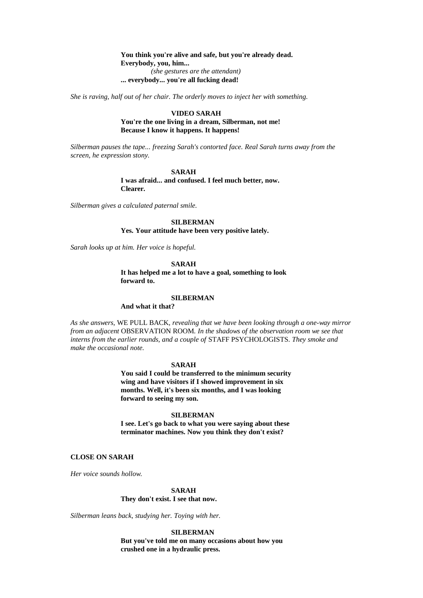**You think you're alive and safe, but you're already dead. Everybody, you, him...** *(she gestures are the attendant)* **... everybody... you're all fucking dead!**

*She is raving, half out of her chair. The orderly moves to inject her with something.*

# **VIDEO SARAH**

**You're the one living in a dream, Silberman, not me! Because I know it happens. It happens!**

*Silberman pauses the tape... freezing Sarah's contorted face. Real Sarah turns away from the screen, he expression stony.*

#### **SARAH**

**I was afraid... and confused. I feel much better, now. Clearer.**

*Silberman gives a calculated paternal smile.*

# **SILBERMAN Yes. Your attitude have been very positive lately.**

*Sarah looks up at him. Her voice is hopeful.*

**SARAH**

**It has helped me a lot to have a goal, something to look forward to.**

# **SILBERMAN**

**And what it that?**

*As she answers,* WE PULL BACK*, revealing that we have been looking through a one-way mirror from an adjacent* OBSERVATION ROOM*. In the shadows of the observation room we see that interns from the earlier rounds, and a couple of* STAFF PSYCHOLOGISTS*. They smoke and make the occasional note.*

### **SARAH**

**You said I could be transferred to the minimum security wing and have visitors if I showed improvement in six months. Well, it's been six months, and I was looking forward to seeing my son.**

### **SILBERMAN**

**I see. Let's go back to what you were saying about these terminator machines. Now you think they don't exist?**

# **CLOSE ON SARAH**

*Her voice sounds hollow.*

# **SARAH**

# **They don't exist. I see that now.**

*Silberman leans back, studying her. Toying with her.*

# **SILBERMAN**

**But you've told me on many occasions about how you crushed one in a hydraulic press.**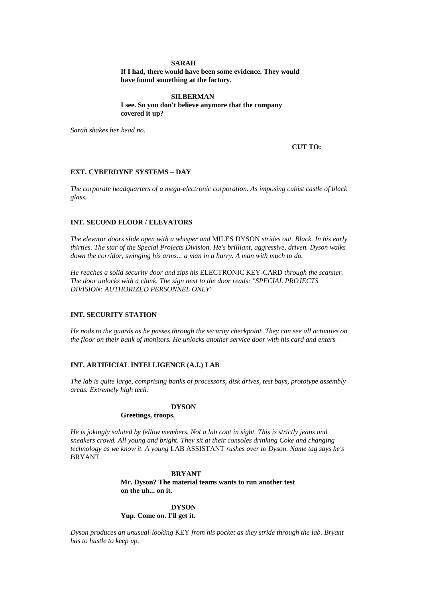#### **SARAH**

**If I had, there would have been some evidence. They would have found something at the factory.**

**SILBERMAN I see. So you don't believe anymore that the company covered it up?**

*Sarah shakes her head no.*

# **CUT TO:**

# **EXT. CYBERDYNE SYSTEMS – DAY**

*The corporate headquarters of a mega-electronic corporation. As imposing cubist castle of black glass.*

# **INT. SECOND FLOOR / ELEVATORS**

*The elevator doors slide open with a whisper and* MILES DYSON *strides out. Black. In his early thirties. The star of the Special Projects Division. He's brilliant, aggressive, driven. Dyson walks down the corridor, swinging his arms... a man in a hurry. A man with much to do.*

*He reaches a solid security door and zips his* ELECTRONIC KEY-CARD *through the scanner. The door unlocks with a clunk. The sign next to the door reads: "SPECIAL PROJECTS DIVISION: AUTHORIZED PERSONNEL ONLY"*

# **INT. SECURITY STATION**

*He nods to the guards as he passes through the security checkpoint. They can see all activities on the floor on their bank of monitors. He unlocks another service door with his card and enters –*

# **INT. ARTIFICIAL INTELLIGENCE (A.I.) LAB**

*The lab is quite large, comprising banks of processors, disk drives, test bays, prototype assembly areas. Extremely high tech.*

#### **DYSON**

### **Greetings, troops.**

*He is jokingly saluted by fellow members. Not a lab coat in sight. This is strictly jeans and sneakers crowd. All young and bright. They sit at their consoles drinking Coke and changing technology as we know it. A young* LAB ASSISTANT *rushes over to Dyson. Name tag says he's*  BRYANT*.*

#### **BRYANT**

**Mr. Dyson? The material teams wants to run another test on the uh... on it.**

**DYSON**

**Yup. Come on. I'll get it.**

*Dyson produces an unusual-looking* KEY *from his pocket as they stride through the lab. Bryant has to hustle to keep up.*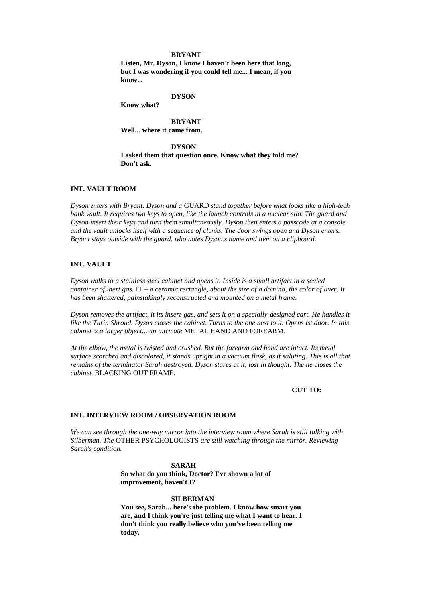# **BRYANT**

**Listen, Mr. Dyson, I know I haven't been here that long, but I was wondering if you could tell me... I mean, if you know...**

**DYSON**

**Know what?**

**BRYANT Well... where it came from.**

**DYSON I asked them that question once. Know what they told me? Don't ask.**

### **INT. VAULT ROOM**

*Dyson enters with Bryant. Dyson and a* GUARD *stand together before what looks like a high-tech bank vault. It requires two keys to open, like the launch controls in a nuclear silo. The guard and Dyson insert their keys and turn them simultaneously. Dyson then enters a passcode at a console and the vault unlocks itself with a sequence of clunks. The door swings open and Dyson enters. Bryant stays outside with the guard, who notes Dyson's name and item on a clipboard.*

# **INT. VAULT**

*Dyson walks to a stainless steel cabinet and opens it. Inside is a small artifact in a sealed container of inert gas.* IT *– a ceramic rectangle, about the size of a domino, the color of liver. It has been shattered, painstakingly reconstructed and mounted on a metal frame.*

*Dyson removes the artifact, it its insert-gas, and sets it on a specially-designed cart. He handles it like the Turin Shroud. Dyson closes the cabinet. Turns to the one next to it. Opens ist door. In this cabinet is a larger object... an intricate* METAL HAND AND FOREARM*.*

*At the elbow, the metal is twisted and crushed. But the forearm and hand are intact. Its metal surface scorched and discolored, it stands upright in a vacuum flask, as if saluting. This is all that remains of the terminator Sarah destroyed. Dyson stares at it, lost in thought. The he closes the cabinet,* BLACKING OUT FRAME*.*

**CUT TO:**

# **INT. INTERVIEW ROOM / OBSERVATION ROOM**

*We can see through the one-way mirror into the interview room where Sarah is still talking with Silberman. The* OTHER PSYCHOLOGISTS *are still watching through the mirror. Reviewing Sarah's condition.*

> **SARAH So what do you think, Doctor? I've shown a lot of improvement, haven't I?**

#### **SILBERMAN**

**You see, Sarah... here's the problem. I know how smart you are, and I think you're just telling me what I want to hear. I don't think you really believe who you've been telling me today.**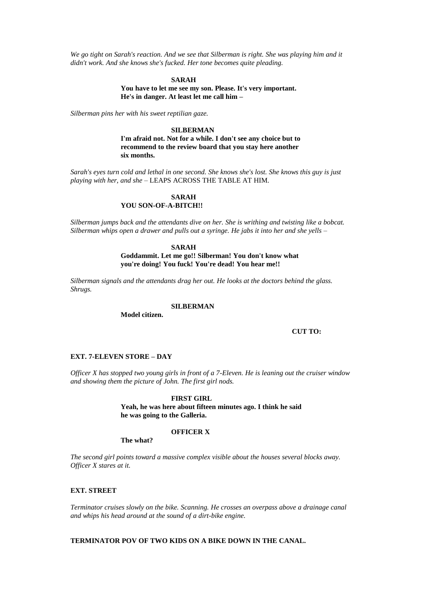*We go tight on Sarah's reaction. And we see that Silberman is right. She was playing him and it didn't work. And she knows she's fucked. Her tone becomes quite pleading.*

### **SARAH**

**You have to let me see my son. Please. It's very important. He's in danger. At least let me call him –**

*Silberman pins her with his sweet reptilian gaze.*

### **SILBERMAN**

# **I'm afraid not. Not for a while. I don't see any choice but to recommend to the review board that you stay here another six months.**

*Sarah's eyes turn cold and lethal in one second. She knows she's lost. She knows this guy is just playing with her, and she –* LEAPS ACROSS THE TABLE AT HIM*.*

# **SARAH**

# **YOU SON-OF-A-BITCH!!**

*Silberman jumps back and the attendants dive on her. She is writhing and twisting like a bobcat. Silberman whips open a drawer and pulls out a syringe. He jabs it into her and she yells –*

#### **SARAH**

# **Goddammit. Let me go!! Silberman! You don't know what you're doing! You fuck! You're dead! You hear me!!**

*Silberman signals and the attendants drag her out. He looks at the doctors behind the glass. Shrugs.*

### **SILBERMAN**

**Model citizen.**

### **CUT TO:**

# **EXT. 7-ELEVEN STORE – DAY**

*Officer X has stopped two young girls in front of a 7-Eleven. He is leaning out the cruiser window and showing them the picture of John. The first girl nods.*

#### **FIRST GIRL**

**Yeah, he was here about fifteen minutes ago. I think he said he was going to the Galleria.**

### **OFFICER X**

#### **The what?**

*The second girl points toward a massive complex visible about the houses several blocks away. Officer X stares at it.*

# **EXT. STREET**

*Terminator cruises slowly on the bike. Scanning. He crosses an overpass above a drainage canal and whips his head around at the sound of a dirt-bike engine.*

# **TERMINATOR POV OF TWO KIDS ON A BIKE DOWN IN THE CANAL.**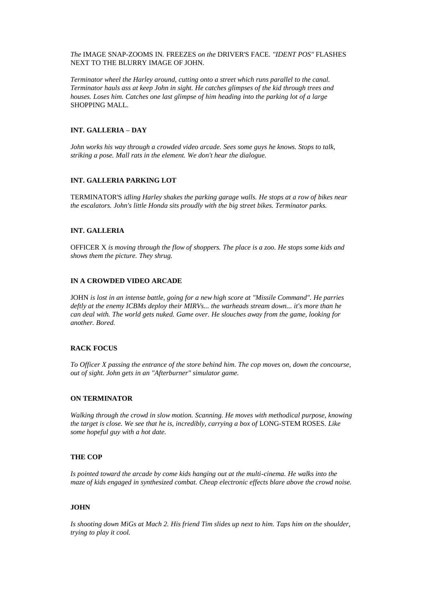*The* IMAGE SNAP-ZOOMS IN*.* FREEZES *on the* DRIVER'S FACE*. "IDENT POS"* FLASHES NEXT TO THE BLURRY IMAGE OF JOHN*.*

*Terminator wheel the Harley around, cutting onto a street which runs parallel to the canal. Terminator hauls ass at keep John in sight. He catches glimpses of the kid through trees and houses. Loses him. Catches one last glimpse of him heading into the parking lot of a large*  SHOPPING MALL.

# **INT. GALLERIA – DAY**

*John works his way through a crowded video arcade. Sees some guys he knows. Stops to talk, striking a pose. Mall rats in the element. We don't hear the dialogue.*

# **INT. GALLERIA PARKING LOT**

TERMINATOR'S *idling Harley shakes the parking garage walls. He stops at a row of bikes near the escalators. John's little Honda sits proudly with the big street bikes. Terminator parks.*

# **INT. GALLERIA**

OFFICER X *is moving through the flow of shoppers. The place is a zoo. He stops some kids and shows them the picture. They shrug.*

### **IN A CROWDED VIDEO ARCADE**

JOHN *is lost in an intense battle, going for a new high score at "Missile Command". He parries deftly at the enemy ICBMs deploy their MIRVs... the warheads stream down... it's more than he can deal with. The world gets nuked. Game over. He slouches away from the game, looking for another. Bored.*

# **RACK FOCUS**

*To Officer X passing the entrance of the store behind him. The cop moves on, down the concourse, out of sight. John gets in an "Afterburner" simulator game.*

#### **ON TERMINATOR**

*Walking through the crowd in slow motion. Scanning. He moves with methodical purpose, knowing the target is close. We see that he is, incredibly, carrying a box of* LONG-STEM ROSES*. Like some hopeful guy with a hot date.*

### **THE COP**

Is pointed toward the arcade by come kids hanging out at the multi-cinema. He walks into the *maze of kids engaged in synthesized combat. Cheap electronic effects blare above the crowd noise.*

# **JOHN**

*Is shooting down MiGs at Mach 2. His friend Tim slides up next to him. Taps him on the shoulder, trying to play it cool.*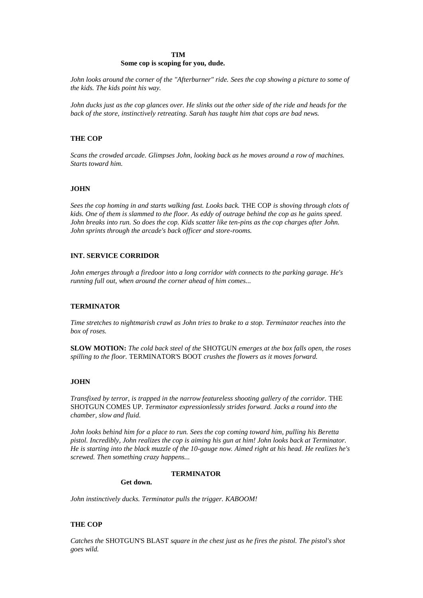# **TIM**

# **Some cop is scoping for you, dude.**

*John looks around the corner of the "Afterburner" ride. Sees the cop showing a picture to some of the kids. The kids point his way.*

*John ducks just as the cop glances over. He slinks out the other side of the ride and heads for the back of the store, instinctively retreating. Sarah has taught him that cops are bad news.*

# **THE COP**

*Scans the crowded arcade. Glimpses John, looking back as he moves around a row of machines. Starts toward him.*

# **JOHN**

*Sees the cop homing in and starts walking fast. Looks back.* THE COP *is shoving through clots of kids. One of them is slammed to the floor. As eddy of outrage behind the cop as he gains speed. John breaks into run. So does the cop. Kids scatter like ten-pins as the cop charges after John. John sprints through the arcade's back officer and store-rooms.*

# **INT. SERVICE CORRIDOR**

*John emerges through a firedoor into a long corridor with connects to the parking garage. He's running full out, when around the corner ahead of him comes...*

# **TERMINATOR**

*Time stretches to nightmarish crawl as John tries to brake to a stop. Terminator reaches into the box of roses.*

**SLOW MOTION:** *The cold back steel of the* SHOTGUN *emerges at the box falls open, the roses spilling to the floor.* TERMINATOR'S BOOT *crushes the flowers as it moves forward.*

# **JOHN**

*Transfixed by terror, is trapped in the narrow featureless shooting gallery of the corridor.* THE SHOTGUN COMES UP*. Terminator expressionlessly strides forward. Jacks a round into the chamber, slow and fluid.*

*John looks behind him for a place to run. Sees the cop coming toward him, pulling his Beretta pistol. Incredibly, John realizes the cop is aiming his gun at him! John looks back at Terminator. He is starting into the black muzzle of the 10-gauge now. Aimed right at his head. He realizes he's screwed. Then something crazy happens...*

# **TERMINATOR**

**Get down.**

*John instinctively ducks. Terminator pulls the trigger. KABOOM!*

### **THE COP**

*Catches the* SHOTGUN'S BLAST *square in the chest just as he fires the pistol. The pistol's shot goes wild.*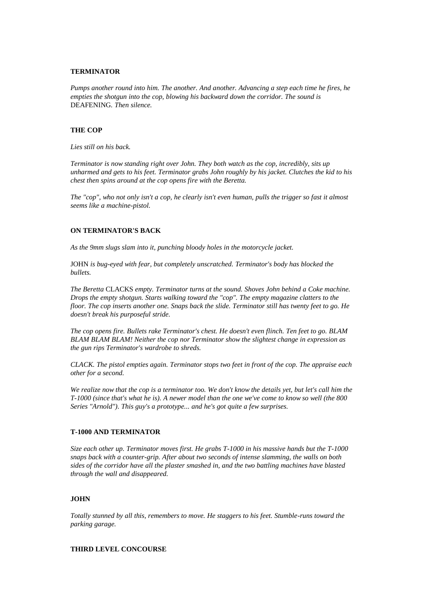# **TERMINATOR**

*Pumps another round into him. The another. And another. Advancing a step each time he fires, he empties the shotgun into the cop, blowing his backward down the corridor. The sound is*  DEAFENING*. Then silence.*

# **THE COP**

*Lies still on his back.*

*Terminator is now standing right over John. They both watch as the cop, incredibly, sits up unharmed and gets to his feet. Terminator grabs John roughly by his jacket. Clutches the kid to his chest then spins around at the cop opens fire with the Beretta.*

*The "cop", who not only isn't a cop, he clearly isn't even human, pulls the trigger so fast it almost seems like a machine-pistol.*

# **ON TERMINATOR'S BACK**

*As the 9mm slugs slam into it, punching bloody holes in the motorcycle jacket.*

JOHN *is bug-eyed with fear, but completely unscratched. Terminator's body has blocked the bullets.*

*The Beretta* CLACKS *empty. Terminator turns at the sound. Shoves John behind a Coke machine. Drops the empty shotgun. Starts walking toward the "cop". The empty magazine clatters to the floor. The cop inserts another one. Snaps back the slide. Terminator still has twenty feet to go. He doesn't break his purposeful stride.*

*The cop opens fire. Bullets rake Terminator's chest. He doesn't even flinch. Ten feet to go. BLAM BLAM BLAM BLAM! Neither the cop nor Terminator show the slightest change in expression as the gun rips Terminator's wardrobe to shreds.*

*CLACK. The pistol empties again. Terminator stops two feet in front of the cop. The appraise each other for a second.*

*We realize now that the cop is a terminator too. We don't know the details yet, but let's call him the T-1000 (since that's what he is). A newer model than the one we've come to know so well (the 800 Series "Arnold"). This guy's a prototype... and he's got quite a few surprises.*

# **T-1000 AND TERMINATOR**

*Size each other up. Terminator moves first. He grabs T-1000 in his massive hands but the T-1000 snaps back with a counter-grip. After about two seconds of intense slamming, the walls on both sides of the corridor have all the plaster smashed in, and the two battling machines have blasted through the wall and disappeared.*

# **JOHN**

*Totally stunned by all this, remembers to move. He staggers to his feet. Stumble-runs toward the parking garage.*

# **THIRD LEVEL CONCOURSE**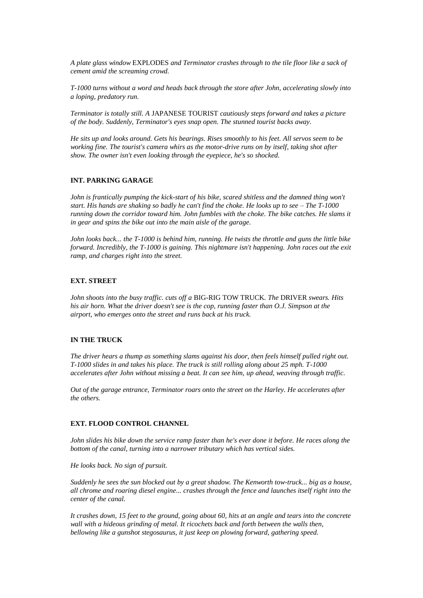*A plate glass window* EXPLODES *and Terminator crashes through to the tile floor like a sack of cement amid the screaming crowd.*

*T-1000 turns without a word and heads back through the store after John, accelerating slowly into a loping, predatory run.*

*Terminator is totally still. A* JAPANESE TOURIST *cautiously steps forward and takes a picture of the body. Suddenly, Terminator's eyes snap open. The stunned tourist backs away.*

*He sits up and looks around. Gets his bearings. Rises smoothly to his feet. All servos seem to be working fine. The tourist's camera whirs as the motor-drive runs on by itself, taking shot after show. The owner isn't even looking through the eyepiece, he's so shocked.*

# **INT. PARKING GARAGE**

*John is frantically pumping the kick-start of his bike, scared shitless and the damned thing won't start. His hands are shaking so badly he can't find the choke. He looks up to see – The T-1000 running down the corridor toward him. John fumbles with the choke. The bike catches. He slams it in gear and spins the bike out into the main aisle of the garage.*

*John looks back... the T-1000 is behind him, running. He twists the throttle and guns the little bike forward. Incredibly, the T-1000 is gaining. This nightmare isn't happening. John races out the exit ramp, and charges right into the street.*

### **EXT. STREET**

*John shoots into the busy traffic. cuts off a* BIG-RIG TOW TRUCK*. The* DRIVER *swears. Hits his air horn. What the driver doesn't see is the cop, running faster than O.J. Simpson at the airport, who emerges onto the street and runs back at his truck.*

# **IN THE TRUCK**

*The driver hears a thump as something slams against his door, then feels himself pulled right out. T-1000 slides in and takes his place. The truck is still rolling along about 25 mph. T-1000 accelerates after John without missing a beat. It can see him, up ahead, weaving through traffic.*

*Out of the garage entrance, Terminator roars onto the street on the Harley. He accelerates after the others.*

# **EXT. FLOOD CONTROL CHANNEL**

*John slides his bike down the service ramp faster than he's ever done it before. He races along the bottom of the canal, turning into a narrower tributary which has vertical sides.*

*He looks back. No sign of pursuit.* 

*Suddenly he sees the sun blocked out by a great shadow. The Kenworth tow-truck... big as a house, all chrome and roaring diesel engine... crashes through the fence and launches itself right into the center of the canal.*

*It crashes down, 15 feet to the ground, going about 60, hits at an angle and tears into the concrete wall with a hideous grinding of metal. It ricochets back and forth between the walls then, bellowing like a gunshot stegosaurus, it just keep on plowing forward, gathering speed.*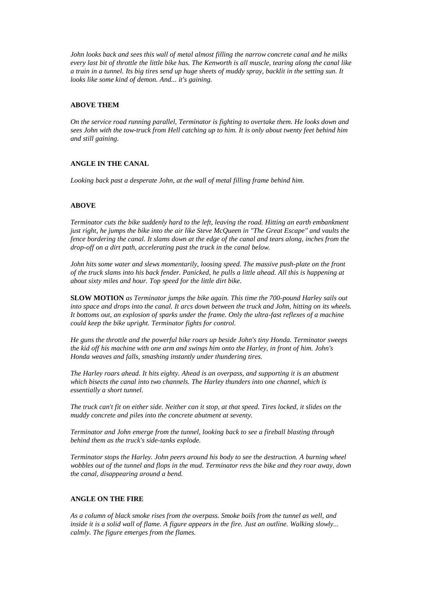*John looks back and sees this wall of metal almost filling the narrow concrete canal and he milks every last bit of throttle the little bike has. The Kenworth is all muscle, tearing along the canal like a train in a tunnel. Its big tires send up huge sheets of muddy spray, backlit in the setting sun. It looks like some kind of demon. And... it's gaining.*

# **ABOVE THEM**

*On the service road running parallel, Terminator is fighting to overtake them. He looks down and sees John with the tow-truck from Hell catching up to him. It is only about twenty feet behind him and still gaining.*

# **ANGLE IN THE CANAL**

*Looking back past a desperate John, at the wall of metal filling frame behind him.*

### **ABOVE**

*Terminator cuts the bike suddenly hard to the left, leaving the road. Hitting an earth embankment just right, he jumps the bike into the air like Steve McQueen in "The Great Escape" and vaults the fence bordering the canal. It slams down at the edge of the canal and tears along, inches from the drop-off on a dirt path, accelerating past the truck in the canal below.*

*John hits some water and slews momentarily, loosing speed. The massive push-plate on the front of the truck slams into his back fender. Panicked, he pulls a little ahead. All this is happening at about sixty miles and hour. Top speed for the little dirt bike.*

**SLOW MOTION** *as Terminator jumps the bike again. This time the 700-pound Harley sails out into space and drops into the canal. It arcs down between the truck and John, hitting on its wheels. It bottoms out, an explosion of sparks under the frame. Only the ultra-fast reflexes of a machine could keep the bike upright. Terminator fights for control.*

*He guns the throttle and the powerful bike roars up beside John's tiny Honda. Terminator sweeps the kid off his machine with one arm and swings him onto the Harley, in front of him. John's Honda weaves and falls, smashing instantly under thundering tires.*

*The Harley roars ahead. It hits eighty. Ahead is an overpass, and supporting it is an abutment which bisects the canal into two channels. The Harley thunders into one channel, which is essentially a short tunnel.*

*The truck can't fit on either side. Neither can it stop, at that speed. Tires locked, it slides on the muddy concrete and piles into the concrete abutment at seventy.*

*Terminator and John emerge from the tunnel, looking back to see a fireball blasting through behind them as the truck's side-tanks explode.*

*Terminator stops the Harley. John peers around his body to see the destruction. A burning wheel wobbles out of the tunnel and flops in the mud. Terminator revs the bike and they roar away, down the canal, disappearing around a bend.*

### **ANGLE ON THE FIRE**

*As a column of black smoke rises from the overpass. Smoke boils from the tunnel as well, and inside it is a solid wall of flame. A figure appears in the fire. Just an outline. Walking slowly... calmly. The figure emerges from the flames.*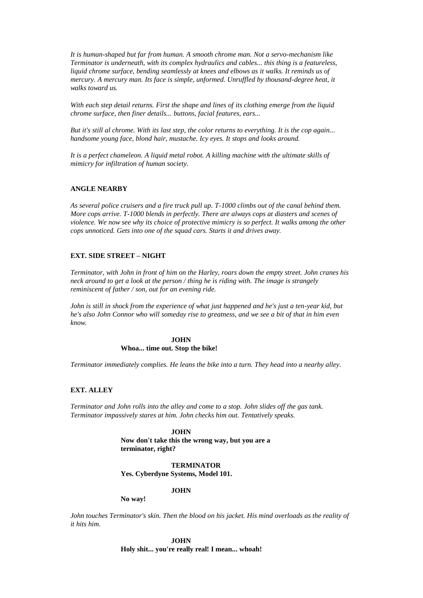*It is human-shaped but far from human. A smooth chrome man. Not a servo-mechanism like Terminator is underneath, with its complex hydraulics and cables... this thing is a featureless, liquid chrome surface, bending seamlessly at knees and elbows as it walks. It reminds us of mercury. A mercury man. Its face is simple, unformed. Unruffled by thousand-degree heat, it walks toward us.*

*With each step detail returns. First the shape and lines of its clothing emerge from the liquid chrome surface, then finer details... buttons, facial features, ears...*

*But it's still al chrome. With its last step, the color returns to everything. It is the cop again... handsome young face, blond hair, mustache. Icy eyes. It stops and looks around.*

*It is a perfect chameleon. A liquid metal robot. A killing machine with the ultimate skills of mimicry for infiltration of human society.*

### **ANGLE NEARBY**

*As several police cruisers and a fire truck pull up. T-1000 climbs out of the canal behind them. More cops arrive. T-1000 blends in perfectly. There are always cops at diasters and scenes of violence. We now see why its choice of protective mimicry is so perfect. It walks among the other cops unnoticed. Gets into one of the squad cars. Starts it and drives away.*

# **EXT. SIDE STREET – NIGHT**

*Terminator, with John in front of him on the Harley, roars down the empty street. John cranes his neck around to get a look at the person / thing he is riding with. The image is strangely reminiscent of father / son, out for an evening ride.*

*John is still in shock from the experience of what just happened and he's just a ten-year kid, but he's also John Connor who will someday rise to greatness, and we see a bit of that in him even know.*

# **JOHN Whoa... time out. Stop the bike!**

*Terminator immediately complies. He leans the bike into a turn. They head into a nearby alley.*

#### **EXT. ALLEY**

*Terminator and John rolls into the alley and come to a stop. John slides off the gas tank. Terminator impassively stares at him. John checks him out. Tentatively speaks.*

# **JOHN Now don't take this the wrong way, but you are a terminator, right?**

**TERMINATOR Yes. Cyberdyne Systems, Model 101.**

### **JOHN**

**No way!**

*John touches Terminator's skin. Then the blood on his jacket. His mind overloads as the reality of it hits him.*

> **JOHN Holy shit... you're really real! I mean... whoah!**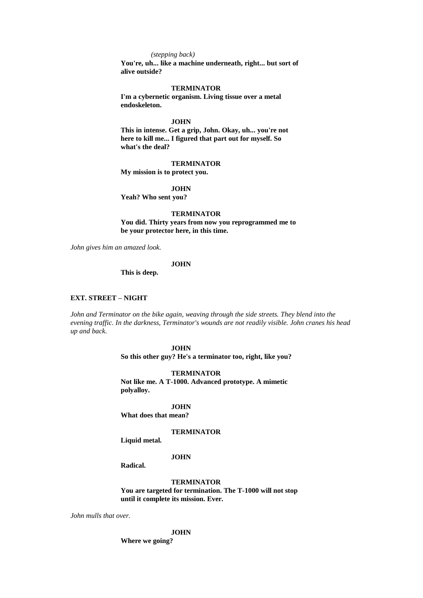### *(stepping back)*

**You're, uh... like a machine underneath, right... but sort of alive outside?**

### **TERMINATOR**

**I'm a cybernetic organism. Living tissue over a metal endoskeleton.**

### **JOHN**

**This in intense. Get a grip, John. Okay, uh... you're not here to kill me... I figured that part out for myself. So what's the deal?**

### **TERMINATOR**

**My mission is to protect you.**

**JOHN**

**Yeah? Who sent you?**

# **TERMINATOR**

**You did. Thirty years from now you reprogrammed me to be your protector here, in this time.**

*John gives him an amazed look.*

### **JOHN**

**This is deep.**

# **EXT. STREET – NIGHT**

*John and Terminator on the bike again, weaving through the side streets. They blend into the evening traffic. In the darkness, Terminator's wounds are not readily visible. John cranes his head up and back.*

### **JOHN**

**So this other guy? He's a terminator too, right, like you?**

**TERMINATOR Not like me. A T-1000. Advanced prototype. A mimetic polyalloy.**

**JOHN**

**What does that mean?**

# **TERMINATOR**

**Liquid metal.**

### **JOHN**

**Radical.**

**TERMINATOR You are targeted for termination. The T-1000 will not stop until it complete its mission. Ever.**

*John mulls that over.*

**JOHN**

**Where we going?**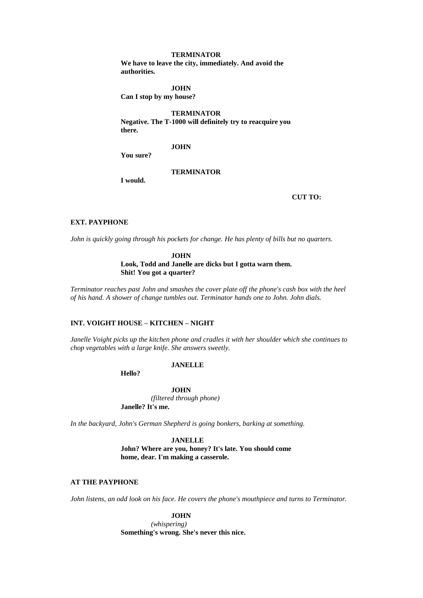### **TERMINATOR**

**We have to leave the city, immediately. And avoid the authorities.**

**JOHN Can I stop by my house?**

**TERMINATOR Negative. The T-1000 will definitely try to reacquire you there.**

**JOHN**

**You sure?**

# **TERMINATOR**

**I would.**

# **CUT TO:**

# **EXT. PAYPHONE**

*John is quickly going through his pockets for change. He has plenty of bills but no quarters.*

**JOHN Look, Todd and Janelle are dicks but I gotta warn them. Shit! You got a quarter?**

*Terminator reaches past John and smashes the cover plate off the phone's cash box with the heel of his hand. A shower of change tumbles out. Terminator hands one to John. John dials.*

# **INT. VOIGHT HOUSE – KITCHEN – NIGHT**

*Janelle Voight picks up the kitchen phone and cradles it with her shoulder which she continues to chop vegetables with a large knife. She answers sweetly.*

# **JANELLE**

**Hello?**

**JOHN** *(filtered through phone)* **Janelle? It's me.**

*In the backyard, John's German Shepherd is going bonkers, barking at something.*

**JANELLE**

**John? Where are you, honey? It's late. You should come home, dear. I'm making a casserole.**

# **AT THE PAYPHONE**

*John listens, an odd look on his face. He covers the phone's mouthpiece and turns to Terminator.*

**JOHN** *(whispering)* **Something's wrong. She's never this nice.**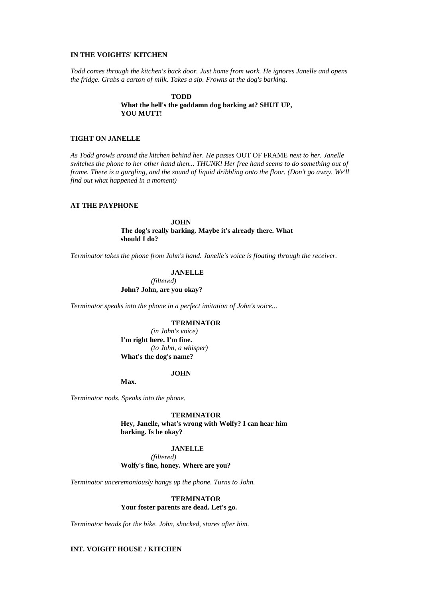# **IN THE VOIGHTS' KITCHEN**

*Todd comes through the kitchen's back door. Just home from work. He ignores Janelle and opens the fridge. Grabs a carton of milk. Takes a sip. Frowns at the dog's barking.*

> **TODD What the hell's the goddamn dog barking at? SHUT UP, YOU MUTT!**

# **TIGHT ON JANELLE**

*As Todd growls around the kitchen behind her. He passes* OUT OF FRAME *next to her. Janelle switches the phone to her other hand then... THUNK! Her free hand seems to do something out of frame. There is a gurgling, and the sound of liquid dribbling onto the floor. (Don't go away. We'll find out what happened in a moment)*

# **AT THE PAYPHONE**

**JOHN The dog's really barking. Maybe it's already there. What should I do?**

*Terminator takes the phone from John's hand. Janelle's voice is floating through the receiver.*

**JANELLE** *(filtered)* **John? John, are you okay?**

*Terminator speaks into the phone in a perfect imitation of John's voice...*

### **TERMINATOR**

*(in John's voice)* **I'm right here. I'm fine.** *(to John, a whisper)* **What's the dog's name?**

**JOHN**

**Max.**

*Terminator nods. Speaks into the phone.*

**TERMINATOR Hey, Janelle, what's wrong with Wolfy? I can hear him barking. Is he okay?**

### **JANELLE**

*(filtered)*

**Wolfy's fine, honey. Where are you?**

*Terminator unceremoniously hangs up the phone. Turns to John.*

**TERMINATOR Your foster parents are dead. Let's go.**

*Terminator heads for the bike. John, shocked, stares after him.*

# **INT. VOIGHT HOUSE / KITCHEN**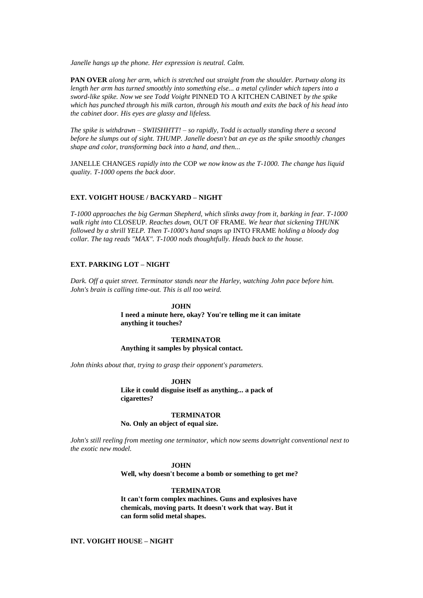*Janelle hangs up the phone. Her expression is neutral. Calm.*

**PAN OVER** *along her arm, which is stretched out straight from the shoulder. Partway along its length her arm has turned smoothly into something else... a metal cylinder which tapers into a sword-like spike. Now we see Todd Voight* PINNED TO A KITCHEN CABINET *by the spike which has punched through his milk carton, through his mouth and exits the back of his head into the cabinet door. His eyes are glassy and lifeless.*

*The spike is withdrawn – SWIISHHTT! – so rapidly, Todd is actually standing there a second before he slumps out of sight. THUMP. Janelle doesn't bat an eye as the spike smoothly changes shape and color, transforming back into a hand, and then...*

JANELLE CHANGES *rapidly into the* COP *we now know as the T-1000. The change has liquid quality. T-1000 opens the back door.*

# **EXT. VOIGHT HOUSE / BACKYARD – NIGHT**

*T-1000 approaches the big German Shepherd, which slinks away from it, barking in fear. T-1000 walk right into* CLOSEUP*. Reaches down,* OUT OF FRAME*. We hear that sickening THUNK followed by a shrill YELP. Then T-1000's hand snaps up* INTO FRAME *holding a bloody dog collar. The tag reads "MAX". T-1000 nods thoughtfully. Heads back to the house.*

# **EXT. PARKING LOT – NIGHT**

*Dark. Off a quiet street. Terminator stands near the Harley, watching John pace before him. John's brain is calling time-out. This is all too weird.*

# **JOHN**

**I need a minute here, okay? You're telling me it can imitate anything it touches?**

# **TERMINATOR Anything it samples by physical contact.**

*John thinks about that, trying to grasp their opponent's parameters.*

#### **JOHN**

**Like it could disguise itself as anything... a pack of cigarettes?**

# **TERMINATOR**

**No. Only an object of equal size.**

*John's still reeling from meeting one terminator, which now seems downright conventional next to the exotic new model.*

### **JOHN**

**Well, why doesn't become a bomb or something to get me?**

### **TERMINATOR**

**It can't form complex machines. Guns and explosives have chemicals, moving parts. It doesn't work that way. But it can form solid metal shapes.**

**INT. VOIGHT HOUSE – NIGHT**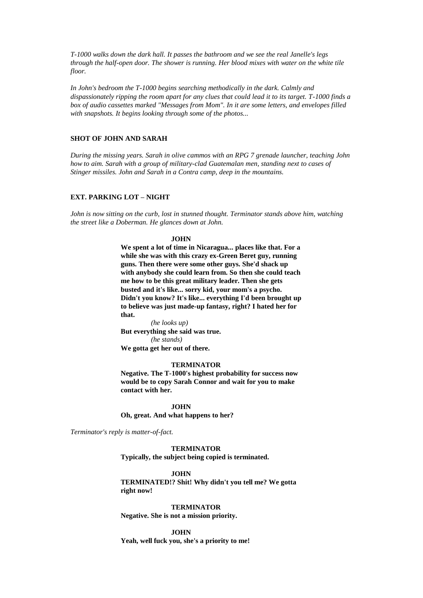*T-1000 walks down the dark hall. It passes the bathroom and we see the real Janelle's legs through the half-open door. The shower is running. Her blood mixes with water on the white tile floor.*

*In John's bedroom the T-1000 begins searching methodically in the dark. Calmly and dispassionately ripping the room apart for any clues that could lead it to its target. T-1000 finds a box of audio cassettes marked "Messages from Mom". In it are some letters, and envelopes filled with snapshots. It begins looking through some of the photos...*

# **SHOT OF JOHN AND SARAH**

*During the missing years. Sarah in olive cammos with an RPG 7 grenade launcher, teaching John how to aim. Sarah with a group of military-clad Guatemalan men, standing next to cases of Stinger missiles. John and Sarah in a Contra camp, deep in the mountains.*

# **EXT. PARKING LOT – NIGHT**

*John is now sitting on the curb, lost in stunned thought. Terminator stands above him, watching the street like a Doberman. He glances down at John.*

#### **JOHN**

**We spent a lot of time in Nicaragua... places like that. For a while she was with this crazy ex-Green Beret guy, running guns. Then there were some other guys. She'd shack up with anybody she could learn from. So then she could teach me how to be this great military leader. Then she gets busted and it's like... sorry kid, your mom's a psycho. Didn't you know? It's like... everything I'd been brought up to believe was just made-up fantasy, right? I hated her for that.**

*(he looks up)* **But everything she said was true.** *(he stands)* **We gotta get her out of there.**

#### **TERMINATOR**

**Negative. The T-1000's highest probability for success now would be to copy Sarah Connor and wait for you to make contact with her.**

#### **JOHN**

**Oh, great. And what happens to her?**

*Terminator's reply is matter-of-fact.*

# **TERMINATOR**

**Typically, the subject being copied is terminated.**

# **JOHN**

**TERMINATED!? Shit! Why didn't you tell me? We gotta right now!**

**TERMINATOR Negative. She is not a mission priority.**

**JOHN Yeah, well fuck you, she's a priority to me!**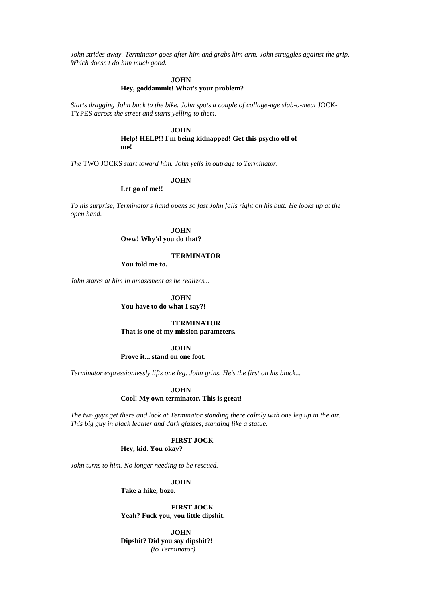*John strides away. Terminator goes after him and grabs him arm. John struggles against the grip. Which doesn't do him much good.*

### **JOHN**

# **Hey, goddammit! What's your problem?**

*Starts dragging John back to the bike. John spots a couple of collage-age slab-o-meat* JOCK-TYPES *across the street and starts yelling to them.*

# **JOHN Help! HELP!! I'm being kidnapped! Get this psycho off of me!**

*The* TWO JOCKS *start toward him. John yells in outrage to Terminator.*

# **JOHN**

**Let go of me!!**

*To his surprise, Terminator's hand opens so fast John falls right on his butt. He looks up at the open hand.*

# **JOHN**

**Oww! Why'd you do that?**

# **TERMINATOR**

**You told me to.**

*John stares at him in amazement as he realizes...*

**JOHN**

**You have to do what I say?!**

**TERMINATOR That is one of my mission parameters.**

# **JOHN**

**Prove it... stand on one foot.**

*Terminator expressionlessly lifts one leg. John grins. He's the first on his block...*

**JOHN**

**Cool! My own terminator. This is great!**

*The two guys get there and look at Terminator standing there calmly with one leg up in the air. This big guy in black leather and dark glasses, standing like a statue.*

# **FIRST JOCK**

**Hey, kid. You okay?**

*John turns to him. No longer needing to be rescued.*

**JOHN**

**Take a hike, bozo.**

**FIRST JOCK Yeah? Fuck you, you little dipshit.**

**JOHN Dipshit? Did you say dipshit?!** *(to Terminator)*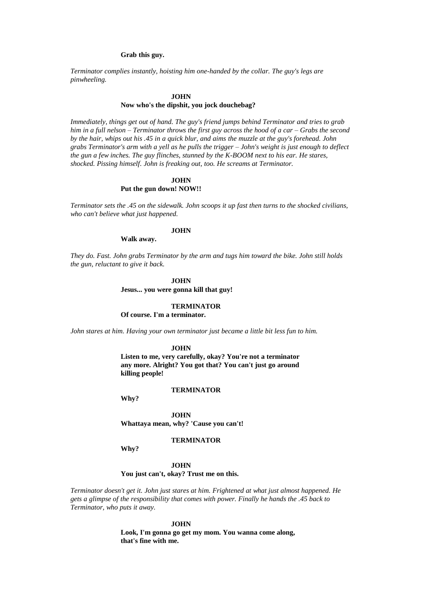### **Grab this guy.**

*Terminator complies instantly, hoisting him one-handed by the collar. The guy's legs are pinwheeling.*

# **JOHN**

# **Now who's the dipshit, you jock douchebag?**

*Immediately, things get out of hand. The guy's friend jumps behind Terminator and tries to grab him in a full nelson – Terminator throws the first guy across the hood of a car – Grabs the second by the hair, whips out his .45 in a quick blur, and aims the muzzle at the guy's forehead. John grabs Terminator's arm with a yell as he pulls the trigger – John's weight is just enough to deflect the gun a few inches. The guy flinches, stunned by the K-BOOM next to his ear. He stares, shocked. Pissing himself. John is freaking out, too. He screams at Terminator.*

# **JOHN**

### **Put the gun down! NOW!!**

*Terminator sets the .45 on the sidewalk. John scoops it up fast then turns to the shocked civilians, who can't believe what just happened.*

#### **JOHN**

**Walk away.**

*They do. Fast. John grabs Terminator by the arm and tugs him toward the bike. John still holds the gun, reluctant to give it back.*

### **JOHN**

**Jesus... you were gonna kill that guy!**

### **TERMINATOR**

### **Of course. I'm a terminator.**

*John stares at him. Having your own terminator just became a little bit less fun to him.*

#### **JOHN**

**Listen to me, very carefully, okay? You're not a terminator any more. Alright? You got that? You can't just go around killing people!**

#### **TERMINATOR**

**Why?**

**JOHN Whattaya mean, why? 'Cause you can't!**

### **TERMINATOR**

**Why?**

**JOHN You just can't, okay? Trust me on this.**

*Terminator doesn't get it. John just stares at him. Frightened at what just almost happened. He gets a glimpse of the responsibility that comes with power. Finally he hands the .45 back to Terminator, who puts it away.*

#### **JOHN**

**Look, I'm gonna go get my mom. You wanna come along, that's fine with me.**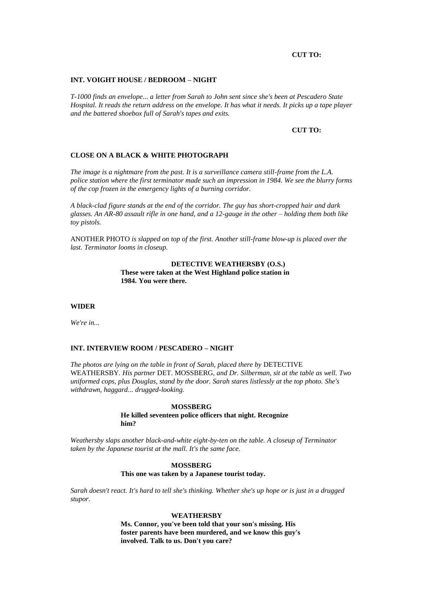### **CUT TO:**

#### **INT. VOIGHT HOUSE / BEDROOM – NIGHT**

*T-1000 finds an envelope... a letter from Sarah to John sent since she's been at Pescadero State Hospital. It reads the return address on the envelope. It has what it needs. It picks up a tape player and the battered shoebox full of Sarah's tapes and exits.*

# **CUT TO:**

### **CLOSE ON A BLACK & WHITE PHOTOGRAPH**

*The image is a nightmare from the past. It is a surveillance camera still-frame from the L.A. police station where the first terminator made such an impression in 1984. We see the blurry forms of the cop frozen in the emergency lights of a burning corridor.*

*A black-clad figure stands at the end of the corridor. The guy has short-cropped hair and dark glasses. An AR-80 assault rifle in one hand, and a 12-gauge in the other – holding them both like toy pistols.* 

ANOTHER PHOTO *is slapped on top of the first. Another still-frame blow-up is placed over the last. Terminator looms in closeup.*

# **DETECTIVE WEATHERSBY (O.S.) These were taken at the West Highland police station in 1984. You were there.**

# **WIDER**

*We're in...*

# **INT. INTERVIEW ROOM / PESCADERO – NIGHT**

*The photos are lying on the table in front of Sarah, placed there by* DETECTIVE WEATHERSBY*. His partner* DET. MOSSBERG*, and Dr. Silberman, sit at the table as well. Two uniformed cops, plus Douglas, stand by the door. Sarah stares listlessly at the top photo. She's withdrawn, haggard... drugged-looking.*

#### **MOSSBERG**

# **He killed seventeen police officers that night. Recognize him?**

*Weathersby slaps another black-and-white eight-by-ten on the table. A closeup of Terminator taken by the Japanese tourist at the mall. It's the same face.*

### **MOSSBERG This one was taken by a Japanese tourist today.**

*Sarah doesn't react. It's hard to tell she's thinking. Whether she's up hope or is just in a drugged stupor.*

### **WEATHERSBY**

**Ms. Connor, you've been told that your son's missing. His foster parents have been murdered, and we know this guy's involved. Talk to us. Don't you care?**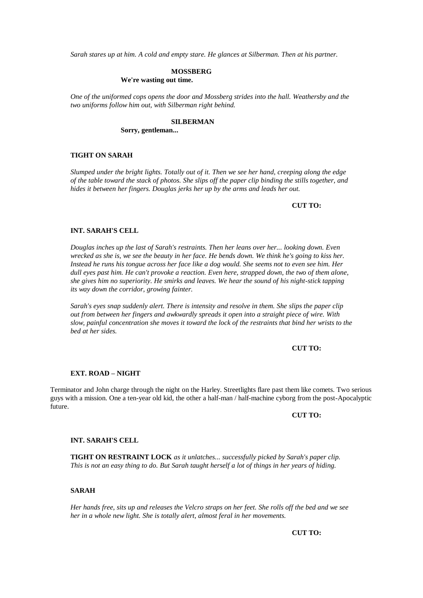*Sarah stares up at him. A cold and empty stare. He glances at Silberman. Then at his partner.*

### **MOSSBERG**

**We're wasting out time.**

*One of the uniformed cops opens the door and Mossberg strides into the hall. Weathersby and the two uniforms follow him out, with Silberman right behind.*

# **SILBERMAN**

**Sorry, gentleman...**

### **TIGHT ON SARAH**

*Slumped under the bright lights. Totally out of it. Then we see her hand, creeping along the edge of the table toward the stack of photos. She slips off the paper clip binding the stills together, and hides it between her fingers. Douglas jerks her up by the arms and leads her out.*

### **CUT TO:**

# **INT. SARAH'S CELL**

*Douglas inches up the last of Sarah's restraints. Then her leans over her... looking down. Even wrecked as she is, we see the beauty in her face. He bends down. We think he's going to kiss her. Instead he runs his tongue across her face like a dog would. She seems not to even see him. Her dull eyes past him. He can't provoke a reaction. Even here, strapped down, the two of them alone, she gives him no superiority. He smirks and leaves. We hear the sound of his night-stick tapping its way down the corridor, growing fainter.*

*Sarah's eyes snap suddenly alert. There is intensity and resolve in them. She slips the paper clip out from between her fingers and awkwardly spreads it open into a straight piece of wire. With slow, painful concentration she moves it toward the lock of the restraints that bind her wrists to the bed at her sides.*

# **CUT TO:**

#### **EXT. ROAD – NIGHT**

Terminator and John charge through the night on the Harley. Streetlights flare past them like comets. Two serious guys with a mission. One a ten-year old kid, the other a half-man / half-machine cyborg from the post-Apocalyptic future.

### **CUT TO:**

### **INT. SARAH'S CELL**

**TIGHT ON RESTRAINT LOCK** *as it unlatches... successfully picked by Sarah's paper clip. This is not an easy thing to do. But Sarah taught herself a lot of things in her years of hiding.*

### **SARAH**

*Her hands free, sits up and releases the Velcro straps on her feet. She rolls off the bed and we see her in a whole new light. She is totally alert, almost feral in her movements.*

# **CUT TO:**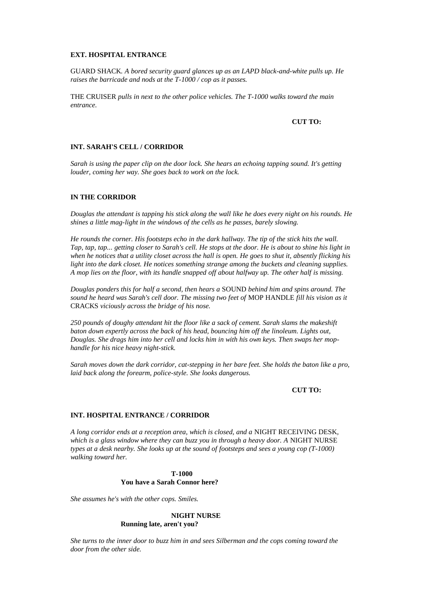### **EXT. HOSPITAL ENTRANCE**

GUARD SHACK*. A bored security guard glances up as an LAPD black-and-white pulls up. He raises the barricade and nods at the T-1000 / cop as it passes.*

THE CRUISER *pulls in next to the other police vehicles. The T-1000 walks toward the main entrance.*

### **CUT TO:**

# **INT. SARAH'S CELL / CORRIDOR**

*Sarah is using the paper clip on the door lock. She hears an echoing tapping sound. It's getting louder, coming her way. She goes back to work on the lock.*

### **IN THE CORRIDOR**

*Douglas the attendant is tapping his stick along the wall like he does every night on his rounds. He shines a little mag-light in the windows of the cells as he passes, barely slowing.*

*He rounds the corner. His footsteps echo in the dark hallway. The tip of the stick hits the wall. Tap, tap, tap... getting closer to Sarah's cell. He stops at the door. He is about to shine his light in when he notices that a utility closet across the hall is open. He goes to shut it, absently flicking his light into the dark closet. He notices something strange among the buckets and cleaning supplies. A mop lies on the floor, with its handle snapped off about halfway up. The other half is missing.*

*Douglas ponders this for half a second, then hears a* SOUND *behind him and spins around. The sound he heard was Sarah's cell door. The missing two feet of* MOP HANDLE *fill his vision as it*  CRACKS *viciously across the bridge of his nose.*

*250 pounds of doughy attendant hit the floor like a sack of cement. Sarah slams the makeshift baton down expertly across the back of his head, bouncing him off the linoleum. Lights out, Douglas. She drags him into her cell and locks him in with his own keys. Then swaps her mophandle for his nice heavy night-stick.*

*Sarah moves down the dark corridor, cat-stepping in her bare feet. She holds the baton like a pro, laid back along the forearm, police-style. She looks dangerous.*

### **CUT TO:**

### **INT. HOSPITAL ENTRANCE / CORRIDOR**

*A long corridor ends at a reception area, which is closed, and a* NIGHT RECEIVING DESK*, which is a glass window where they can buzz you in through a heavy door. A* NIGHT NURSE *types at a desk nearby. She looks up at the sound of footsteps and sees a young cop (T-1000) walking toward her.*

# **T-1000 You have a Sarah Connor here?**

*She assumes he's with the other cops. Smiles.*

# **NIGHT NURSE Running late, aren't you?**

*She turns to the inner door to buzz him in and sees Silberman and the cops coming toward the door from the other side.*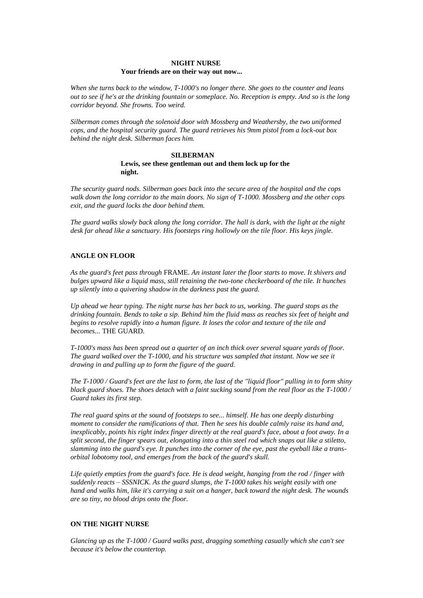# **NIGHT NURSE Your friends are on their way out now...**

*When she turns back to the window, T-1000's no longer there. She goes to the counter and leans out to see if he's at the drinking fountain or someplace. No. Reception is empty. And so is the long corridor beyond. She frowns. Too weird.*

*Silberman comes through the solenoid door with Mossberg and Weathersby, the two uniformed cops, and the hospital security guard. The guard retrieves his 9mm pistol from a lock-out box behind the night desk. Silberman faces him.*

# **SILBERMAN Lewis, see these gentleman out and them lock up for the night.**

*The security guard nods. Silberman goes back into the secure area of the hospital and the cops walk down the long corridor to the main doors. No sign of T-1000. Mossberg and the other cops exit, and the guard locks the door behind them.*

*The guard walks slowly back along the long corridor. The hall is dark, with the light at the night desk far ahead like a sanctuary. His footsteps ring hollowly on the tile floor. His keys jingle.*

# **ANGLE ON FLOOR**

*As the guard's feet pass through* FRAME*. An instant later the floor starts to move. It shivers and bulges upward like a liquid mass, still retaining the two-tone checkerboard of the tile. It hunches up silently into a quivering shadow in the darkness past the guard.*

*Up ahead we hear typing. The night nurse has her back to us, working. The guard stops as the drinking fountain. Bends to take a sip. Behind him the fluid mass as reaches six feet of height and begins to resolve rapidly into a human figure. It loses the color and texture of the tile and becomes...* THE GUARD*.*

*T-1000's mass has been spread out a quarter of an inch thick over several square yards of floor. The guard walked over the T-1000, and his structure was sampled that instant. Now we see it drawing in and pulling up to form the figure of the guard.*

*The T-1000 / Guard's feet are the last to form, the last of the "liquid floor" pulling in to form shiny black guard shoes. The shoes detach with a faint sucking sound from the real floor as the T-1000 / Guard takes its first step.*

*The real guard spins at the sound of footsteps to see... himself. He has one deeply disturbing moment to consider the ramifications of that. Then he sees his double calmly raise its hand and, inexplicably, points his right index finger directly at the real guard's face, about a foot away. In a split second, the finger spears out, elongating into a thin steel rod which snaps out like a stiletto, slamming into the guard's eye. It punches into the corner of the eye, past the eyeball like a transorbital lobotomy tool, and emerges from the back of the guard's skull.*

*Life quietly empties from the guard's face. He is dead weight, hanging from the rod / finger with suddenly reacts – SSSNICK. As the guard slumps, the T-1000 takes his weight easily with one hand and walks him, like it's carrying a suit on a hanger, back toward the night desk. The wounds are so tiny, no blood drips onto the floor.*

# **ON THE NIGHT NURSE**

*Glancing up as the T-1000 / Guard walks past, dragging something casually which she can't see because it's below the countertop.*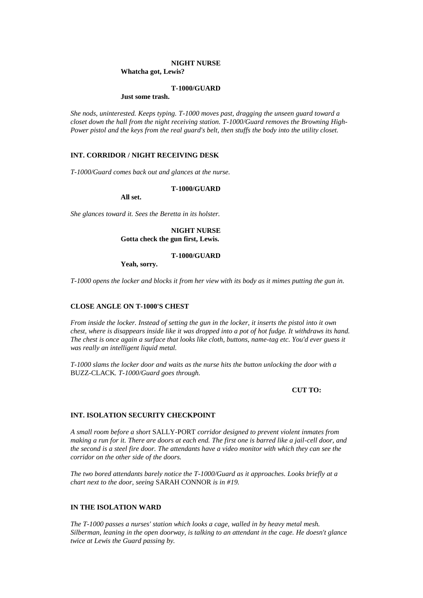#### **NIGHT NURSE**

**Whatcha got, Lewis?**

# **T-1000/GUARD**

# **Just some trash.**

*She nods, uninterested. Keeps typing. T-1000 moves past, dragging the unseen guard toward a closet down the hall from the night receiving station. T-1000/Guard removes the Browning High-Power pistol and the keys from the real guard's belt, then stuffs the body into the utility closet.*

# **INT. CORRIDOR / NIGHT RECEIVING DESK**

*T-1000/Guard comes back out and glances at the nurse.*

#### **T-1000/GUARD**

**All set.**

*She glances toward it. Sees the Beretta in its holster.*

# **NIGHT NURSE Gotta check the gun first, Lewis.**

# **T-1000/GUARD**

**Yeah, sorry.**

*T-1000 opens the locker and blocks it from her view with its body as it mimes putting the gun in.*

# **CLOSE ANGLE ON T-1000'S CHEST**

*From inside the locker. Instead of setting the gun in the locker, it inserts the pistol into it own chest, where is disappears inside like it was dropped into a pot of hot fudge. It withdraws its hand. The chest is once again a surface that looks like cloth, buttons, name-tag etc. You'd ever guess it was really an intelligent liquid metal.*

*T-1000 slams the locker door and waits as the nurse hits the button unlocking the door with a*  BUZZ-CLACK*. T-1000/Guard goes through.*

### **CUT TO:**

# **INT. ISOLATION SECURITY CHECKPOINT**

*A small room before a short* SALLY-PORT *corridor designed to prevent violent inmates from making a run for it. There are doors at each end. The first one is barred like a jail-cell door, and the second is a steel fire door. The attendants have a video monitor with which they can see the corridor on the other side of the doors.*

*The two bored attendants barely notice the T-1000/Guard as it approaches. Looks briefly at a chart next to the door, seeing* SARAH CONNOR *is in #19.*

# **IN THE ISOLATION WARD**

*The T-1000 passes a nurses' station which looks a cage, walled in by heavy metal mesh. Silberman, leaning in the open doorway, is talking to an attendant in the cage. He doesn't glance twice at Lewis the Guard passing by.*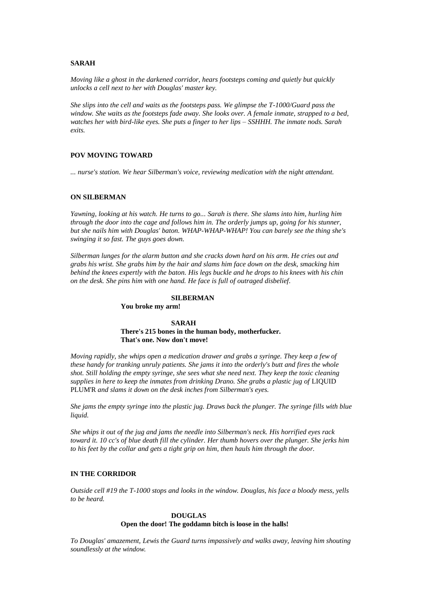### **SARAH**

*Moving like a ghost in the darkened corridor, hears footsteps coming and quietly but quickly unlocks a cell next to her with Douglas' master key.*

*She slips into the cell and waits as the footsteps pass. We glimpse the T-1000/Guard pass the window. She waits as the footsteps fade away. She looks over. A female inmate, strapped to a bed, watches her with bird-like eyes. She puts a finger to her lips – SSHHH. The inmate nods. Sarah exits.*

### **POV MOVING TOWARD**

*... nurse's station. We hear Silberman's voice, reviewing medication with the night attendant.*

# **ON SILBERMAN**

*Yawning, looking at his watch. He turns to go... Sarah is there. She slams into him, hurling him through the door into the cage and follows him in. The orderly jumps up, going for his stunner, but she nails him with Douglas' baton. WHAP-WHAP-WHAP! You can barely see the thing she's swinging it so fast. The guys goes down.*

*Silberman lunges for the alarm button and she cracks down hard on his arm. He cries out and grabs his wrist. She grabs him by the hair and slams him face down on the desk, smacking him behind the knees expertly with the baton. His legs buckle and he drops to his knees with his chin on the desk. She pins him with one hand. He face is full of outraged disbelief.*

# **SILBERMAN**

**You broke my arm!**

**SARAH There's 215 bones in the human body, motherfucker. That's one. Now don't move!**

*Moving rapidly, she whips open a medication drawer and grabs a syringe. They keep a few of these handy for tranking unruly patients. She jams it into the orderly's butt and fires the whole shot. Still holding the empty syringe, she sees what she need next. They keep the toxic cleaning supplies in here to keep the inmates from drinking Drano. She grabs a plastic jug of LIQUID* PLUM'R *and slams it down on the desk inches from Silberman's eyes.*

*She jams the empty syringe into the plastic jug. Draws back the plunger. The syringe fills with blue liquid.*

*She whips it out of the jug and jams the needle into Silberman's neck. His horrified eyes rack toward it. 10 cc's of blue death fill the cylinder. Her thumb hovers over the plunger. She jerks him to his feet by the collar and gets a tight grip on him, then hauls him through the door.*

# **IN THE CORRIDOR**

*Outside cell #19 the T-1000 stops and looks in the window. Douglas, his face a bloody mess, yells to be heard.*

#### **DOUGLAS**

### **Open the door! The goddamn bitch is loose in the halls!**

*To Douglas' amazement, Lewis the Guard turns impassively and walks away, leaving him shouting soundlessly at the window.*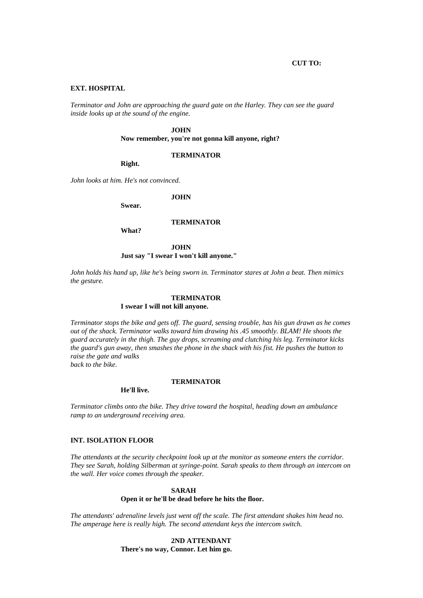# **CUT TO:**

### **EXT. HOSPITAL**

*Terminator and John are approaching the guard gate on the Harley. They can see the guard inside looks up at the sound of the engine.*

# **JOHN**

# **Now remember, you're not gonna kill anyone, right?**

# **TERMINATOR**

# **Right.**

*John looks at him. He's not convinced.*

### **JOHN**

**Swear.**

# **TERMINATOR**

**What?**

# **JOHN Just say "I swear I won't kill anyone."**

*John holds his hand up, like he's being sworn in. Terminator stares at John a beat. Then mimics the gesture.*

### **TERMINATOR**

### **I swear I will not kill anyone.**

*Terminator stops the bike and gets off. The guard, sensing trouble, has his gun drawn as he comes out of the shack. Terminator walks toward him drawing his .45 smoothly. BLAM! He shoots the guard accurately in the thigh. The guy drops, screaming and clutching his leg. Terminator kicks the guard's gun away, then smashes the phone in the shack with his fist. He pushes the button to raise the gate and walks*

*back to the bike.*

### **TERMINATOR**

#### **He'll live.**

*Terminator climbs onto the bike. They drive toward the hospital, heading down an ambulance ramp to an underground receiving area.*

# **INT. ISOLATION FLOOR**

*The attendants at the security checkpoint look up at the monitor as someone enters the corridor. They see Sarah, holding Silberman at syringe-point. Sarah speaks to them through an intercom on the wall. Her voice comes through the speaker.*

#### **SARAH**

# **Open it or he'll be dead before he hits the floor.**

*The attendants' adrenaline levels just went off the scale. The first attendant shakes him head no. The amperage here is really high. The second attendant keys the intercom switch.*

> **2ND ATTENDANT There's no way, Connor. Let him go.**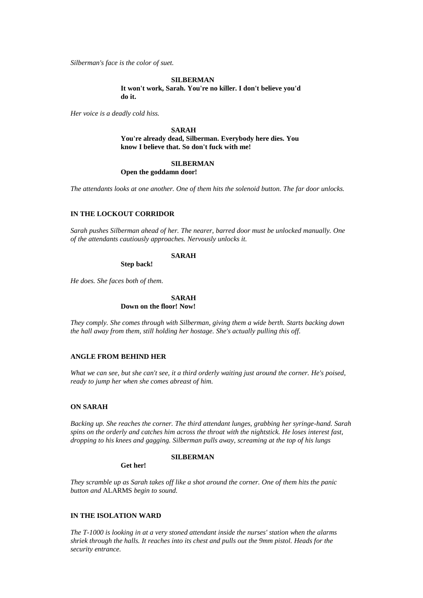*Silberman's face is the color of suet.*

**SILBERMAN It won't work, Sarah. You're no killer. I don't believe you'd do it.**

*Her voice is a deadly cold hiss.*

**SARAH You're already dead, Silberman. Everybody here dies. You know I believe that. So don't fuck with me!**

# **SILBERMAN**

**Open the goddamn door!**

*The attendants looks at one another. One of them hits the solenoid button. The far door unlocks.*

# **IN THE LOCKOUT CORRIDOR**

*Sarah pushes Silberman ahead of her. The nearer, barred door must be unlocked manually. One of the attendants cautiously approaches. Nervously unlocks it.*

# **SARAH**

**Step back!**

*He does. She faces both of them.*

### **SARAH Down on the floor! Now!**

*They comply. She comes through with Silberman, giving them a wide berth. Starts backing down the hall away from them, still holding her hostage. She's actually pulling this off.*

#### **ANGLE FROM BEHIND HER**

*What we can see, but she can't see, it a third orderly waiting just around the corner. He's poised, ready to jump her when she comes abreast of him.*

#### **ON SARAH**

*Backing up. She reaches the corner. The third attendant lunges, grabbing her syringe-hand. Sarah spins on the orderly and catches him across the throat with the nightstick. He loses interest fast, dropping to his knees and gagging. Silberman pulls away, screaming at the top of his lungs*

#### **SILBERMAN**

**Get her!**

*They scramble up as Sarah takes off like a shot around the corner. One of them hits the panic button and* ALARMS *begin to sound.*

# **IN THE ISOLATION WARD**

*The T-1000 is looking in at a very stoned attendant inside the nurses' station when the alarms shriek through the halls. It reaches into its chest and pulls out the 9mm pistol. Heads for the security entrance.*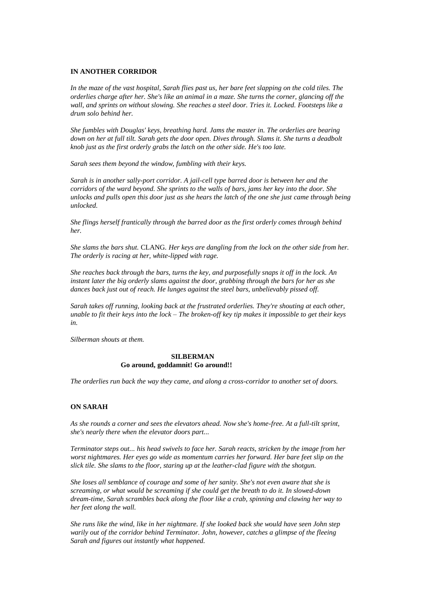### **IN ANOTHER CORRIDOR**

*In the maze of the vast hospital, Sarah flies past us, her bare feet slapping on the cold tiles. The orderlies charge after her. She's like an animal in a maze. She turns the corner, glancing off the wall, and sprints on without slowing. She reaches a steel door. Tries it. Locked. Footsteps like a drum solo behind her.*

*She fumbles with Douglas' keys, breathing hard. Jams the master in. The orderlies are bearing down on her at full tilt. Sarah gets the door open. Dives through. Slams it. She turns a deadbolt knob just as the first orderly grabs the latch on the other side. He's too late.*

*Sarah sees them beyond the window, fumbling with their keys.*

*Sarah is in another sally-port corridor. A jail-cell type barred door is between her and the corridors of the ward beyond. She sprints to the walls of bars, jams her key into the door. She unlocks and pulls open this door just as she hears the latch of the one she just came through being unlocked.*

*She flings herself frantically through the barred door as the first orderly comes through behind her.*

*She slams the bars shut.* CLANG*. Her keys are dangling from the lock on the other side from her. The orderly is racing at her, white-lipped with rage.*

*She reaches back through the bars, turns the key, and purposefully snaps it off in the lock. An instant later the big orderly slams against the door, grabbing through the bars for her as she dances back just out of reach. He lunges against the steel bars, unbelievably pissed off.*

*Sarah takes off running, looking back at the frustrated orderlies. They're shouting at each other, unable to fit their keys into the lock – The broken-off key tip makes it impossible to get their keys in.* 

*Silberman shouts at them.*

# **SILBERMAN Go around, goddamnit! Go around!!**

*The orderlies run back the way they came, and along a cross-corridor to another set of doors.*

### **ON SARAH**

*As she rounds a corner and sees the elevators ahead. Now she's home-free. At a full-tilt sprint, she's nearly there when the elevator doors part...*

*Terminator steps out... his head swivels to face her. Sarah reacts, stricken by the image from her worst nightmares. Her eyes go wide as momentum carries her forward. Her bare feet slip on the slick tile. She slams to the floor, staring up at the leather-clad figure with the shotgun.*

*She loses all semblance of courage and some of her sanity. She's not even aware that she is screaming, or what would be screaming if she could get the breath to do it. In slowed-down dream-time, Sarah scrambles back along the floor like a crab, spinning and clawing her way to her feet along the wall.*

*She runs like the wind, like in her nightmare. If she looked back she would have seen John step warily out of the corridor behind Terminator. John, however, catches a glimpse of the fleeing Sarah and figures out instantly what happened.*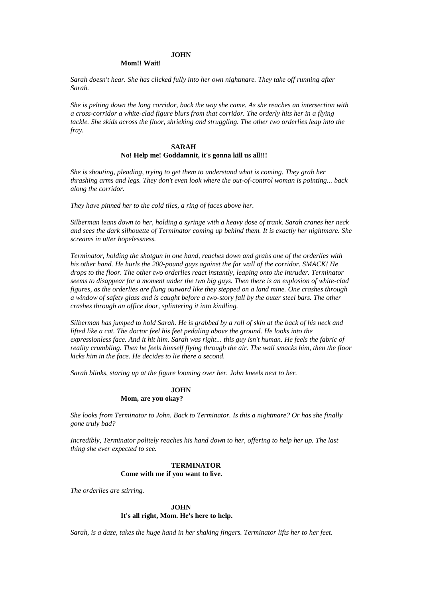# **JOHN**

# **Mom!! Wait!**

*Sarah doesn't hear. She has clicked fully into her own nightmare. They take off running after Sarah.*

*She is pelting down the long corridor, back the way she came. As she reaches an intersection with a cross-corridor a white-clad figure blurs from that corridor. The orderly hits her in a flying tackle. She skids across the floor, shrieking and struggling. The other two orderlies leap into the fray.*

# **SARAH No! Help me! Goddamnit, it's gonna kill us all!!!**

*She is shouting, pleading, trying to get them to understand what is coming. They grab her thrashing arms and legs. They don't even look where the out-of-control woman is pointing... back along the corridor.*

*They have pinned her to the cold tiles, a ring of faces above her.*

*Silberman leans down to her, holding a syringe with a heavy dose of trank. Sarah cranes her neck and sees the dark silhouette of Terminator coming up behind them. It is exactly her nightmare. She screams in utter hopelessness.*

*Terminator, holding the shotgun in one hand, reaches down and grabs one of the orderlies with his other hand. He hurls the 200-pound guys against the far wall of the corridor. SMACK! He drops to the floor. The other two orderlies react instantly, leaping onto the intruder. Terminator seems to disappear for a moment under the two big guys. Then there is an explosion of white-clad figures, as the orderlies are flung outward like they stepped on a land mine. One crashes through a window of safety glass and is caught before a two-story fall by the outer steel bars. The other crashes through an office door, splintering it into kindling.*

*Silberman has jumped to hold Sarah. He is grabbed by a roll of skin at the back of his neck and lifted like a cat. The doctor feel his feet pedaling above the ground. He looks into the expressionless face. And it hit him. Sarah was right... this guy isn't human. He feels the fabric of reality crumbling. Then he feels himself flying through the air. The wall smacks him, then the floor kicks him in the face. He decides to lie there a second.*

*Sarah blinks, staring up at the figure looming over her. John kneels next to her.*

# **JOHN Mom, are you okay?**

*She looks from Terminator to John. Back to Terminator. Is this a nightmare? Or has she finally gone truly bad?*

*Incredibly, Terminator politely reaches his hand down to her, offering to help her up. The last thing she ever expected to see.*

# **TERMINATOR Come with me if you want to live.**

*The orderlies are stirring.*

**JOHN**

# **It's all right, Mom. He's here to help.**

*Sarah, is a daze, takes the huge hand in her shaking fingers. Terminator lifts her to her feet.*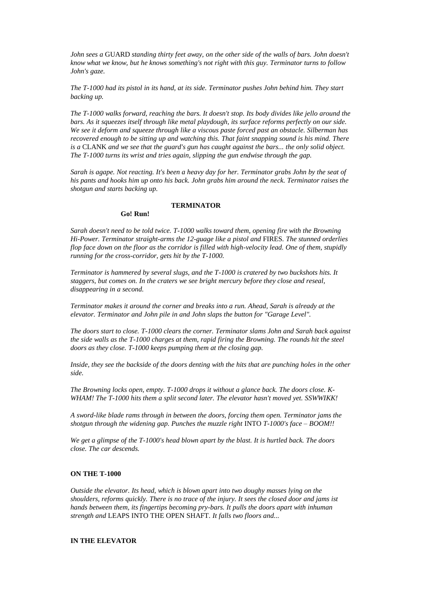*John sees a* GUARD *standing thirty feet away, on the other side of the walls of bars. John doesn't know what we know, but he knows something's not right with this guy. Terminator turns to follow John's gaze.*

*The T-1000 had its pistol in its hand, at its side. Terminator pushes John behind him. They start backing up.*

*The T-1000 walks forward, reaching the bars. It doesn't stop. Its body divides like jello around the bars. As it squeezes itself through like metal playdough, its surface reforms perfectly on our side. We see it deform and squeeze through like a viscous paste forced past an obstacle. Silberman has recovered enough to be sitting up and watching this. That faint snapping sound is his mind. There is a* CLANK *and we see that the guard's gun has caught against the bars... the only solid object. The T-1000 turns its wrist and tries again, slipping the gun endwise through the gap.*

*Sarah is agape. Not reacting. It's been a heavy day for her. Terminator grabs John by the seat of his pants and hooks him up onto his back. John grabs him around the neck. Terminator raises the shotgun and starts backing up.*

# **TERMINATOR**

# **Go! Run!**

*Sarah doesn't need to be told twice. T-1000 walks toward them, opening fire with the Browning Hi-Power. Terminator straight-arms the 12-guage like a pistol and* FIRES*. The stunned orderlies flop face down on the floor as the corridor is filled with high-velocity lead. One of them, stupidly running for the cross-corridor, gets hit by the T-1000.*

*Terminator is hammered by several slugs, and the T-1000 is cratered by two buckshots hits. It staggers, but comes on. In the craters we see bright mercury before they close and reseal, disappearing in a second.*

*Terminator makes it around the corner and breaks into a run. Ahead, Sarah is already at the elevator. Terminator and John pile in and John slaps the button for "Garage Level".*

*The doors start to close. T-1000 clears the corner. Terminator slams John and Sarah back against the side walls as the T-1000 charges at them, rapid firing the Browning. The rounds hit the steel doors as they close. T-1000 keeps pumping them at the closing gap.* 

*Inside, they see the backside of the doors denting with the hits that are punching holes in the other side.*

*The Browning locks open, empty. T-1000 drops it without a glance back. The doors close. K-WHAM! The T-1000 hits them a split second later. The elevator hasn't moved yet. SSWWIKK!*

*A sword-like blade rams through in between the doors, forcing them open. Terminator jams the shotgun through the widening gap. Punches the muzzle right* INTO *T-1000's face – BOOM!!* 

*We get a glimpse of the T-1000's head blown apart by the blast. It is hurtled back. The doors close. The car descends.*

# **ON THE T-1000**

*Outside the elevator. Its head, which is blown apart into two doughy masses lying on the shoulders, reforms quickly. There is no trace of the injury. It sees the closed door and jams ist hands between them, its fingertips becoming pry-bars. It pulls the doors apart with inhuman strength and* LEAPS INTO THE OPEN SHAFT*. It falls two floors and...*

# **IN THE ELEVATOR**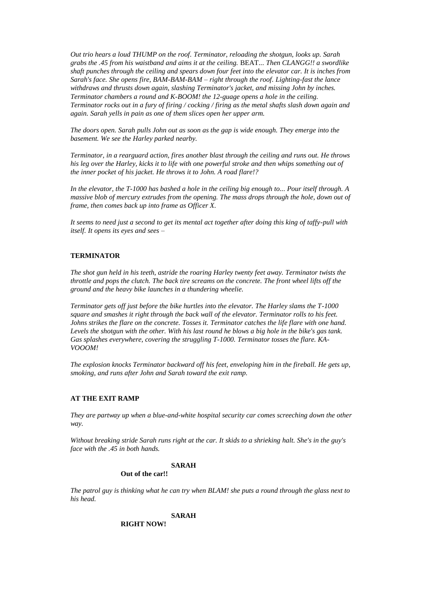*Out trio hears a loud THUMP on the roof. Terminator, reloading the shotgun, looks up. Sarah grabs the .45 from his waistband and aims it at the ceiling.* BEAT*... Then CLANGG!! a swordlike shaft punches through the ceiling and spears down four feet into the elevator car. It is inches from Sarah's face. She opens fire, BAM-BAM-BAM – right through the roof. Lighting-fast the lance withdraws and thrusts down again, slashing Terminator's jacket, and missing John by inches. Terminator chambers a round and K-BOOM! the 12-guage opens a hole in the ceiling. Terminator rocks out in a fury of firing / cocking / firing as the metal shafts slash down again and again. Sarah yells in pain as one of them slices open her upper arm.*

*The doors open. Sarah pulls John out as soon as the gap is wide enough. They emerge into the basement. We see the Harley parked nearby.*

*Terminator, in a rearguard action, fires another blast through the ceiling and runs out. He throws his leg over the Harley, kicks it to life with one powerful stroke and then whips something out of the inner pocket of his jacket. He throws it to John. A road flare!?*

*In the elevator, the T-1000 has bashed a hole in the ceiling big enough to... Pour itself through. A massive blob of mercury extrudes from the opening. The mass drops through the hole, down out of frame, then comes back up into frame as Officer X.*

*It seems to need just a second to get its mental act together after doing this king of taffy-pull with itself. It opens its eyes and sees –*

# **TERMINATOR**

*The shot gun held in his teeth, astride the roaring Harley twenty feet away. Terminator twists the throttle and pops the clutch. The back tire screams on the concrete. The front wheel lifts off the ground and the heavy bike launches in a thundering wheelie.*

*Terminator gets off just before the bike hurtles into the elevator. The Harley slams the T-1000 square and smashes it right through the back wall of the elevator. Terminator rolls to his feet. Johns strikes the flare on the concrete. Tosses it. Terminator catches the life flare with one hand. Levels the shotgun with the other. With his last round he blows a big hole in the bike's gas tank. Gas splashes everywhere, covering the struggling T-1000. Terminator tosses the flare. KA-VOOOM!*

*The explosion knocks Terminator backward off his feet, enveloping him in the fireball. He gets up, smoking, and runs after John and Sarah toward the exit ramp.*

### **AT THE EXIT RAMP**

*They are partway up when a blue-and-white hospital security car comes screeching down the other way.*

*Without breaking stride Sarah runs right at the car. It skids to a shrieking halt. She's in the guy's face with the .45 in both hands.* 

### **SARAH**

# **Out of the car!!**

*The patrol guy is thinking what he can try when BLAM! she puts a round through the glass next to his head.*

#### **SARAH RIGHT NOW!**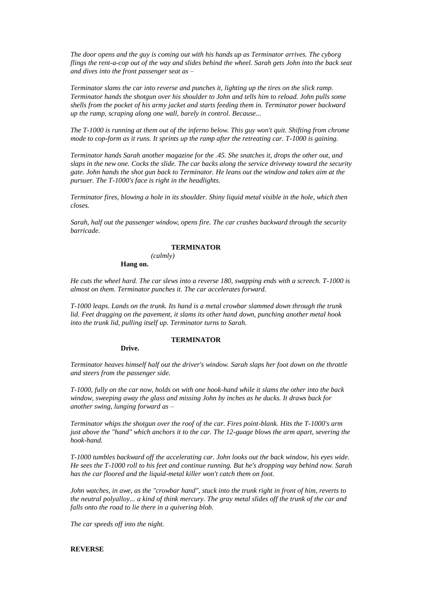*The door opens and the guy is coming out with his hands up as Terminator arrives. The cyborg flings the rent-a-cop out of the way and slides behind the wheel. Sarah gets John into the back seat and dives into the front passenger seat as –*

*Terminator slams the car into reverse and punches it, lighting up the tires on the slick ramp. Terminator hands the shotgun over his shoulder to John and tells him to reload. John pulls some shells from the pocket of his army jacket and starts feeding them in. Terminator power backward up the ramp, scraping along one wall, barely in control. Because...*

*The T-1000 is running at them out of the inferno below. This guy won't quit. Shifting from chrome mode to cop-form as it runs. It sprints up the ramp after the retreating car. T-1000 is gaining.*

*Terminator hands Sarah another magazine for the .45. She snatches it, drops the other out, and slaps in the new one. Cocks the slide. The car backs along the service driveway toward the security gate. John hands the shot gun back to Terminator. He leans out the window and takes aim at the pursuer. The T-1000's face is right in the headlights.* 

*Terminator fires, blowing a hole in its shoulder. Shiny liquid metal visible in the hole, which then closes.*

*Sarah, half out the passenger window, opens fire. The car crashes backward through the security barricade.*

# **TERMINATOR**

*(calmly)* **Hang on.**

*He cuts the wheel hard. The car slews into a reverse 180, swapping ends with a screech. T-1000 is almost on them. Terminator punches it. The car accelerates forward.*

*T-1000 leaps. Lands on the trunk. Its hand is a metal crowbar slammed down through the trunk lid. Feet dragging on the pavement, it slams its other hand down, punching another metal hook into the trunk lid, pulling itself up. Terminator turns to Sarah.*

# **TERMINATOR**

**Drive.**

*Terminator heaves himself half out the driver's window. Sarah slaps her foot down on the throttle and steers from the passenger side.*

*T-1000, fully on the car now, holds on with one hook-hand while it slams the other into the back window, sweeping away the glass and missing John by inches as he ducks. It draws back for another swing, lunging forward as –*

*Terminator whips the shotgun over the roof of the car. Fires point-blank. Hits the T-1000's arm just above the "hand" which anchors it to the car. The 12-guage blows the arm apart, severing the hook-hand.*

*T-1000 tumbles backward off the accelerating car. John looks out the back window, his eyes wide. He sees the T-1000 roll to his feet and continue running. But he's dropping way behind now. Sarah has the car floored and the liquid-metal killer won't catch them on foot.*

*John watches, in awe, as the "crowbar hand", stuck into the trunk right in front of him, reverts to the neutral polyalloy... a kind of think mercury. The gray metal slides off the trunk of the car and falls onto the road to lie there in a quivering blob.*

*The car speeds off into the night.*

# **REVERSE**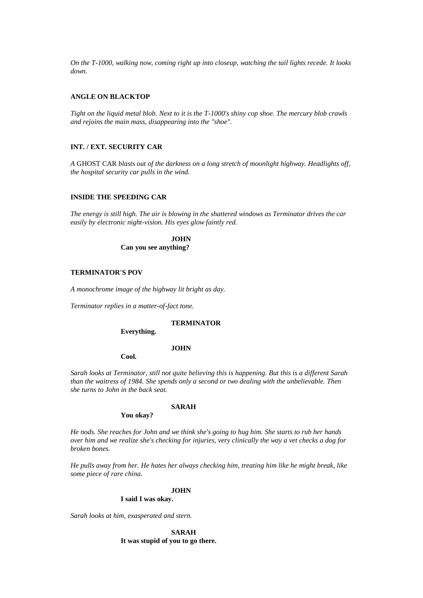*On the T-1000, walking now, coming right up into closeup, watching the tail lights recede. It looks down.*

# **ANGLE ON BLACKTOP**

*Tight on the liquid metal blob. Next to it is the T-1000's shiny cop shoe. The mercury blob crawls and rejoins the main mass, disappearing into the "shoe".*

# **INT. / EXT. SECURITY CAR**

*A* GHOST CAR *blasts out of the darkness on a long stretch of moonlight highway. Headlights off, the hospital security car pulls in the wind.*

# **INSIDE THE SPEEDING CAR**

*The energy is still high. The air is blowing in the shattered windows as Terminator drives the car easily by electronic night-vision. His eyes glow faintly red.*

> **JOHN Can you see anything?**

# **TERMINATOR'S POV**

*A monochrome image of the highway lit bright as day.*

*Terminator replies in a matter-of-fact tone.*

# **TERMINATOR**

**Everything.**

**JOHN**

**Cool.**

*Sarah looks at Terminator, still not quite believing this is happening. But this is a different Sarah than the waitress of 1984. She spends only a second or two dealing with the unbelievable. Then she turns to John in the back seat.*

#### **SARAH**

### **You okay?**

*He nods. She reaches for John and we think she's going to hug him. She starts to rub her hands over him and we realize she's checking for injuries, very clinically the way a vet checks a dog for broken bones.*

*He pulls away from her. He hates her always checking him, treating him like he might break, like some piece of rare china.*

### **JOHN**

# **I said I was okay.**

*Sarah looks at him, exasperated and stern.*

**SARAH It was stupid of you to go there.**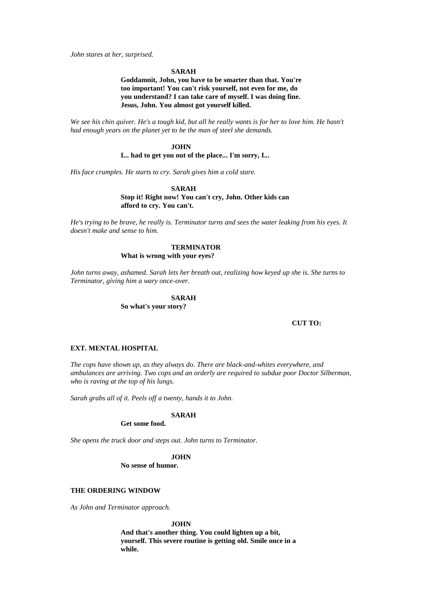*John stares at her, surprised.*

#### **SARAH**

**Goddamnit, John, you have to be smarter than that. You're too important! You can't risk yourself, not even for me, do you understand? I can take care of myself. I was doing fine. Jesus, John. You almost got yourself killed.**

*We see his chin quiver. He's a tough kid, but all he really wants is for her to love him. He hasn't had enough years on the planet yet to be the man of steel she demands.*

#### **JOHN**

**I... had to get you out of the place... I'm sorry, I...**

*His face crumples. He starts to cry. Sarah gives him a cold stare.*

**SARAH Stop it! Right now! You can't cry, John. Other kids can afford to cry. You can't.**

*He's trying to be brave, he really is. Terminator turns and sees the water leaking from his eyes. It doesn't make and sense to him.*

# **TERMINATOR**

**What is wrong with your eyes?**

*John turns away, ashamed. Sarah lets her breath out, realizing how keyed up she is. She turns to Terminator, giving him a wary once-over.*

#### **SARAH**

**So what's your story?**

# **CUT TO:**

# **EXT. MENTAL HOSPITAL**

*The cops have shown up, as they always do. There are black-and-whites everywhere, and ambulances are arriving. Two cops and an orderly are required to subdue poor Doctor Silberman, who is raving at the top of his lungs.*

*Sarah grabs all of it. Peels off a twenty, hands it to John.*

### **SARAH**

# **Get some food.**

*She opens the truck door and steps out. John turns to Terminator.*

#### **JOHN**

**No sense of humor.**

### **THE ORDERING WINDOW**

*As John and Terminator approach.*

#### **JOHN**

**And that's another thing. You could lighten up a bit, yourself. This severe routine is getting old. Smile once in a while.**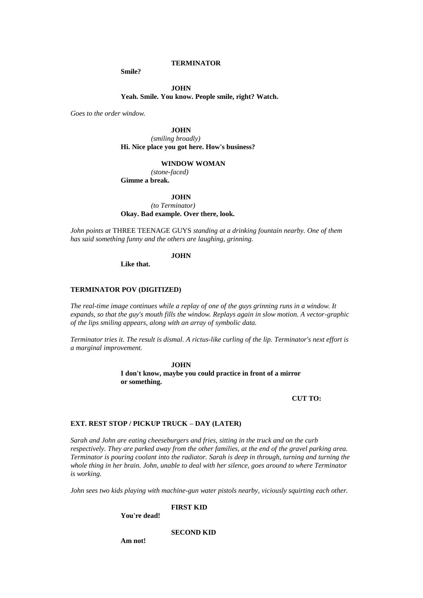### **TERMINATOR**

**Smile?**

**JOHN Yeah. Smile. You know. People smile, right? Watch.**

*Goes to the order window.*

**JOHN** *(smiling broadly)* **Hi. Nice place you got here. How's business?**

### **WINDOW WOMAN**

*(stone-faced)*

**Gimme a break.**

# **JOHN** *(to Terminator)* **Okay. Bad example. Over there, look.**

*John points at* THREE TEENAGE GUYS *standing at a drinking fountain nearby. One of them has said something funny and the others are laughing, grinning.*

# **JOHN**

**Like that.**

# **TERMINATOR POV (DIGITIZED)**

*The real-time image continues while a replay of one of the guys grinning runs in a window. It expands, so that the guy's mouth fills the window. Replays again in slow motion. A vector-graphic of the lips smiling appears, along with an array of symbolic data.*

*Terminator tries it. The result is dismal. A rictus-like curling of the lip. Terminator's next effort is a marginal improvement.*

> **JOHN I don't know, maybe you could practice in front of a mirror or something.**

> > **CUT TO:**

# **EXT. REST STOP / PICKUP TRUCK – DAY (LATER)**

*Sarah and John are eating cheeseburgers and fries, sitting in the truck and on the curb respectively. They are parked away from the other families, at the end of the gravel parking area. Terminator is pouring coolant into the radiator. Sarah is deep in through, turning and turning the whole thing in her brain. John, unable to deal with her silence, goes around to where Terminator is working.*

*John sees two kids playing with machine-gun water pistols nearby, viciously squirting each other.*

#### **FIRST KID**

**You're dead!**

#### **SECOND KID**

**Am not!**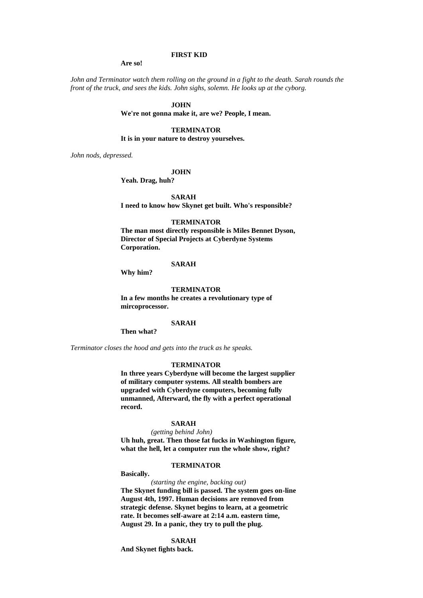# **FIRST KID**

### **Are so!**

*John and Terminator watch them rolling on the ground in a fight to the death. Sarah rounds the front of the truck, and sees the kids. John sighs, solemn. He looks up at the cyborg.*

# **JOHN**

**We're not gonna make it, are we? People, I mean.**

#### **TERMINATOR**

**It is in your nature to destroy yourselves.**

*John nods, depressed.*

#### **JOHN**

**Yeah. Drag, huh?**

#### **SARAH**

**I need to know how Skynet get built. Who's responsible?**

# **TERMINATOR**

**The man most directly responsible is Miles Bennet Dyson, Director of Special Projects at Cyberdyne Systems Corporation.**

#### **SARAH**

**Why him?**

# **TERMINATOR**

**In a few months he creates a revolutionary type of mircoprocessor.**

### **SARAH**

**Then what?**

*Terminator closes the hood and gets into the truck as he speaks.*

# **TERMINATOR**

**In three years Cyberdyne will become the largest supplier of military computer systems. All stealth bombers are upgraded with Cyberdyne computers, becoming fully unmanned, Afterward, the fly with a perfect operational record.**

#### **SARAH**

*(getting behind John)* **Uh huh, great. Then those fat fucks in Washington figure,** 

**what the hell, let a computer run the whole show, right?**

#### **TERMINATOR**

**Basically.**

#### *(starting the engine, backing out)*

**The Skynet funding bill is passed. The system goes on-line August 4th, 1997. Human decisions are removed from strategic defense. Skynet begins to learn, at a geometric rate. It becomes self-aware at 2:14 a.m. eastern time, August 29. In a panic, they try to pull the plug.**

### **SARAH**

**And Skynet fights back.**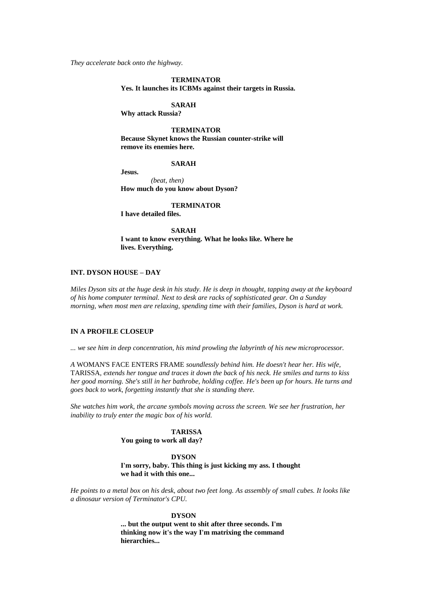*They accelerate back onto the highway.*

**Jesus.**

### **TERMINATOR**

**Yes. It launches its ICBMs against their targets in Russia.**

#### **SARAH**

**Why attack Russia?**

### **TERMINATOR**

**Because Skynet knows the Russian counter-strike will remove its enemies here.**

# **SARAH**

*(beat, then)* **How much do you know about Dyson?**

**TERMINATOR**

**I have detailed files.**

**SARAH I want to know everything. What he looks like. Where he lives. Everything.**

### **INT. DYSON HOUSE – DAY**

*Miles Dyson sits at the huge desk in his study. He is deep in thought, tapping away at the keyboard of his home computer terminal. Next to desk are racks of sophisticated gear. On a Sunday morning, when most men are relaxing, spending time with their families, Dyson is hard at work.*

# **IN A PROFILE CLOSEUP**

*... we see him in deep concentration, his mind prowling the labyrinth of his new microprocessor.*

*A* WOMAN'S FACE ENTERS FRAME *soundlessly behind him. He doesn't hear her. His wife,*  TARISSA*, extends her tongue and traces it down the back of his neck. He smiles and turns to kiss her good morning. She's still in her bathrobe, holding coffee. He's been up for hours. He turns and goes back to work, forgetting instantly that she is standing there.*

*She watches him work, the arcane symbols moving across the screen. We see her frustration, her inability to truly enter the magic box of his world.*

# **TARISSA**

**You going to work all day?**

### **DYSON**

**I'm sorry, baby. This thing is just kicking my ass. I thought we had it with this one...**

*He points to a metal box on his desk, about two feet long. As assembly of small cubes. It looks like a dinosaur version of Terminator's CPU.*

#### **DYSON**

**... but the output went to shit after three seconds. I'm thinking now it's the way I'm matrixing the command hierarchies...**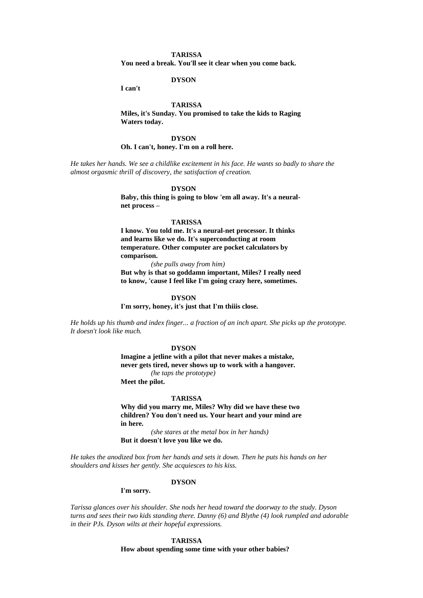### **TARISSA**

**You need a break. You'll see it clear when you come back.**

#### **DYSON**

**I can't**

# **TARISSA**

**Miles, it's Sunday. You promised to take the kids to Raging Waters today.**

### **DYSON Oh. I can't, honey. I'm on a roll here.**

*He takes her hands. We see a childlike excitement in his face. He wants so badly to share the almost orgasmic thrill of discovery, the satisfaction of creation.*

#### **DYSON**

**Baby, this thing is going to blow 'em all away. It's a neuralnet process –**

# **TARISSA**

**I know. You told me. It's a neural-net processor. It thinks and learns like we do. It's superconducting at room temperature. Other computer are pocket calculators by comparison.**

*(she pulls away from him)*

**But why is that so goddamn important, Miles? I really need to know, 'cause I feel like I'm going crazy here, sometimes.**

#### **DYSON**

**I'm sorry, honey, it's just that I'm thiiis close.**

*He holds up his thumb and index finger... a fraction of an inch apart. She picks up the prototype. It doesn't look like much.*

#### **DYSON**

**Imagine a jetline with a pilot that never makes a mistake, never gets tired, never shows up to work with a hangover.** *(he taps the prototype)*

**Meet the pilot.**

#### **TARISSA**

**Why did you marry me, Miles? Why did we have these two children? You don't need us. Your heart and your mind are in here.**

*(she stares at the metal box in her hands)* **But it doesn't love you like we do.**

*He takes the anodized box from her hands and sets it down. Then he puts his hands on her shoulders and kisses her gently. She acquiesces to his kiss.*

#### **DYSON**

# **I'm sorry.**

*Tarissa glances over his shoulder. She nods her head toward the doorway to the study. Dyson turns and sees their two kids standing there. Danny (6) and Blythe (4) look rumpled and adorable in their PJs. Dyson wilts at their hopeful expressions.*

> **TARISSA How about spending some time with your other babies?**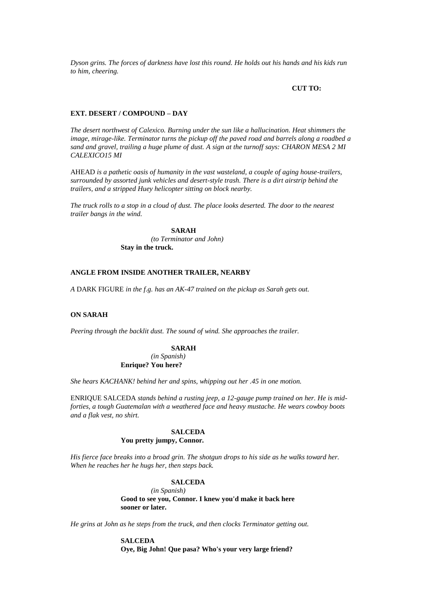*Dyson grins. The forces of darkness have lost this round. He holds out his hands and his kids run to him, cheering.*

# **CUT TO:**

### **EXT. DESERT / COMPOUND – DAY**

*The desert northwest of Calexico. Burning under the sun like a hallucination. Heat shimmers the image, mirage-like. Terminator turns the pickup off the paved road and barrels along a roadbed a sand and gravel, trailing a huge plume of dust. A sign at the turnoff says: CHARON MESA 2 MI CALEXICO15 MI*

AHEAD *is a pathetic oasis of humanity in the vast wasteland, a couple of aging house-trailers, surrounded by assorted junk vehicles and desert-style trash. There is a dirt airstrip behind the trailers, and a stripped Huey helicopter sitting on block nearby.*

*The truck rolls to a stop in a cloud of dust. The place looks deserted. The door to the nearest trailer bangs in the wind.*

### **SARAH**

*(to Terminator and John)* **Stay in the truck.**

### **ANGLE FROM INSIDE ANOTHER TRAILER, NEARBY**

*A* DARK FIGURE *in the f.g. has an AK-47 trained on the pickup as Sarah gets out.*

# **ON SARAH**

*Peering through the backlit dust. The sound of wind. She approaches the trailer.*

### **SARAH**

*(in Spanish)* **Enrique? You here?**

*She hears KACHANK! behind her and spins, whipping out her .45 in one motion.*

ENRIQUE SALCEDA *stands behind a rusting jeep, a 12-gauge pump trained on her. He is midforties, a tough Guatemalan with a weathered face and heavy mustache. He wears cowboy boots and a flak vest, no shirt.*

# **SALCEDA**

**You pretty jumpy, Connor.**

*His fierce face breaks into a broad grin. The shotgun drops to his side as he walks toward her. When he reaches her he hugs her, then steps back.*

# **SALCEDA**

*(in Spanish)* **Good to see you, Connor. I knew you'd make it back here sooner or later.**

*He grins at John as he steps from the truck, and then clocks Terminator getting out.*

**SALCEDA Oye, Big John! Que pasa? Who's your very large friend?**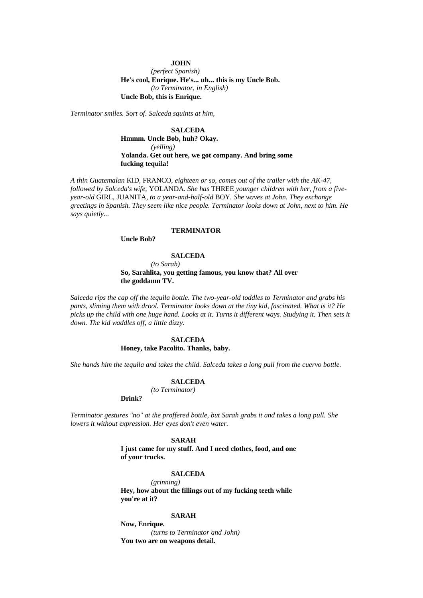#### **JOHN**

*(perfect Spanish)* **He's cool, Enrique. He's... uh... this is my Uncle Bob.** *(to Terminator, in English)* **Uncle Bob, this is Enrique.**

*Terminator smiles. Sort of. Salceda squints at him,*

# **SALCEDA**

**Hmmm. Uncle Bob, huh? Okay.** *(yelling)* **Yolanda. Get out here, we got company. And bring some fucking tequila!**

*A thin Guatemalan* KID*,* FRANCO*, eighteen or so, comes out of the trailer with the AK-47, followed by Salceda's wife,* YOLANDA*. She has* THREE *younger children with her, from a fiveyear-old* GIRL*,* JUANITA*, to a year-and-half-old* BOY*. She waves at John. They exchange greetings in Spanish. They seem like nice people. Terminator looks down at John, next to him. He says quietly...*

#### **TERMINATOR**

#### **Uncle Bob?**

# **SALCEDA**

*(to Sarah)*

**So, Sarahlita, you getting famous, you know that? All over the goddamn TV.**

*Salceda rips the cap off the tequila bottle. The two-year-old toddles to Terminator and grabs his pants, sliming them with drool. Terminator looks down at the tiny kid, fascinated. What is it? He picks up the child with one huge hand. Looks at it. Turns it different ways. Studying it. Then sets it down. The kid waddles off, a little dizzy.*

### **SALCEDA**

# **Honey, take Pacolito. Thanks, baby.**

*She hands him the tequila and takes the child. Salceda takes a long pull from the cuervo bottle.*

#### **SALCEDA**

*(to Terminator)*

# **Drink?**

*Terminator gestures "no" at the proffered bottle, but Sarah grabs it and takes a long pull. She lowers it without expression. Her eyes don't even water.*

### **SARAH**

**I just came for my stuff. And I need clothes, food, and one of your trucks.**

### **SALCEDA**

*(grinning)* **Hey, how about the fillings out of my fucking teeth while you're at it?**

#### **SARAH**

**Now, Enrique.** *(turns to Terminator and John)* **You two are on weapons detail.**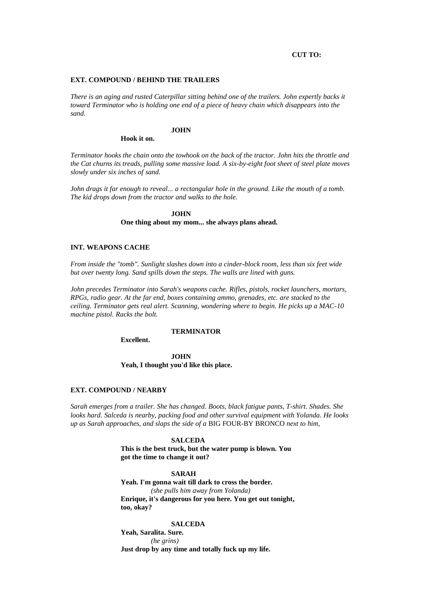### **CUT TO:**

#### **EXT. COMPOUND / BEHIND THE TRAILERS**

*There is an aging and rusted Caterpillar sitting behind one of the trailers. John expertly backs it toward Terminator who is holding one end of a piece of heavy chain which disappears into the sand.*

# **JOHN**

**Hook it on.**

*Terminator hooks the chain onto the towhook on the back of the tractor. John hits the throttle and the Cat churns its treads, pulling some massive load. A six-by-eight foot sheet of steel plate moves slowly under six inches of sand.*

*John drags it far enough to reveal... a rectangular hole in the ground. Like the mouth of a tomb. The kid drops down from the tractor and walks to the hole.*

# **JOHN One thing about my mom... she always plans ahead.**

### **INT. WEAPONS CACHE**

*From inside the "tomb". Sunlight slashes down into a cinder-block room, less than six feet wide but over twenty long. Sand spills down the steps. The walls are lined with guns.*

*John precedes Terminator into Sarah's weapons cache. Rifles, pistols, rocket launchers, mortars, RPGs, radio gear. At the far end, boxes containing ammo, grenades, etc. are stacked to the ceiling. Terminator gets real alert. Scanning, wondering where to begin. He picks up a MAC-10 machine pistol. Racks the bolt.*

# **TERMINATOR**

**Excellent.**

#### **JOHN**

**Yeah, I thought you'd like this place.**

#### **EXT. COMPOUND / NEARBY**

*Sarah emerges from a trailer. She has changed. Boots, black fatigue pants, T-shirt. Shades. She looks hard. Salceda is nearby, packing food and other survival equipment with Yolanda. He looks up as Sarah approaches, and slaps the side of a* BIG FOUR-BY BRONCO *next to him,*

#### **SALCEDA**

**This is the best truck, but the water pump is blown. You got the time to change it out?**

#### **SARAH**

**Yeah. I'm gonna wait till dark to cross the border.** *(she pulls him away from Yolanda)* **Enrique, it's dangerous for you here. You get out tonight, too, okay?**

# **SALCEDA**

**Yeah, Saralita. Sure.** *(he grins)* **Just drop by any time and totally fuck up my life.**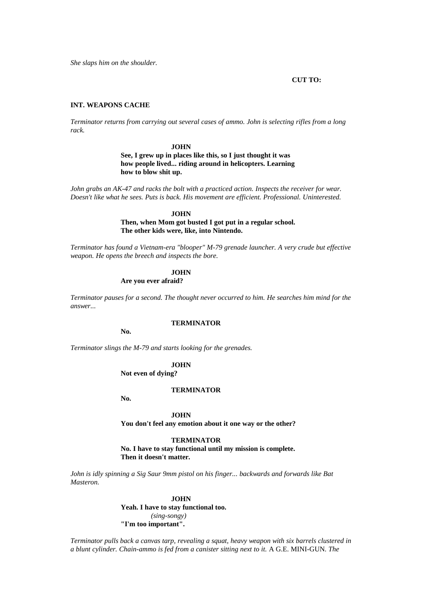*She slaps him on the shoulder.*

#### **CUT TO:**

# **INT. WEAPONS CACHE**

*Terminator returns from carrying out several cases of ammo. John is selecting rifles from a long rack.*

### **JOHN**

**See, I grew up in places like this, so I just thought it was how people lived... riding around in helicopters. Learning how to blow shit up.**

*John grabs an AK-47 and racks the bolt with a practiced action. Inspects the receiver for wear. Doesn't like what he sees. Puts is back. His movement are efficient. Professional. Uninterested.*

> **JOHN Then, when Mom got busted I got put in a regular school. The other kids were, like, into Nintendo.**

*Terminator has found a Vietnam-era "blooper" M-79 grenade launcher. A very crude but effective weapon. He opens the breech and inspects the bore.*

# **JOHN**

# **Are you ever afraid?**

*Terminator pauses for a second. The thought never occurred to him. He searches him mind for the answer...*

# **TERMINATOR**

**No.**

*Terminator slings the M-79 and starts looking for the grenades.*

# **JOHN**

**Not even of dying?**

#### **TERMINATOR**

**No.**

#### **JOHN**

**You don't feel any emotion about it one way or the other?**

# **TERMINATOR**

**No. I have to stay functional until my mission is complete. Then it doesn't matter.**

*John is idly spinning a Sig Saur 9mm pistol on his finger... backwards and forwards like Bat Masteron.*

# **JOHN**

**Yeah. I have to stay functional too.** *(sing-songy)* **"I'm too important".**

*Terminator pulls back a canvas tarp, revealing a squat, heavy weapon with six barrels clustered in a blunt cylinder. Chain-ammo is fed from a canister sitting next to it.* A G.E. MINI-GUN*. The*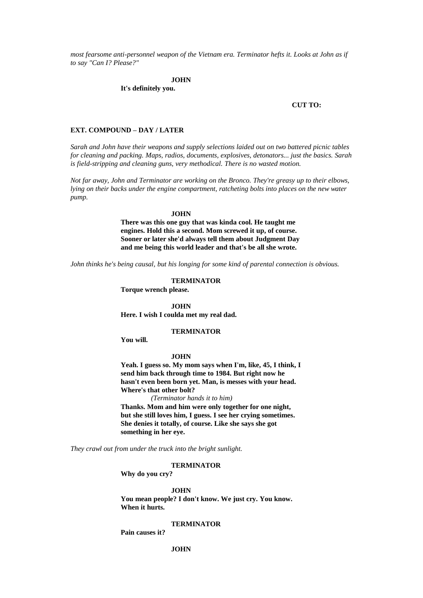*most fearsome anti-personnel weapon of the Vietnam era. Terminator hefts it. Looks at John as if to say "Can I? Please?"*

### **JOHN**

#### **It's definitely you.**

#### **CUT TO:**

### **EXT. COMPOUND – DAY / LATER**

*Sarah and John have their weapons and supply selections laided out on two battered picnic tables for cleaning and packing. Maps, radios, documents, explosives, detonators... just the basics. Sarah is field-stripping and cleaning guns, very methodical. There is no wasted motion.*

*Not far away, John and Terminator are working on the Bronco. They're greasy up to their elbows, lying on their backs under the engine compartment, ratcheting bolts into places on the new water pump.*

**JOHN**

**There was this one guy that was kinda cool. He taught me engines. Hold this a second. Mom screwed it up, of course. Sooner or later she'd always tell them about Judgment Day and me being this world leader and that's be all she wrote.**

*John thinks he's being causal, but his longing for some kind of parental connection is obvious.*

### **TERMINATOR**

**Torque wrench please.**

**JOHN Here. I wish I coulda met my real dad.**

# **TERMINATOR**

**You will.**

#### **JOHN**

**Yeah. I guess so. My mom says when I'm, like, 45, I think, I send him back through time to 1984. But right now he hasn't even been born yet. Man, is messes with your head. Where's that other bolt?**

*(Terminator hands it to him)*

**Thanks. Mom and him were only together for one night, but she still loves him, I guess. I see her crying sometimes. She denies it totally, of course. Like she says she got something in her eye.**

*They crawl out from under the truck into the bright sunlight.*

#### **TERMINATOR**

**Why do you cry?**

#### **JOHN**

**You mean people? I don't know. We just cry. You know. When it hurts.**

**TERMINATOR**

**Pain causes it?**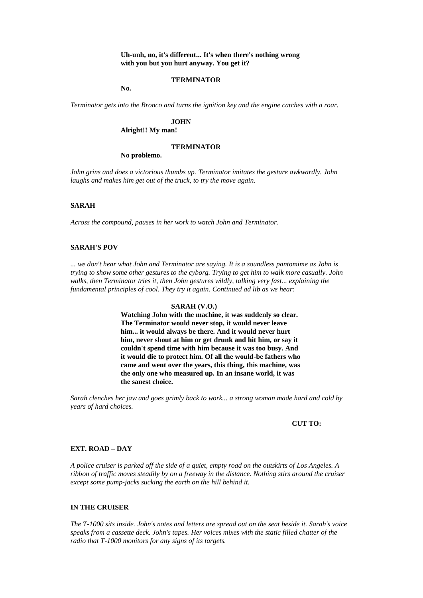# **Uh-unh, no, it's different... It's when there's nothing wrong with you but you hurt anyway. You get it?**

#### **TERMINATOR**

**No.**

*Terminator gets into the Bronco and turns the ignition key and the engine catches with a roar.*

# **JOHN**

**Alright!! My man!**

# **TERMINATOR**

**No problemo.**

*John grins and does a victorious thumbs up. Terminator imitates the gesture awkwardly. John laughs and makes him get out of the truck, to try the move again.*

# **SARAH**

*Across the compound, pauses in her work to watch John and Terminator.*

# **SARAH'S POV**

*... we don't hear what John and Terminator are saying. It is a soundless pantomime as John is trying to show some other gestures to the cyborg. Trying to get him to walk more casually. John walks, then Terminator tries it, then John gestures wildly, talking very fast... explaining the fundamental principles of cool. They try it again. Continued ad lib as we hear:*

# **SARAH (V.O.)**

**Watching John with the machine, it was suddenly so clear. The Terminator would never stop, it would never leave him... it would always be there. And it would never hurt him, never shout at him or get drunk and hit him, or say it couldn't spend time with him because it was too busy. And it would die to protect him. Of all the would-be fathers who came and went over the years, this thing, this machine, was the only one who measured up. In an insane world, it was the sanest choice.**

*Sarah clenches her jaw and goes grimly back to work... a strong woman made hard and cold by years of hard choices.*

# **CUT TO:**

### **EXT. ROAD – DAY**

*A police cruiser is parked off the side of a quiet, empty road on the outskirts of Los Angeles. A ribbon of traffic moves steadily by on a freeway in the distance. Nothing stirs around the cruiser except some pump-jacks sucking the earth on the hill behind it.*

# **IN THE CRUISER**

*The T-1000 sits inside. John's notes and letters are spread out on the seat beside it. Sarah's voice speaks from a cassette deck. John's tapes. Her voices mixes with the static filled chatter of the radio that T-1000 monitors for any signs of its targets.*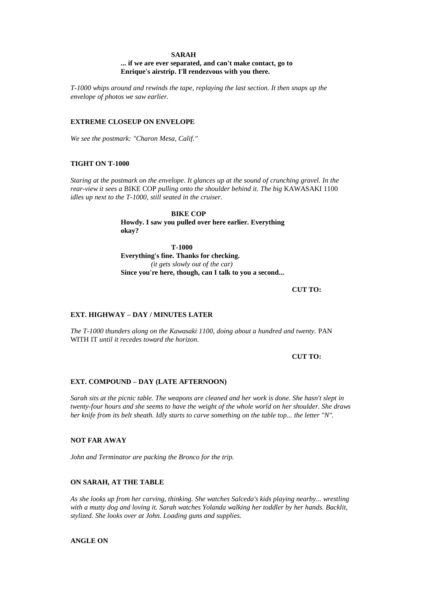# **SARAH**

# **... if we are ever separated, and can't make contact, go to Enrique's airstrip. I'll rendezvous with you there.**

*T-1000 whips around and rewinds the tape, replaying the last section. It then snaps up the envelope of photos we saw earlier.*

# **EXTREME CLOSEUP ON ENVELOPE**

*We see the postmark: "Charon Mesa, Calif."*

# **TIGHT ON T-1000**

*Staring at the postmark on the envelope. It glances up at the sound of crunching gravel. In the rear-view it sees a* BIKE COP *pulling onto the shoulder behind it. The big* KAWASAKI 1100 *idles up next to the T-1000, still seated in the cruiser.*

> **BIKE COP Howdy. I saw you pulled over here earlier. Everything okay?**

> **T-1000 Everything's fine. Thanks for checking.** *(it gets slowly out of the car)* **Since you're here, though, can I talk to you a second...**

> > **CUT TO:**

# **EXT. HIGHWAY – DAY / MINUTES LATER**

*The T-1000 thunders along on the Kawasaki 1100, doing about a hundred and twenty.* PAN WITH IT *until it recedes toward the horizon.*

**CUT TO:**

### **EXT. COMPOUND – DAY (LATE AFTERNOON)**

*Sarah sits at the picnic table. The weapons are cleaned and her work is done. She hasn't slept in twenty-four hours and she seems to have the weight of the whole world on her shoulder. She draws her knife from its belt sheath. Idly starts to carve something on the table top... the letter "N".*

# **NOT FAR AWAY**

*John and Terminator are packing the Bronco for the trip.*

### **ON SARAH, AT THE TABLE**

*As she looks up from her carving, thinking. She watches Salceda's kids playing nearby... wrestling with a mutty dog and loving it. Sarah watches Yolanda walking her toddler by her hands. Backlit, stylized. She looks over at John. Loading guns and supplies.*

**ANGLE ON**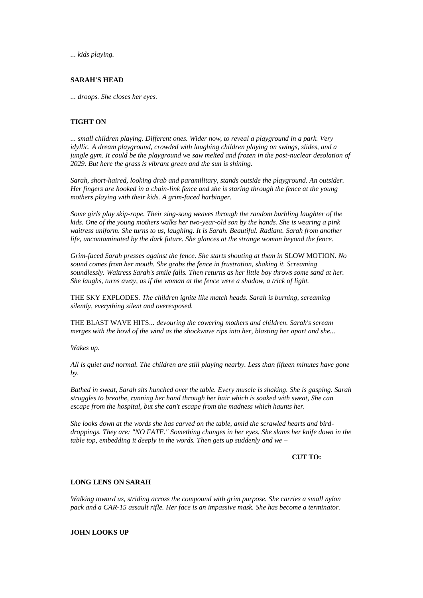*... kids playing.*

# **SARAH'S HEAD**

*... droops. She closes her eyes.*

# **TIGHT ON**

*... small children playing. Different ones. Wider now, to reveal a playground in a park. Very idyllic. A dream playground, crowded with laughing children playing on swings, slides, and a jungle gym. It could be the playground we saw melted and frozen in the post-nuclear desolation of 2029. But here the grass is vibrant green and the sun is shining.*

*Sarah, short-haired, looking drab and paramilitary, stands outside the playground. An outsider. Her fingers are hooked in a chain-link fence and she is staring through the fence at the young mothers playing with their kids. A grim-faced harbinger.*

*Some girls play skip-rope. Their sing-song weaves through the random burbling laughter of the kids. One of the young mothers walks her two-year-old son by the hands. She is wearing a pink waitress uniform. She turns to us, laughing. It is Sarah. Beautiful. Radiant. Sarah from another life, uncontaminated by the dark future. She glances at the strange woman beyond the fence.*

*Grim-faced Sarah presses against the fence. She starts shouting at them in* SLOW MOTION*. No*  sound comes from her mouth. She grabs the fence in frustration, shaking it. Screaming *soundlessly. Waitress Sarah's smile falls. Then returns as her little boy throws some sand at her. She laughs, turns away, as if the woman at the fence were a shadow, a trick of light.*

THE SKY EXPLODES*. The children ignite like match heads. Sarah is burning, screaming silently, everything silent and overexposed.*

THE BLAST WAVE HITS*... devouring the cowering mothers and children. Sarah's scream merges with the howl of the wind as the shockwave rips into her, blasting her apart and she...*

*Wakes up.*

*All is quiet and normal. The children are still playing nearby. Less than fifteen minutes have gone by.*

*Bathed in sweat, Sarah sits hunched over the table. Every muscle is shaking. She is gasping. Sarah struggles to breathe, running her hand through her hair which is soaked with sweat, She can escape from the hospital, but she can't escape from the madness which haunts her.*

*She looks down at the words she has carved on the table, amid the scrawled hearts and birddroppings. They are: "NO FATE." Something changes in her eyes. She slams her knife down in the table top, embedding it deeply in the words. Then gets up suddenly and we –*

**CUT TO:**

### **LONG LENS ON SARAH**

*Walking toward us, striding across the compound with grim purpose. She carries a small nylon pack and a CAR-15 assault rifle. Her face is an impassive mask. She has become a terminator.*

**JOHN LOOKS UP**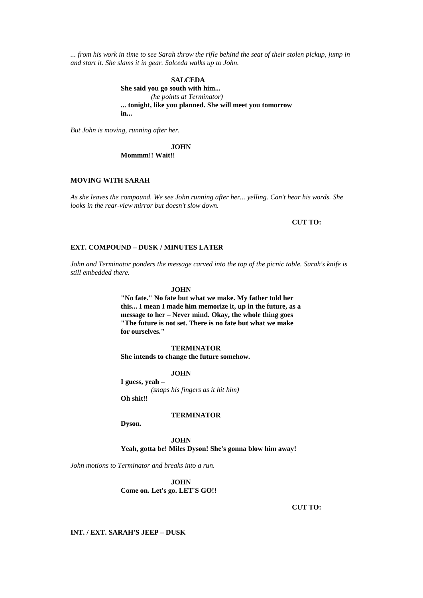*... from his work in time to see Sarah throw the rifle behind the seat of their stolen pickup, jump in and start it. She slams it in gear. Salceda walks up to John.*

### **SALCEDA**

**She said you go south with him...** *(he points at Terminator)* **... tonight, like you planned. She will meet you tomorrow in...**

*But John is moving, running after her.*

# **JOHN**

**Mommm!! Wait!!**

# **MOVING WITH SARAH**

*As she leaves the compound. We see John running after her... yelling. Can't hear his words. She looks in the rear-view mirror but doesn't slow down.*

# **CUT TO:**

# **EXT. COMPOUND – DUSK / MINUTES LATER**

*John and Terminator ponders the message carved into the top of the picnic table. Sarah's knife is still embedded there.*

# **JOHN**

**"No fate." No fate but what we make. My father told her this... I mean I made him memorize it, up in the future, as a message to her – Never mind. Okay, the whole thing goes "The future is not set. There is no fate but what we make for ourselves."**

**TERMINATOR She intends to change the future somehow.**

### **JOHN**

**I guess, yeah –** *(snaps his fingers as it hit him)* **Oh shit!!**

#### **TERMINATOR**

**Dyson.**

**JOHN Yeah, gotta be! Miles Dyson! She's gonna blow him away!**

*John motions to Terminator and breaks into a run.*

**JOHN Come on. Let's go. LET'S GO!!**

**CUT TO:**

# **INT. / EXT. SARAH'S JEEP – DUSK**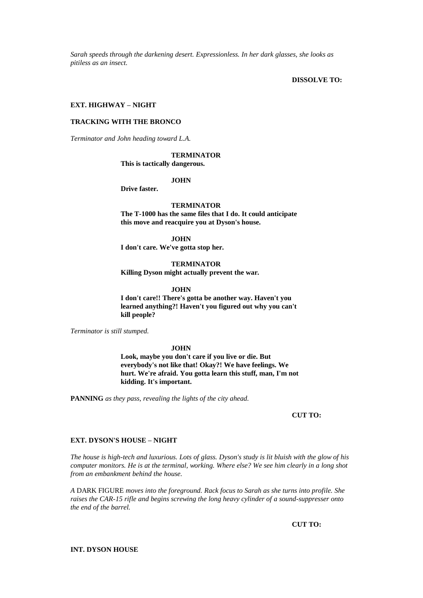*Sarah speeds through the darkening desert. Expressionless. In her dark glasses, she looks as pitiless as an insect.*

#### **DISSOLVE TO:**

# **EXT. HIGHWAY – NIGHT**

### **TRACKING WITH THE BRONCO**

*Terminator and John heading toward L.A.*

#### **TERMINATOR**

**This is tactically dangerous.**

### **JOHN**

**Drive faster.**

### **TERMINATOR**

**The T-1000 has the same files that I do. It could anticipate this move and reacquire you at Dyson's house.**

**JOHN I don't care. We've gotta stop her.**

**TERMINATOR Killing Dyson might actually prevent the war.**

**JOHN**

**I don't care!! There's gotta be another way. Haven't you learned anything?! Haven't you figured out why you can't kill people?**

*Terminator is still stumped.*

### **JOHN**

**Look, maybe you don't care if you live or die. But everybody's not like that! Okay?! We have feelings. We hurt. We're afraid. You gotta learn this stuff, man, I'm not kidding. It's important.**

**PANNING** *as they pass, revealing the lights of the city ahead.*

**CUT TO:**

### **EXT. DYSON'S HOUSE – NIGHT**

*The house is high-tech and luxurious. Lots of glass. Dyson's study is lit bluish with the glow of his computer monitors. He is at the terminal, working. Where else? We see him clearly in a long shot from an embankment behind the house.*

*A* DARK FIGURE *moves into the foreground. Rack focus to Sarah as she turns into profile. She raises the CAR-15 rifle and begins screwing the long heavy cylinder of a sound-suppresser onto the end of the barrel.*

**CUT TO:**

**INT. DYSON HOUSE**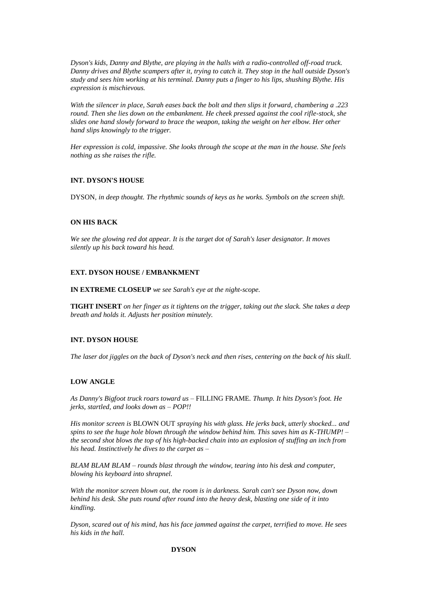*Dyson's kids, Danny and Blythe, are playing in the halls with a radio-controlled off-road truck. Danny drives and Blythe scampers after it, trying to catch it. They stop in the hall outside Dyson's study and sees him working at his terminal. Danny puts a finger to his lips, shushing Blythe. His expression is mischievous.*

*With the silencer in place, Sarah eases back the bolt and then slips it forward, chambering a .223 round. Then she lies down on the embankment. He cheek pressed against the cool rifle-stock, she slides one hand slowly forward to brace the weapon, taking the weight on her elbow. Her other hand slips knowingly to the trigger.*

*Her expression is cold, impassive. She looks through the scope at the man in the house. She feels nothing as she raises the rifle.*

# **INT. DYSON'S HOUSE**

DYSON*, in deep thought. The rhythmic sounds of keys as he works. Symbols on the screen shift.*

# **ON HIS BACK**

*We see the glowing red dot appear. It is the target dot of Sarah's laser designator. It moves silently up his back toward his head.*

# **EXT. DYSON HOUSE / EMBANKMENT**

**IN EXTREME CLOSEUP** *we see Sarah's eye at the night-scope.*

**TIGHT INSERT** *on her finger as it tightens on the trigger, taking out the slack. She takes a deep breath and holds it. Adjusts her position minutely.*

### **INT. DYSON HOUSE**

*The laser dot jiggles on the back of Dyson's neck and then rises, centering on the back of his skull.*

### **LOW ANGLE**

*As Danny's Bigfoot truck roars toward us* – FILLING FRAME*. Thump. It hits Dyson's foot. He jerks, startled, and looks down as – POP!!*

*His monitor screen is* BLOWN OUT *spraying his with glass. He jerks back, utterly shocked... and spins to see the huge hole blown through the window behind him. This saves him as K-THUMP! – the second shot blows the top of his high-backed chain into an explosion of stuffing an inch from his head. Instinctively he dives to the carpet as –*

*BLAM BLAM BLAM – rounds blast through the window, tearing into his desk and computer, blowing his keyboard into shrapnel.* 

*With the monitor screen blown out, the room is in darkness. Sarah can't see Dyson now, down behind his desk. She puts round after round into the heavy desk, blasting one side of it into kindling.*

*Dyson, scared out of his mind, has his face jammed against the carpet, terrified to move. He sees his kids in the hall.*

### **DYSON**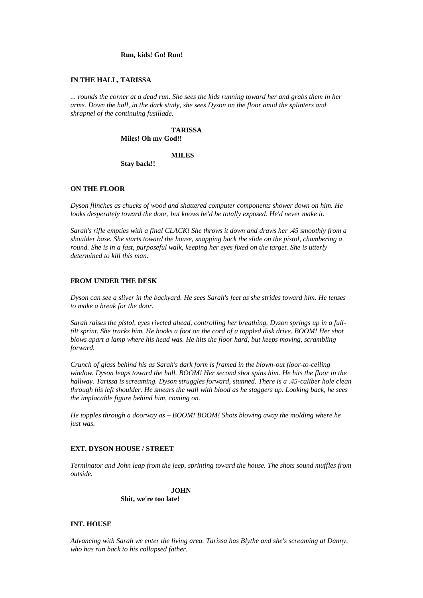### **Run, kids! Go! Run!**

### **IN THE HALL, TARISSA**

*... rounds the corner at a dead run. She sees the kids running toward her and grabs them in her arms. Down the hall, in the dark study, she sees Dyson on the floor amid the splinters and shrapnel of the continuing fusillade.*

# **TARISSA Miles! Oh my God!!**

#### **MILES**

**Stay back!!**

### **ON THE FLOOR**

*Dyson flinches as chucks of wood and shattered computer components shower down on him. He looks desperately toward the door, but knows he'd be totally exposed. He'd never make it.*

*Sarah's rifle empties with a final CLACK! She throws it down and draws her .45 smoothly from a shoulder base. She starts toward the house, snapping back the slide on the pistol, chambering a round. She is in a fast, purposeful walk, keeping her eyes fixed on the target. She is utterly determined to kill this man.*

#### **FROM UNDER THE DESK**

*Dyson can see a sliver in the backyard. He sees Sarah's feet as she strides toward him. He tenses to make a break for the door.*

*Sarah raises the pistol, eyes riveted ahead, controlling her breathing. Dyson springs up in a fulltilt sprint. She tracks him. He hooks a foot on the cord of a toppled disk drive. BOOM! Her shot blows apart a lamp where his head was. He hits the floor hard, but keeps moving, scrambling forward.*

*Crunch of glass behind his as Sarah's dark form is framed in the blown-out floor-to-ceiling window. Dyson leaps toward the hall. BOOM! Her second shot spins him. He hits the floor in the hallway. Tarissa is screaming. Dyson struggles forward, stunned. There is a .45-caliber hole clean through his left shoulder. He smears the wall with blood as he staggers up. Looking back, he sees the implacable figure behind him, coming on.*

*He topples through a doorway as – BOOM! BOOM! Shots blowing away the molding where he just was.*

# **EXT. DYSON HOUSE / STREET**

*Terminator and John leap from the jeep, sprinting toward the house. The shots sound muffles from outside.*

> **JOHN Shit, we're too late!**

### **INT. HOUSE**

*Advancing with Sarah we enter the living area. Tarissa has Blythe and she's screaming at Danny, who has run back to his collapsed father.*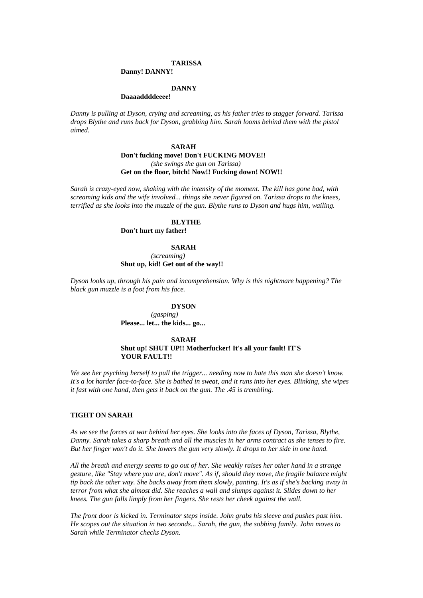### **TARISSA**

#### **Danny! DANNY!**

#### **DANNY**

# **Daaaaddddeeee!**

*Danny is pulling at Dyson, crying and screaming, as his father tries to stagger forward. Tarissa drops Blythe and runs back for Dyson, grabbing him. Sarah looms behind them with the pistol aimed.*

### **SARAH**

# **Don't fucking move! Don't FUCKING MOVE!!** *(she swings the gun on Tarissa)* **Get on the floor, bitch! Now!! Fucking down! NOW!!**

*Sarah is crazy-eyed now, shaking with the intensity of the moment. The kill has gone bad, with screaming kids and the wife involved... things she never figured on. Tarissa drops to the knees, terrified as she looks into the muzzle of the gun. Blythe runs to Dyson and hugs him, wailing.*

# **BLYTHE**

# **Don't hurt my father!**

# **SARAH**

# *(screaming)* **Shut up, kid! Get out of the way!!**

*Dyson looks up, through his pain and incomprehension. Why is this nightmare happening? The black gun muzzle is a foot from his face.*

#### **DYSON**

*(gasping)* **Please... let... the kids... go...**

# **SARAH Shut up! SHUT UP!! Motherfucker! It's all your fault! IT'S YOUR FAULT!!**

*We see her psyching herself to pull the trigger... needing now to hate this man she doesn't know. It's a lot harder face-to-face. She is bathed in sweat, and it runs into her eyes. Blinking, she wipes it fast with one hand, then gets it back on the gun. The .45 is trembling.*

# **TIGHT ON SARAH**

*As we see the forces at war behind her eyes. She looks into the faces of Dyson, Tarissa, Blythe, Danny. Sarah takes a sharp breath and all the muscles in her arms contract as she tenses to fire. But her finger won't do it. She lowers the gun very slowly. It drops to her side in one hand.*

*All the breath and energy seems to go out of her. She weakly raises her other hand in a strange gesture, like "Stay where you are, don't move". As if, should they move, the fragile balance might tip back the other way. She backs away from them slowly, panting. It's as if she's backing away in terror from what she almost did. She reaches a wall and slumps against it. Slides down to her knees. The gun falls limply from her fingers. She rests her cheek against the wall.*

*The front door is kicked in. Terminator steps inside. John grabs his sleeve and pushes past him. He scopes out the situation in two seconds... Sarah, the gun, the sobbing family. John moves to Sarah while Terminator checks Dyson.*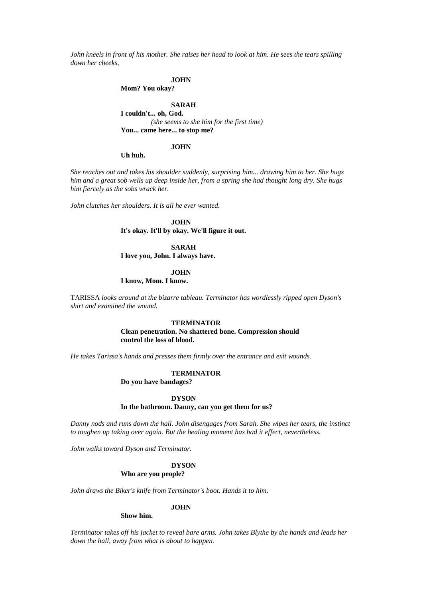*John kneels in front of his mother. She raises her head to look at him. He sees the tears spilling down her cheeks,*

#### **JOHN**

**Mom? You okay?**

# **SARAH**

**I couldn't... oh, God.** *(she seems to she him for the first time)* **You... came here... to stop me?**

#### **JOHN**

**Uh huh.**

*She reaches out and takes his shoulder suddenly, surprising him... drawing him to her. She hugs him and a great sob wells up deep inside her, from a spring she had thought long dry. She hugs him fiercely as the sobs wrack her.*

*John clutches her shoulders. It is all he ever wanted.*

**JOHN It's okay. It'll by okay. We'll figure it out.**

#### **SARAH**

**I love you, John. I always have.**

#### **JOHN**

**I know, Mom. I know.**

TARISSA *looks around at the bizarre tableau. Terminator has wordlessly ripped open Dyson's shirt and examined the wound.*

#### **TERMINATOR**

**Clean penetration. No shattered bone. Compression should control the loss of blood.**

*He takes Tarissa's hands and presses them firmly over the entrance and exit wounds.*

### **TERMINATOR**

**Do you have bandages?**

#### **DYSON**

**In the bathroom. Danny, can you get them for us?**

*Danny nods and runs down the hall. John disengages from Sarah. She wipes her tears, the instinct to toughen up taking over again. But the healing moment has had it effect, nevertheless.*

*John walks toward Dyson and Terminator.*

# **DYSON Who are you people?**

*John draws the Biker's knife from Terminator's boot. Hands it to him.*

#### **JOHN**

# **Show him.**

*Terminator takes off his jacket to reveal bare arms. John takes Blythe by the hands and leads her down the hall, away from what is about to happen.*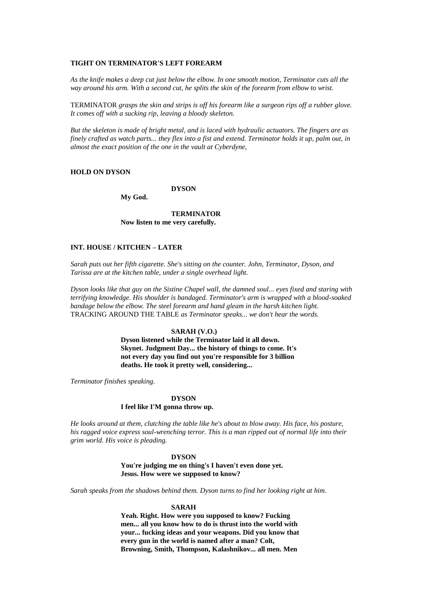#### **TIGHT ON TERMINATOR'S LEFT FOREARM**

*As the knife makes a deep cut just below the elbow. In one smooth motion, Terminator cuts all the way around his arm. With a second cut, he splits the skin of the forearm from elbow to wrist.*

TERMINATOR *grasps the skin and strips is off his forearm like a surgeon rips off a rubber glove. It comes off with a sucking rip, leaving a bloody skeleton.*

*But the skeleton is made of bright metal, and is laced with hydraulic actuators. The fingers are as finely crafted as watch parts... they flex into a fist and extend. Terminator holds it up, palm out, in almost the exact position of the one in the vault at Cyberdyne,*

# **HOLD ON DYSON**

**DYSON**

**My God.**

# **TERMINATOR Now listen to me very carefully.**

# **INT. HOUSE / KITCHEN – LATER**

*Sarah puts out her fifth cigarette. She's sitting on the counter. John, Terminator, Dyson, and Tarissa are at the kitchen table, under a single overhead light.*

*Dyson looks like that guy on the Sistine Chapel wall, the damned soul... eyes fixed and staring with terrifying knowledge. His shoulder is bandaged. Terminator's arm is wrapped with a blood-soaked bandage below the elbow. The steel forearm and hand gleam in the harsh kitchen light.*  TRACKING AROUND THE TABLE *as Terminator speaks... we don't hear the words.*

# **SARAH (V.O.)**

**Dyson listened while the Terminator laid it all down. Skynet. Judgment Day... the history of things to come. It's not every day you find out you're responsible for 3 billion deaths. He took it pretty well, considering...**

*Terminator finishes speaking.*

### **DYSON I feel like I'M gonna throw up.**

*He looks around at them, clutching the table like he's about to blow away. His face, his posture, his ragged voice express soul-wrenching terror. This is a man ripped out of normal life into their grim world. His voice is pleading.*

### **DYSON**

**You're judging me on thing's I haven't even done yet. Jesus. How were we supposed to know?**

*Sarah speaks from the shadows behind them. Dyson turns to find her looking right at him.*

#### **SARAH**

**Yeah. Right. How were you supposed to know? Fucking men... all you know how to do is thrust into the world with your... fucking ideas and your weapons. Did you know that every gun in the world is named after a man? Colt, Browning, Smith, Thompson, Kalashnikov... all men. Men**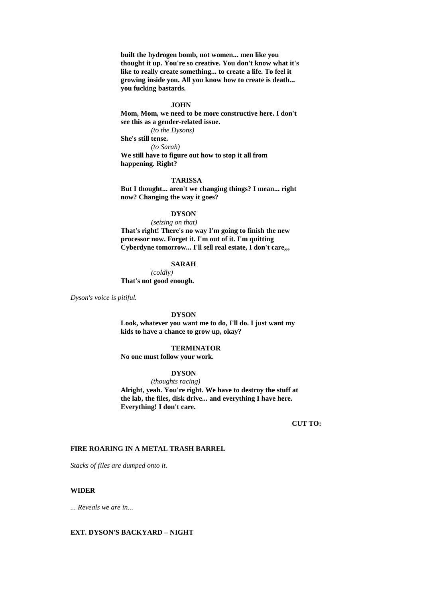**built the hydrogen bomb, not women... men like you thought it up. You're so creative. You don't know what it's like to really create something... to create a life. To feel it growing inside you. All you know how to create is death... you fucking bastards.**

#### **JOHN**

**Mom, Mom, we need to be more constructive here. I don't see this as a gender-related issue.** *(to the Dysons)* **She's still tense.**

*(to Sarah)* **We still have to figure out how to stop it all from happening. Right?**

# **TARISSA**

**But I thought... aren't we changing things? I mean... right now? Changing the way it goes?**

# **DYSON**

*(seizing on that)*

**That's right! There's no way I'm going to finish the new processor now. Forget it. I'm out of it. I'm quitting Cyberdyne tomorrow... I'll sell real estate, I don't care,,,**

### **SARAH**

*(coldly)* **That's not good enough.**

*Dyson's voice is pitiful.*

### **DYSON**

**Look, whatever you want me to do, I'll do. I just want my kids to have a chance to grow up, okay?**

# **TERMINATOR**

**No one must follow your work.**

### **DYSON**

*(thoughts racing)* **Alright, yeah. You're right. We have to destroy the stuff at the lab, the files, disk drive... and everything I have here.** 

**Everything! I don't care.**

**CUT TO:**

### **FIRE ROARING IN A METAL TRASH BARREL**

*Stacks of files are dumped onto it.*

# **WIDER**

*... Reveals we are in...*

### **EXT. DYSON'S BACKYARD – NIGHT**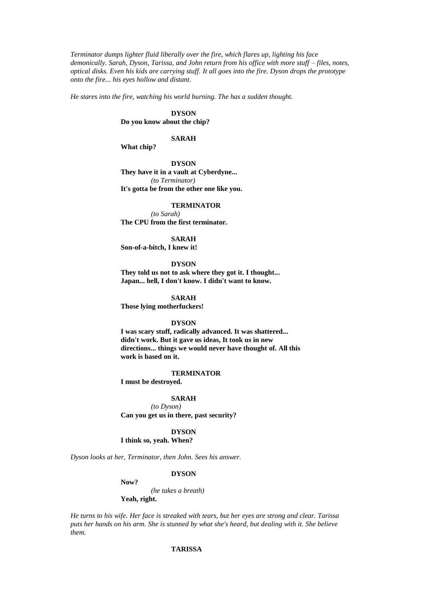*Terminator dumps lighter fluid liberally over the fire, which flares up, lighting his face demonically. Sarah, Dyson, Tarissa, and John return from his office with more stuff – files, notes, optical disks. Even his kids are carrying stuff. It all goes into the fire. Dyson drops the prototype onto the fire... his eyes hollow and distant.*

*He stares into the fire, watching his world burning. The has a sudden thought.*

# **DYSON Do you know about the chip?**

**SARAH**

**What chip?**

**DYSON They have it in a vault at Cyberdyne...** *(to Terminator)* **It's gotta be from the other one like you.**

# **TERMINATOR**

*(to Sarah)* **The CPU from the first terminator.**

# **SARAH**

**Son-of-a-bitch, I knew it!**

**DYSON They told us not to ask where they got it. I thought...** 

**Japan... hell, I don't know. I didn't want to know.**

**SARAH Those lying motherfuckers!**

**DYSON**

**I was scary stuff, radically advanced. It was shattered... didn't work. But it gave us ideas, It took us in new directions... things we would never have thought of. All this work is based on it.**

**TERMINATOR**

**I must be destroyed.**

**SARAH** *(to Dyson)* **Can you get us in there, past security?**

**DYSON I think so, yeah. When?**

*Dyson looks at her, Terminator, then John. Sees his answer.*

### **DYSON**

**Now?** *(he takes a breath)* **Yeah, right.**

*He turns to his wife. Her face is streaked with tears, but her eyes are strong and clear. Tarissa puts her hands on his arm. She is stunned by what she's heard, but dealing with it. She believe them.*

# **TARISSA**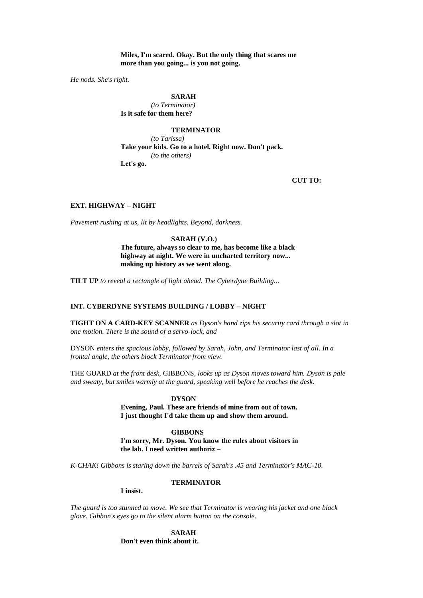**Miles, I'm scared. Okay. But the only thing that scares me more than you going... is you not going.**

*He nods. She's right.*

# **SARAH**

*(to Terminator)* **Is it safe for them here?**

# **TERMINATOR**

*(to Tarissa)* **Take your kids. Go to a hotel. Right now. Don't pack.** *(to the others)* **Let's go.**

**CUT TO:**

# **EXT. HIGHWAY – NIGHT**

*Pavement rushing at us, lit by headlights. Beyond, darkness.*

# **SARAH (V.O.)**

**The future, always so clear to me, has become like a black highway at night. We were in uncharted territory now... making up history as we went along.**

**TILT UP** *to reveal a rectangle of light ahead. The Cyberdyne Building...*

# **INT. CYBERDYNE SYSTEMS BUILDING / LOBBY – NIGHT**

**TIGHT ON A CARD-KEY SCANNER** *as Dyson's hand zips his security card through a slot in one motion. There is the sound of a servo-lock, and –*

DYSON *enters the spacious lobby, followed by Sarah, John, and Terminator last of all. In a frontal angle, the others block Terminator from view.*

THE GUARD *at the front desk,* GIBBONS*, looks up as Dyson moves toward him. Dyson is pale and sweaty, but smiles warmly at the guard, speaking well before he reaches the desk.*

**DYSON**

**Evening, Paul. These are friends of mine from out of town, I just thought I'd take them up and show them around.**

#### **GIBBONS**

**I'm sorry, Mr. Dyson. You know the rules about visitors in the lab. I need written authoriz –**

*K-CHAK! Gibbons is staring down the barrels of Sarah's .45 and Terminator's MAC-10.*

### **TERMINATOR**

**I insist.**

*The guard is too stunned to move. We see that Terminator is wearing his jacket and one black glove. Gibbon's eyes go to the silent alarm button on the console.*

> **SARAH Don't even think about it.**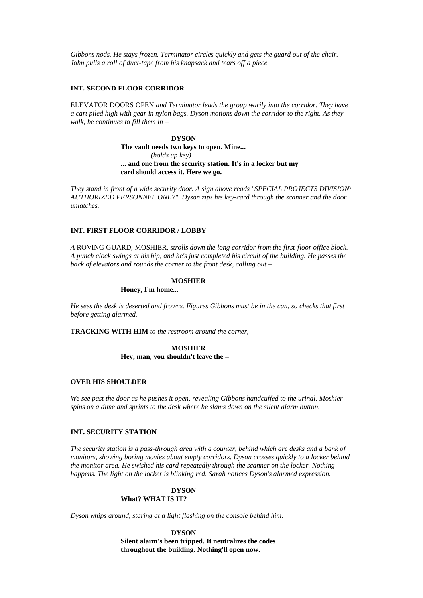*Gibbons nods. He stays frozen. Terminator circles quickly and gets the guard out of the chair. John pulls a roll of duct-tape from his knapsack and tears off a piece.*

# **INT. SECOND FLOOR CORRIDOR**

ELEVATOR DOORS OPEN *and Terminator leads the group warily into the corridor. They have a cart piled high with gear in nylon bags. Dyson motions down the corridor to the right. As they walk, he continues to fill them in –*

> **DYSON The vault needs two keys to open. Mine...** *(holds up key)* **... and one from the security station. It's in a locker but my card should access it. Here we go.**

*They stand in front of a wide security door. A sign above reads "SPECIAL PROJECTS DIVISION: AUTHORIZED PERSONNEL ONLY". Dyson zips his key-card through the scanner and the door unlatches.*

# **INT. FIRST FLOOR CORRIDOR / LOBBY**

*A* ROVING GUARD, MOSHIER*, strolls down the long corridor from the first-floor office block. A punch clock swings at his hip, and he's just completed his circuit of the building. He passes the back of elevators and rounds the corner to the front desk, calling out –*

### **MOSHIER**

# **Honey, I'm home...**

*He sees the desk is deserted and frowns. Figures Gibbons must be in the can, so checks that first before getting alarmed.*

**TRACKING WITH HIM** *to the restroom around the corner,*

**MOSHIER Hey, man, you shouldn't leave the –**

# **OVER HIS SHOULDER**

*We see past the door as he pushes it open, revealing Gibbons handcuffed to the urinal. Moshier spins on a dime and sprints to the desk where he slams down on the silent alarm button.*

### **INT. SECURITY STATION**

*The security station is a pass-through area with a counter, behind which are desks and a bank of monitors, showing boring movies about empty corridors. Dyson crosses quickly to a locker behind the monitor area. He swished his card repeatedly through the scanner on the locker. Nothing happens. The light on the locker is blinking red. Sarah notices Dyson's alarmed expression.*

#### **DYSON What? WHAT IS IT?**

*Dyson whips around, staring at a light flashing on the console behind him.*

**DYSON Silent alarm's been tripped. It neutralizes the codes throughout the building. Nothing'll open now.**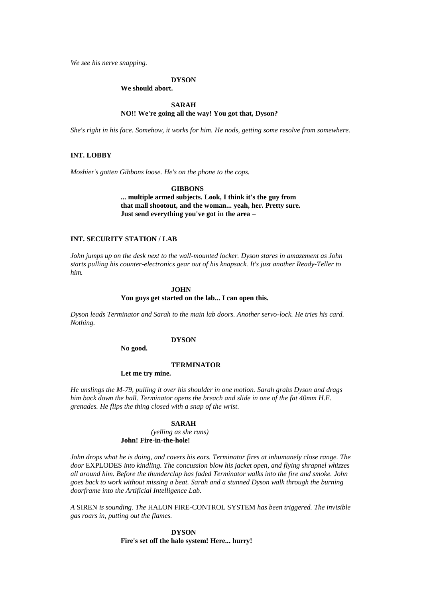*We see his nerve snapping.*

#### **DYSON**

**We should abort.**

### **SARAH**

# **NO!! We're going all the way! You got that, Dyson?**

*She's right in his face. Somehow, it works for him. He nods, getting some resolve from somewhere.*

### **INT. LOBBY**

*Moshier's gotten Gibbons loose. He's on the phone to the cops.*

# **GIBBONS**

**... multiple armed subjects. Look, I think it's the guy from that mall shootout, and the woman... yeah, her. Pretty sure. Just send everything you've got in the area –**

# **INT. SECURITY STATION / LAB**

*John jumps up on the desk next to the wall-mounted locker. Dyson stares in amazement as John starts pulling his counter-electronics gear out of his knapsack. It's just another Ready-Teller to him.*

# **JOHN You guys get started on the lab... I can open this.**

*Dyson leads Terminator and Sarah to the main lab doors. Another servo-lock. He tries his card. Nothing.*

### **DYSON**

**No good.**

#### **TERMINATOR**

**Let me try mine.**

*He unslings the M-79, pulling it over his shoulder in one motion. Sarah grabs Dyson and drags him back down the hall. Terminator opens the breach and slide in one of the fat 40mm H.E. grenades. He flips the thing closed with a snap of the wrist.*

#### **SARAH**

*(yelling as she runs)* **John! Fire-in-the-hole!**

*John drops what he is doing, and covers his ears. Terminator fires at inhumanely close range. The door* EXPLODES *into kindling. The concussion blow his jacket open, and flying shrapnel whizzes all around him. Before the thunderclap has faded Terminator walks into the fire and smoke. John goes back to work without missing a beat. Sarah and a stunned Dyson walk through the burning doorframe into the Artificial Intelligence Lab.*

*A* SIREN *is sounding. The* HALON FIRE-CONTROL SYSTEM *has been triggered. The invisible gas roars in, putting out the flames.*

# **DYSON Fire's set off the halo system! Here... hurry!**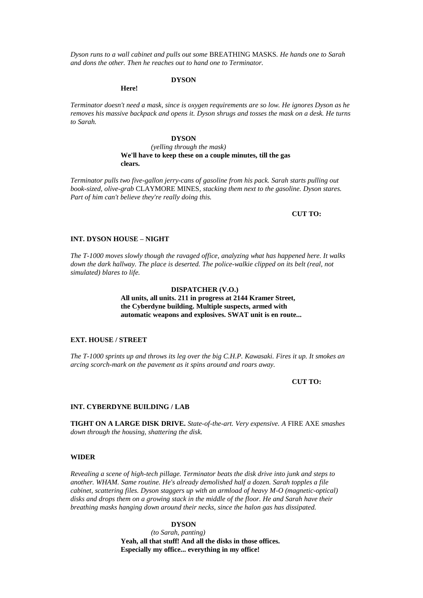*Dyson runs to a wall cabinet and pulls out some* BREATHING MASKS*. He hands one to Sarah and dons the other. Then he reaches out to hand one to Terminator.*

### **DYSON**

**Here!**

*Terminator doesn't need a mask, since is oxygen requirements are so low. He ignores Dyson as he removes his massive backpack and opens it. Dyson shrugs and tosses the mask on a desk. He turns to Sarah.*

> **DYSON** *(yelling through the mask)* **We'll have to keep these on a couple minutes, till the gas clears.**

*Terminator pulls two five-gallon jerry-cans of gasoline from his pack. Sarah starts pulling out book-sized, olive-grab* CLAYMORE MINES*, stacking them next to the gasoline. Dyson stares. Part of him can't believe they're really doing this.*

# **CUT TO:**

### **INT. DYSON HOUSE – NIGHT**

*The T-1000 moves slowly though the ravaged office, analyzing what has happened here. It walks*  down the dark hallway. The place is deserted. The police-walkie clipped on its belt (real, not *simulated) blares to life.*

# **DISPATCHER (V.O.) All units, all units. 211 in progress at 2144 Kramer Street, the Cyberdyne building. Multiple suspects, armed with automatic weapons and explosives. SWAT unit is en route...**

# **EXT. HOUSE / STREET**

*The T-1000 sprints up and throws its leg over the big C.H.P. Kawasaki. Fires it up. It smokes an arcing scorch-mark on the pavement as it spins around and roars away.*

**CUT TO:**

### **INT. CYBERDYNE BUILDING / LAB**

**TIGHT ON A LARGE DISK DRIVE.** *State-of-the-art. Very expensive. A* FIRE AXE *smashes down through the housing, shattering the disk.*

### **WIDER**

*Revealing a scene of high-tech pillage. Terminator beats the disk drive into junk and steps to another. WHAM. Same routine. He's already demolished half a dozen. Sarah topples a file cabinet, scattering files. Dyson staggers up with an armload of heavy M-O (magnetic-optical) disks and drops them on a growing stack in the middle of the floor. He and Sarah have their breathing masks hanging down around their necks, since the halon gas has dissipated.*

### **DYSON**

*(to Sarah, panting)* **Yeah, all that stuff! And all the disks in those offices. Especially my office... everything in my office!**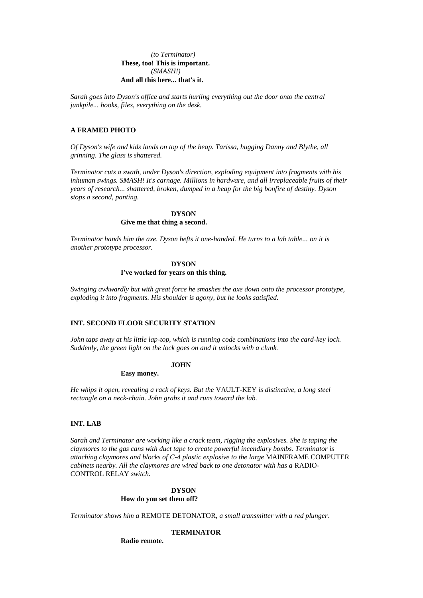## *(to Terminator)* **These, too! This is important.** *(SMASH!)* **And all this here... that's it.**

*Sarah goes into Dyson's office and starts hurling everything out the door onto the central junkpile... books, files, everything on the desk.*

## **A FRAMED PHOTO**

*Of Dyson's wife and kids lands on top of the heap. Tarissa, hugging Danny and Blythe, all grinning. The glass is shattered.*

*Terminator cuts a swath, under Dyson's direction, exploding equipment into fragments with his inhuman swings. SMASH! It's carnage. Millions in hardware, and all irreplaceable fruits of their years of research... shattered, broken, dumped in a heap for the big bonfire of destiny. Dyson stops a second, panting.*

## **DYSON Give me that thing a second.**

*Terminator hands him the axe. Dyson hefts it one-handed. He turns to a lab table... on it is another prototype processor.*

## **DYSON I've worked for years on this thing.**

*Swinging awkwardly but with great force he smashes the axe down onto the processor prototype, exploding it into fragments. His shoulder is agony, but he looks satisfied.*

## **INT. SECOND FLOOR SECURITY STATION**

*John taps away at his little lap-top, which is running code combinations into the card-key lock. Suddenly, the green light on the lock goes on and it unlocks with a clunk.*

## **JOHN**

**Easy money.**

*He whips it open, revealing a rack of keys. But the* VAULT-KEY *is distinctive, a long steel rectangle on a neck-chain. John grabs it and runs toward the lab.*

## **INT. LAB**

*Sarah and Terminator are working like a crack team, rigging the explosives. She is taping the claymores to the gas cans with duct tape to create powerful incendiary bombs. Terminator is attaching claymores and blocks of C-4 plastic explosive to the large* MAINFRAME COMPUTER *cabinets nearby. All the claymores are wired back to one detonator with has a* RADIO-CONTROL RELAY *switch.*

## **DYSON**

**How do you set them off?**

*Terminator shows him a* REMOTE DETONATOR*, a small transmitter with a red plunger.*

#### **TERMINATOR**

**Radio remote.**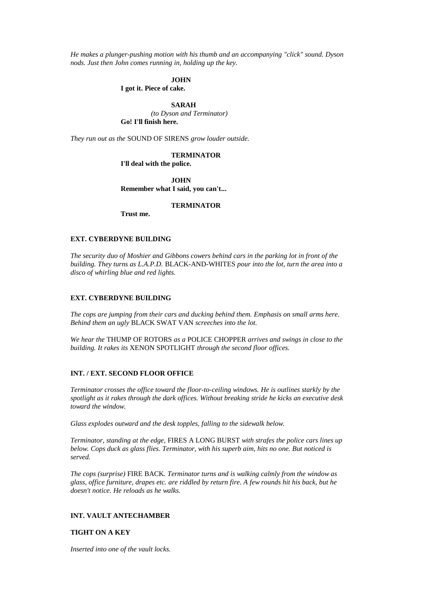*He makes a plunger-pushing motion with his thumb and an accompanying "click" sound. Dyson nods. Just then John comes running in, holding up the key.*

#### **JOHN**

**I got it. Piece of cake.**

## **SARAH**

*(to Dyson and Terminator)* **Go! I'll finish here.**

*They run out as the* SOUND OF SIRENS *grow louder outside.*

#### **TERMINATOR**

**I'll deal with the police.**

**JOHN Remember what I said, you can't...**

#### **TERMINATOR**

**Trust me.**

## **EXT. CYBERDYNE BUILDING**

*The security duo of Moshier and Gibbons cowers behind cars in the parking lot in front of the building. They turns as L.A.P.D.* BLACK-AND-WHITES *pour into the lot, turn the area into a disco of whirling blue and red lights.*

## **EXT. CYBERDYNE BUILDING**

*The cops are jumping from their cars and ducking behind them. Emphasis on small arms here. Behind them an ugly* BLACK SWAT VAN *screeches into the lot.*

*We hear the* THUMP OF ROTORS *as a* POLICE CHOPPER *arrives and swings in close to the building. It rakes its* XENON SPOTLIGHT *through the second floor offices.*

## **INT. / EXT. SECOND FLOOR OFFICE**

*Terminator crosses the office toward the floor-to-ceiling windows. He is outlines starkly by the spotlight as it rakes through the dark offices. Without breaking stride he kicks an executive desk toward the window.*

*Glass explodes outward and the desk topples, falling to the sidewalk below.*

*Terminator, standing at the edge,* FIRES A LONG BURST *with strafes the police cars lines up below. Cops duck as glass flies. Terminator, with his superb aim, hits no one. But noticed is served.*

*The cops (surprise)* FIRE BACK*. Terminator turns and is walking calmly from the window as glass, office furniture, drapes etc. are riddled by return fire. A few rounds hit his back, but he doesn't notice. He reloads as he walks.*

## **INT. VAULT ANTECHAMBER**

## **TIGHT ON A KEY**

*Inserted into one of the vault locks.*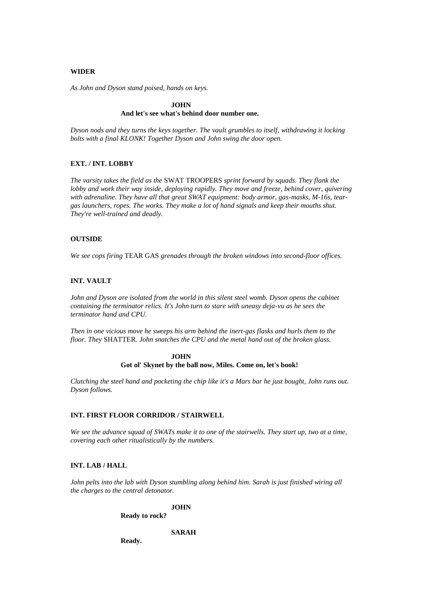#### **WIDER**

*As John and Dyson stand poised, hands on keys.*

## **JOHN And let's see what's behind door number one.**

*Dyson nods and they turns the keys together. The vault grumbles to itself, withdrawing it locking bolts with a final KLONK! Together Dyson and John swing the door open.*

## **EXT. / INT. LOBBY**

*The varsity takes the field as the* SWAT TROOPERS *sprint forward by squads. They flank the lobby and work their way inside, deploying rapidly. They move and freeze, behind cover, quivering with adrenaline. They have all that great SWAT equipment: body armor, gas-masks, M-16s, teargas launchers, ropes. The works. They make a lot of hand signals and keep their mouths shut. They're well-trained and deadly.*

#### **OUTSIDE**

*We see cops firing* TEAR GAS *grenades through the broken windows into second-floor offices.*

## **INT. VAULT**

*John and Dyson are isolated from the world in this silent steel womb. Dyson opens the cabinet containing the terminator relics. It's John turn to stare with uneasy deja-vu as he sees the terminator hand and CPU.*

*Then in one vicious move he sweeps his arm behind the inert-gas flasks and hurls them to the floor. They* SHATTER*. John snatches the CPU and the metal hand out of the broken glass.*

## **JOHN Got ol' Skynet by the ball now, Miles. Come on, let's book!**

*Clutching the steel hand and pocketing the chip like it's a Mars bar he just bought, John runs out. Dyson follows.*

## **INT. FIRST FLOOR CORRIDOR / STAIRWELL**

*We see the advance squad of SWATs make it to one of the stairwells. They start up, two at a time, covering each other ritualistically by the numbers.*

## **INT. LAB / HALL**

*John pelts into the lab with Dyson stumbling along behind him. Sarah is just finished wiring all the charges to the central detonator.*

#### **JOHN**

**Ready to rock?**

#### **SARAH**

**Ready.**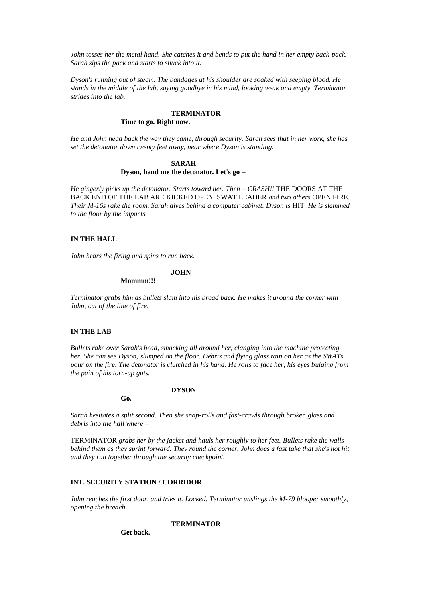*John tosses her the metal hand. She catches it and bends to put the hand in her empty back-pack. Sarah zips the pack and starts to shuck into it.*

*Dyson's running out of steam. The bandages at his shoulder are soaked with seeping blood. He stands in the middle of the lab, saying goodbye in his mind, looking weak and empty. Terminator strides into the lab.*

# **TERMINATOR**

**Time to go. Right now.**

*He and John head back the way they came, through security. Sarah sees that in her work, she has set the detonator down twenty feet away, near where Dyson is standing.*

## **SARAH Dyson, hand me the detonator. Let's go –**

*He gingerly picks up the detonator. Starts toward her. Then – CRASH!!* THE DOORS AT THE BACK END OF THE LAB ARE KICKED OPEN. SWAT LEADER *and two others* OPEN FIRE*. Their M-16s rake the room. Sarah dives behind a computer cabinet. Dyson is* HIT*. He is slammed to the floor by the impacts.*

## **IN THE HALL**

*John hears the firing and spins to run back.*

## **JOHN**

**Mommm!!!**

*Terminator grabs him as bullets slam into his broad back. He makes it around the corner with John, out of the line of fire.*

## **IN THE LAB**

*Bullets rake over Sarah's head, smacking all around her, clanging into the machine protecting her. She can see Dyson, slumped on the floor. Debris and flying glass rain on her as the SWATs pour on the fire. The detonator is clutched in his hand. He rolls to face her, his eyes bulging from the pain of his torn-up guts.*

## **DYSON**

*Sarah hesitates a split second. Then she snap-rolls and fast-crawls through broken glass and debris into the hall where –*

TERMINATOR *grabs her by the jacket and hauls her roughly to her feet. Bullets rake the walls behind them as they sprint forward. They round the corner. John does a fast take that she's not hit and they run together through the security checkpoint.*

## **INT. SECURITY STATION / CORRIDOR**

**Go.**

*John reaches the first door, and tries it. Locked. Terminator unslings the M-79 blooper smoothly, opening the breach.*

## **TERMINATOR**

**Get back.**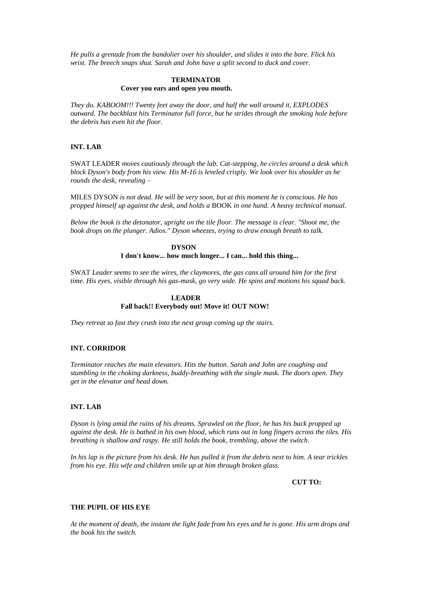*He pulls a grenade from the bandolier over his shoulder, and slides it into the bore. Flick his wrist. The breech snaps shut. Sarah and John have a split second to duck and cover.*

## **TERMINATOR**

#### **Cover you ears and open you mouth.**

*They do. KABOOM!!! Twenty feet away the door, and half the wall around it, EXPLODES outward. The backblast hits Terminator full force, but he strides through the smoking hole before the debris has even hit the floor.*

## **INT. LAB**

SWAT LEADER *moves cautiously through the lab. Cat-stepping, he circles around a desk which block Dyson's body from his view. His M-16 is leveled crisply. We look over his shoulder as he rounds the desk, revealing –*

MILES DYSON *is not dead. He will be very soon, but at this moment he is conscious. He has propped himself up against the desk, and holds a* BOOK *in one hand. A heavy technical manual.*

*Below the book is the detonator, upright on the tile floor. The message is clear. "Shoot me, the book drops on the plunger. Adios." Dyson wheezes, trying to draw enough breath to talk.*

#### **DYSON**

#### **I don't know... how much longer... I can... hold this thing...**

SWAT *Leader seems to see the wires, the claymores, the gas cans all around him for the first time. His eyes, visible through his gas-mask, go very wide. He spins and motions his squad back.*

## **LEADER Fall back!! Everybody out! Move it! OUT NOW!**

*They retreat so fast they crash into the next group coming up the stairs.*

## **INT. CORRIDOR**

*Terminator reaches the main elevators. Hits the button. Sarah and John are coughing and stumbling in the choking darkness, buddy-breathing with the single mask. The doors open. They get in the elevator and head down.*

#### **INT. LAB**

*Dyson is lying amid the ruins of his dreams. Sprawled on the floor, he has his back propped up against the desk. He is bathed in his own blood, which runs out in long fingers across the tiles. His breathing is shallow and raspy. He still holds the book, trembling, above the switch.*

*In his lap is the picture from his desk. He has pulled it from the debris next to him. A tear trickles from his eye. His wife and children smile up at him through broken glass.*

**CUT TO:**

#### **THE PUPIL OF HIS EYE**

*At the moment of death, the instant the light fade from his eyes and he is gone. His arm drops and the book his the switch.*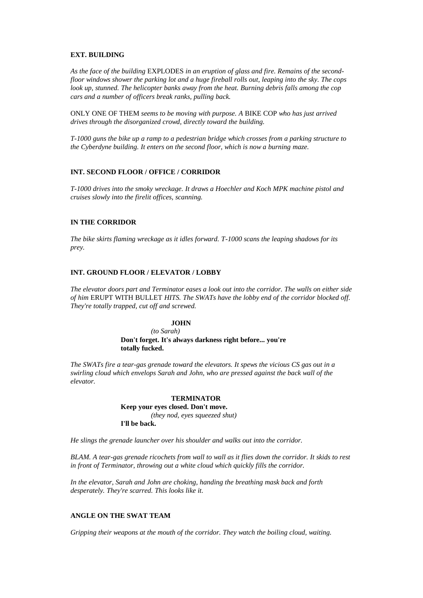#### **EXT. BUILDING**

*As the face of the building* EXPLODES *in an eruption of glass and fire. Remains of the secondfloor windows shower the parking lot and a huge fireball rolls out, leaping into the sky. The cops look up, stunned. The helicopter banks away from the heat. Burning debris falls among the cop cars and a number of officers break ranks, pulling back.*

ONLY ONE OF THEM *seems to be moving with purpose. A* BIKE COP *who has just arrived drives through the disorganized crowd, directly toward the building.*

*T-1000 guns the bike up a ramp to a pedestrian bridge which crosses from a parking structure to the Cyberdyne building. It enters on the second floor, which is now a burning maze.*

## **INT. SECOND FLOOR / OFFICE / CORRIDOR**

*T-1000 drives into the smoky wreckage. It draws a Hoechler and Koch MPK machine pistol and cruises slowly into the firelit offices, scanning.*

## **IN THE CORRIDOR**

*The bike skirts flaming wreckage as it idles forward. T-1000 scans the leaping shadows for its prey.*

## **INT. GROUND FLOOR / ELEVATOR / LOBBY**

*The elevator doors part and Terminator eases a look out into the corridor. The walls on either side of him* ERUPT WITH BULLET *HITS. The SWATs have the lobby end of the corridor blocked off. They're totally trapped, cut off and screwed.*

> **JOHN** *(to Sarah)* **Don't forget. It's always darkness right before... you're totally fucked.**

*The SWATs fire a tear-gas grenade toward the elevators. It spews the vicious CS gas out in a swirling cloud which envelops Sarah and John, who are pressed against the back wall of the elevator.*

> **TERMINATOR Keep your eyes closed. Don't move.** *(they nod, eyes squeezed shut)* **I'll be back.**

*He slings the grenade launcher over his shoulder and walks out into the corridor.*

*BLAM. A tear-gas grenade ricochets from wall to wall as it flies down the corridor. It skids to rest in front of Terminator, throwing out a white cloud which quickly fills the corridor.* 

*In the elevator, Sarah and John are choking, handing the breathing mask back and forth desperately. They're scarred. This looks like it.*

## **ANGLE ON THE SWAT TEAM**

*Gripping their weapons at the mouth of the corridor. They watch the boiling cloud, waiting.*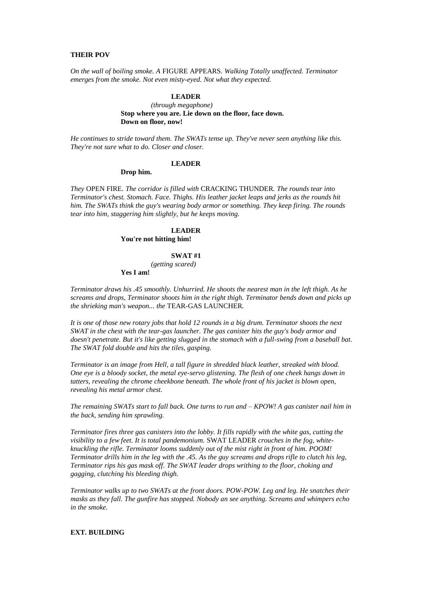#### **THEIR POV**

*On the wall of boiling smoke. A* FIGURE APPEARS*. Walking Totally unaffected. Terminator emerges from the smoke. Not even misty-eyed. Not what they expected.*

#### **LEADER**

*(through megaphone)* **Stop where you are. Lie down on the floor, face down. Down on floor, now!**

*He continues to stride toward them. The SWATs tense up. They've never seen anything like this. They're not sure what to do. Closer and closer.*

#### **LEADER**

#### **Drop him.**

*They* OPEN FIRE*. The corridor is filled with* CRACKING THUNDER*. The rounds tear into Terminator's chest. Stomach. Face. Thighs. His leather jacket leaps and jerks as the rounds hit him. The SWATs think the guy's wearing body armor or something. They keep firing. The rounds tear into him, staggering him slightly, but he keeps moving.*

#### **LEADER You're not hitting him!**

#### **SWAT #1**

*(getting scared)*

**Yes I am!**

*Terminator draws his .45 smoothly. Unhurried. He shoots the nearest man in the left thigh. As he screams and drops, Terminator shoots him in the right thigh. Terminator bends down and picks up the shrieking man's weapon... the* TEAR-GAS LAUNCHER*.*

*It is one of those new rotary jobs that hold 12 rounds in a big drum. Terminator shoots the next SWAT in the chest with the tear-gas launcher. The gas canister hits the guy's body armor and doesn't penetrate. But it's like getting slugged in the stomach with a full-swing from a baseball bat. The SWAT fold double and hits the tiles, gasping.*

*Terminator is an image from Hell, a tall figure in shredded black leather, streaked with blood. One eye is a bloody socket, the metal eye-servo glistening. The flesh of one cheek hangs down in tatters, revealing the chrome cheekbone beneath. The whole front of his jacket is blown open, revealing his metal armor chest.*

*The remaining SWATs start to fall back. One turns to run and – KPOW! A gas canister nail him in the back, sending him sprawling.*

*Terminator fires three gas canisters into the lobby. It fills rapidly with the white gas, cutting the visibility to a few feet. It is total pandemonium.* SWAT LEADER *crouches in the fog, whiteknuckling the rifle. Terminator looms suddenly out of the mist right in front of him. POOM! Terminator drills him in the leg with the .45. As the guy screams and drops rifle to clutch his leg, Terminator rips his gas mask off. The SWAT leader drops writhing to the floor, choking and gagging, clutching his bleeding thigh.*

*Terminator walks up to two SWATs at the front doors. POW-POW. Leg and leg. He snatches their masks as they fall. The gunfire has stopped. Nobody an see anything. Screams and whimpers echo in the smoke.*

## **EXT. BUILDING**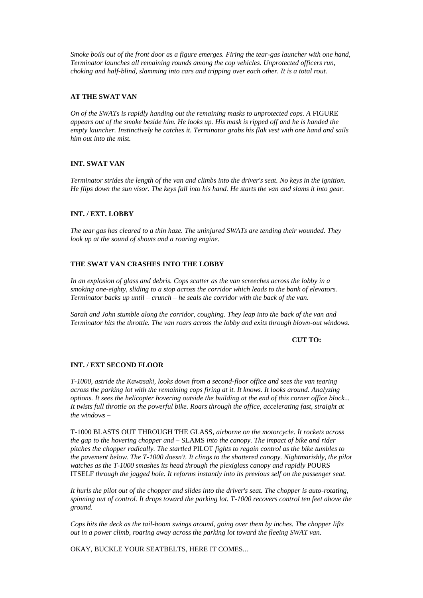*Smoke boils out of the front door as a figure emerges. Firing the tear-gas launcher with one hand, Terminator launches all remaining rounds among the cop vehicles. Unprotected officers run, choking and half-blind, slamming into cars and tripping over each other. It is a total rout.*

## **AT THE SWAT VAN**

*On of the SWATs is rapidly handing out the remaining masks to unprotected cops. A FIGURE appears out of the smoke beside him. He looks up. His mask is ripped off and he is handed the empty launcher. Instinctively he catches it. Terminator grabs his flak vest with one hand and sails him out into the mist.*

## **INT. SWAT VAN**

*Terminator strides the length of the van and climbs into the driver's seat. No keys in the ignition. He flips down the sun visor. The keys fall into his hand. He starts the van and slams it into gear.*

## **INT. / EXT. LOBBY**

*The tear gas has cleared to a thin haze. The uninjured SWATs are tending their wounded. They look up at the sound of shouts and a roaring engine.*

## **THE SWAT VAN CRASHES INTO THE LOBBY**

*In an explosion of glass and debris. Cops scatter as the van screeches across the lobby in a smoking one-eighty, sliding to a stop across the corridor which leads to the bank of elevators. Terminator backs up until – crunch – he seals the corridor with the back of the van.*

*Sarah and John stumble along the corridor, coughing. They leap into the back of the van and Terminator hits the throttle. The van roars across the lobby and exits through blown-out windows.*

#### **CUT TO:**

## **INT. / EXT SECOND FLOOR**

*T-1000, astride the Kawasaki, looks down from a second-floor office and sees the van tearing across the parking lot with the remaining cops firing at it. It knows. It looks around. Analyzing options. It sees the helicopter hovering outside the building at the end of this corner office block... It twists full throttle on the powerful bike. Roars through the office, accelerating fast, straight at the windows –*

T-1000 BLASTS OUT THROUGH THE GLASS*, airborne on the motorcycle. It rockets across the gap to the hovering chopper and –* SLAMS *into the canopy. The impact of bike and rider pitches the chopper radically. The startled* PILOT *fights to regain control as the bike tumbles to the pavement below. The T-1000 doesn't. It clings to the shattered canopy. Nightmarishly, the pilot*  watches as the T-1000 smashes its head through the plexiglass canopy and rapidly POURS ITSELF *through the jagged hole. It reforms instantly into its previous self on the passenger seat.*

*It hurls the pilot out of the chopper and slides into the driver's seat. The chopper is auto-rotating, spinning out of control. It drops toward the parking lot. T-1000 recovers control ten feet above the ground.*

*Cops hits the deck as the tail-boom swings around, going over them by inches. The chopper lifts out in a power climb, roaring away across the parking lot toward the fleeing SWAT van.*

OKAY, BUCKLE YOUR SEATBELTS, HERE IT COMES...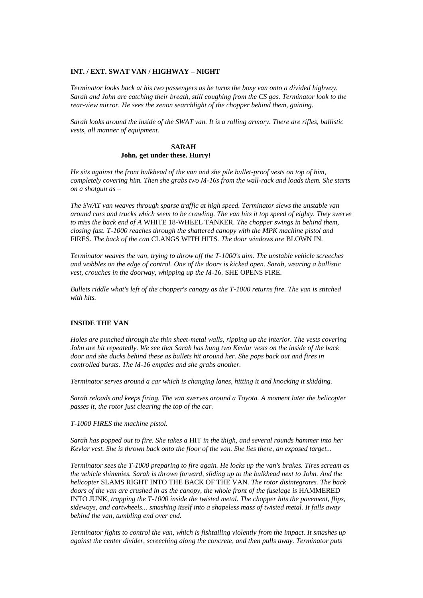#### **INT. / EXT. SWAT VAN / HIGHWAY – NIGHT**

*Terminator looks back at his two passengers as he turns the boxy van onto a divided highway. Sarah and John are catching their breath, still coughing from the CS gas. Terminator look to the rear-view mirror. He sees the xenon searchlight of the chopper behind them, gaining.*

*Sarah looks around the inside of the SWAT van. It is a rolling armory. There are rifles, ballistic vests, all manner of equipment.*

## **SARAH John, get under these. Hurry!**

*He sits against the front bulkhead of the van and she pile bullet-proof vests on top of him, completely covering him. Then she grabs two M-16s from the wall-rack and loads them. She starts on a shotgun as –*

*The SWAT van weaves through sparse traffic at high speed. Terminator slews the unstable van around cars and trucks which seem to be crawling. The van hits it top speed of eighty. They swerve to miss the back end of A* WHITE 18-WHEEL TANKER*. The chopper swings in behind them, closing fast. T-1000 reaches through the shattered canopy with the MPK machine pistol and*  FIRES*. The back of the can* CLANGS WITH HITS*. The door windows are* BLOWN IN*.*

*Terminator weaves the van, trying to throw off the T-1000's aim. The unstable vehicle screeches and wobbles on the edge of control. One of the doors is kicked open. Sarah, wearing a ballistic vest, crouches in the doorway, whipping up the M-16.* SHE OPENS FIRE*.*

*Bullets riddle what's left of the chopper's canopy as the T-1000 returns fire. The van is stitched with hits.*

## **INSIDE THE VAN**

*Holes are punched through the thin sheet-metal walls, ripping up the interior. The vests covering John are hit repeatedly. We see that Sarah has hung two Kevlar vests on the inside of the back door and she ducks behind these as bullets hit around her. She pops back out and fires in controlled bursts. The M-16 empties and she grabs another.*

*Terminator serves around a car which is changing lanes, hitting it and knocking it skidding.*

*Sarah reloads and keeps firing. The van swerves around a Toyota. A moment later the helicopter passes it, the rotor just clearing the top of the car.*

*T-1000 FIRES the machine pistol.* 

*Sarah has popped out to fire. She takes a* HIT *in the thigh, and several rounds hammer into her Kevlar vest. She is thrown back onto the floor of the van. She lies there, an exposed target...*

*Terminator sees the T-1000 preparing to fire again. He locks up the van's brakes. Tires scream as the vehicle shimmies. Sarah is thrown forward, sliding up to the bulkhead next to John. And the helicopter* SLAMS RIGHT INTO THE BACK OF THE VAN*. The rotor disintegrates. The back*  doors of the van are crushed in as the canopy, the whole front of the fuselage is HAMMERED INTO JUNK*, trapping the T-1000 inside the twisted metal. The chopper hits the pavement, flips, sideways, and cartwheels... smashing itself into a shapeless mass of twisted metal. It falls away behind the van, tumbling end over end.*

*Terminator fights to control the van, which is fishtailing violently from the impact. It smashes up against the center divider, screeching along the concrete, and then pulls away. Terminator puts*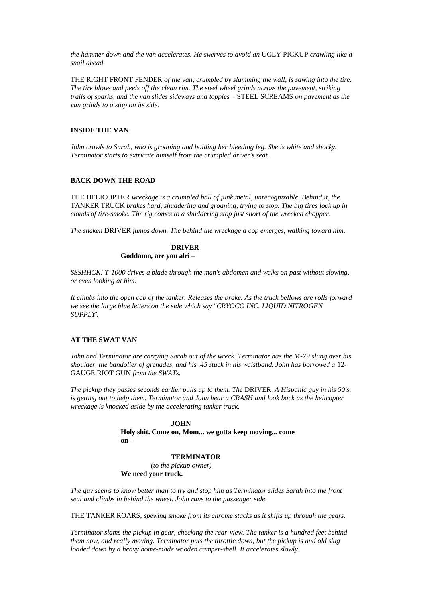*the hammer down and the van accelerates. He swerves to avoid an* UGLY PICKUP *crawling like a snail ahead.*

THE RIGHT FRONT FENDER *of the van, crumpled by slamming the wall, is sawing into the tire. The tire blows and peels off the clean rim. The steel wheel grinds across the pavement, striking trails of sparks, and the van slides sideways and topples –* STEEL SCREAMS *on pavement as the van grinds to a stop on its side.*

## **INSIDE THE VAN**

*John crawls to Sarah, who is groaning and holding her bleeding leg. She is white and shocky. Terminator starts to extricate himself from the crumpled driver's seat.*

## **BACK DOWN THE ROAD**

THE HELICOPTER *wreckage is a crumpled ball of junk metal, unrecognizable. Behind it, the*  TANKER TRUCK *brakes hard, shuddering and groaning, trying to stop. The big tires lock up in clouds of tire-smoke. The rig comes to a shuddering stop just short of the wrecked chopper.*

*The shaken* DRIVER *jumps down. The behind the wreckage a cop emerges, walking toward him.*

# **DRIVER**

## **Goddamn, are you alri –**

*SSSHHCK! T-1000 drives a blade through the man's abdomen and walks on past without slowing, or even looking at him.*

*It climbs into the open cab of the tanker. Releases the brake. As the truck bellows are rolls forward we see the large blue letters on the side which say "CRYOCO INC. LIQUID NITROGEN SUPPLY'.*

## **AT THE SWAT VAN**

*John and Terminator are carrying Sarah out of the wreck. Terminator has the M-79 slung over his shoulder, the bandolier of grenades, and his .45 stuck in his waistband. John has borrowed a* 12- GAUGE RIOT GUN *from the SWATs.*

*The pickup they passes seconds earlier pulls up to them. The* DRIVER*, A Hispanic guy in his 50's, is getting out to help them. Terminator and John hear a CRASH and look back as the helicopter wreckage is knocked aside by the accelerating tanker truck.*

#### **JOHN**

**Holy shit. Come on, Mom... we gotta keep moving... come on –**

#### **TERMINATOR**

*(to the pickup owner)* **We need your truck.**

*The guy seems to know better than to try and stop him as Terminator slides Sarah into the front seat and climbs in behind the wheel. John runs to the passenger side.*

THE TANKER ROARS*, spewing smoke from its chrome stacks as it shifts up through the gears.*

*Terminator slams the pickup in gear, checking the rear-view. The tanker is a hundred feet behind them now, and really moving. Terminator puts the throttle down, but the pickup is and old slug loaded down by a heavy home-made wooden camper-shell. It accelerates slowly.*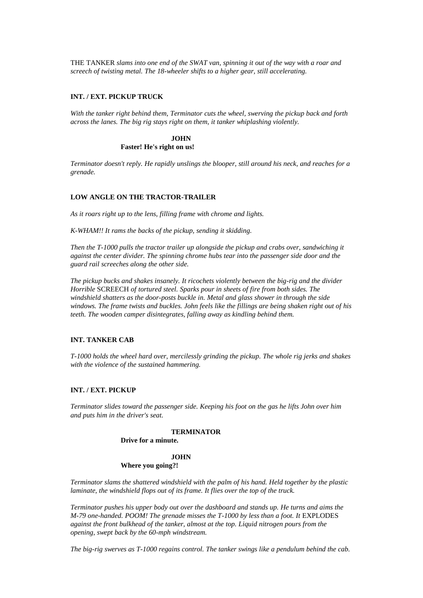THE TANKER *slams into one end of the SWAT van, spinning it out of the way with a roar and screech of twisting metal. The 18-wheeler shifts to a higher gear, still accelerating.*

#### **INT. / EXT. PICKUP TRUCK**

*With the tanker right behind them, Terminator cuts the wheel, swerving the pickup back and forth across the lanes. The big rig stays right on them, it tanker whiplashing violently.*

> **JOHN Faster! He's right on us!**

*Terminator doesn't reply. He rapidly unslings the blooper, still around his neck, and reaches for a grenade.*

## **LOW ANGLE ON THE TRACTOR-TRAILER**

*As it roars right up to the lens, filling frame with chrome and lights.*

*K-WHAM!! It rams the backs of the pickup, sending it skidding.*

*Then the T-1000 pulls the tractor trailer up alongside the pickup and crabs over, sandwiching it against the center divider. The spinning chrome hubs tear into the passenger side door and the guard rail screeches along the other side.*

*The pickup bucks and shakes insanely. It ricochets violently between the big-rig and the divider Horrible* SCREECH *of tortured steel. Sparks pour in sheets of fire from both sides. The windshield shatters as the door-posts buckle in. Metal and glass shower in through the side windows. The frame twists and buckles. John feels like the fillings are being shaken right out of his teeth. The wooden camper disintegrates, falling away as kindling behind them.*

## **INT. TANKER CAB**

*T-1000 holds the wheel hard over, mercilessly grinding the pickup. The whole rig jerks and shakes with the violence of the sustained hammering.*

#### **INT. / EXT. PICKUP**

*Terminator slides toward the passenger side. Keeping his foot on the gas he lifts John over him and puts him in the driver's seat.*

#### **TERMINATOR**

**Drive for a minute.**

#### **JOHN**

#### **Where you going?!**

*Terminator slams the shattered windshield with the palm of his hand. Held together by the plastic laminate, the windshield flops out of its frame. It flies over the top of the truck.*

*Terminator pushes his upper body out over the dashboard and stands up. He turns and aims the M-79 one-handed. POOM! The grenade misses the T-1000 by less than a foot. It EXPLODES against the front bulkhead of the tanker, almost at the top. Liquid nitrogen pours from the opening, swept back by the 60-mph windstream.*

*The big-rig swerves as T-1000 regains control. The tanker swings like a pendulum behind the cab.*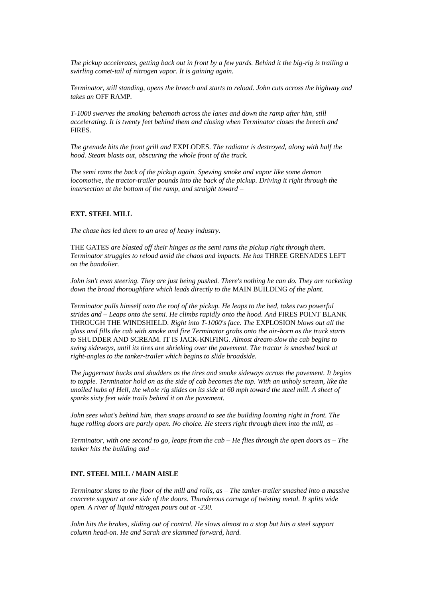*The pickup accelerates, getting back out in front by a few yards. Behind it the big-rig is trailing a swirling comet-tail of nitrogen vapor. It is gaining again.*

*Terminator, still standing, opens the breech and starts to reload. John cuts across the highway and takes an* OFF RAMP*.*

*T-1000 swerves the smoking behemoth across the lanes and down the ramp after him, still accelerating. It is twenty feet behind them and closing when Terminator closes the breech and*  FIRES*.*

*The grenade hits the front grill and* EXPLODES*. The radiator is destroyed, along with half the hood. Steam blasts out, obscuring the whole front of the truck.*

*The semi rams the back of the pickup again. Spewing smoke and vapor like some demon locomotive, the tractor-trailer pounds into the back of the pickup. Driving it right through the intersection at the bottom of the ramp, and straight toward –*

## **EXT. STEEL MILL**

*The chase has led them to an area of heavy industry.*

THE GATES *are blasted off their hinges as the semi rams the pickup right through them. Terminator struggles to reload amid the chaos and impacts. He has* THREE GRENADES LEFT *on the bandolier.*

*John isn't even steering. They are just being pushed. There's nothing he can do. They are rocketing down the broad thoroughfare which leads directly to the* MAIN BUILDING *of the plant.*

*Terminator pulls himself onto the roof of the pickup. He leaps to the bed, takes two powerful strides and – Leaps onto the semi. He climbs rapidly onto the hood. And* FIRES POINT BLANK THROUGH THE WINDSHIELD*. Right into T-1000's face. The* EXPLOSION *blows out all the glass and fills the cab with smoke and fire Terminator grabs onto the air-horn as the truck starts to* SHUDDER AND SCREAM*.* IT IS JACK-KNIFING*. Almost dream-slow the cab begins to swing sideways, until its tires are shrieking over the pavement. The tractor is smashed back at right-angles to the tanker-trailer which begins to slide broadside.*

*The juggernaut bucks and shudders as the tires and smoke sideways across the pavement. It begins to topple. Terminator hold on as the side of cab becomes the top. With an unholy scream, like the unoiled hubs of Hell, the whole rig slides on its side at 60 mph toward the steel mill. A sheet of sparks sixty feet wide trails behind it on the pavement.*

*John sees what's behind him, then snaps around to see the building looming right in front. The huge rolling doors are partly open. No choice. He steers right through them into the mill, as –*

*Terminator, with one second to go, leaps from the cab – He flies through the open doors as – The tanker hits the building and –*

## **INT. STEEL MILL / MAIN AISLE**

*Terminator slams to the floor of the mill and rolls, as – The tanker-trailer smashed into a massive concrete support at one side of the doors. Thunderous carnage of twisting metal. It splits wide open. A river of liquid nitrogen pours out at -230.*

*John hits the brakes, sliding out of control. He slows almost to a stop but hits a steel support column head-on. He and Sarah are slammed forward, hard.*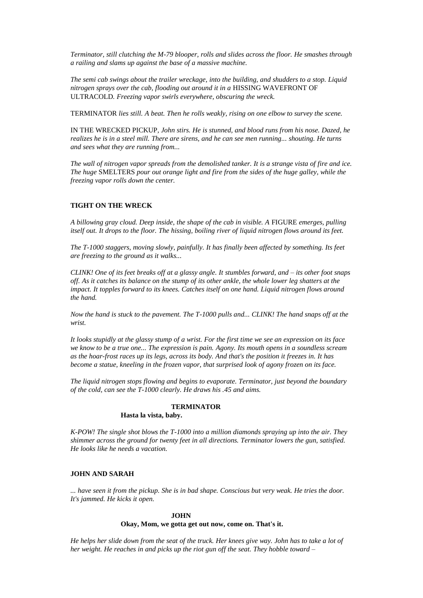*Terminator, still clutching the M-79 blooper, rolls and slides across the floor. He smashes through a railing and slams up against the base of a massive machine.*

*The semi cab swings about the trailer wreckage, into the building, and shudders to a stop. Liquid nitrogen sprays over the cab, flooding out around it in a* HISSING WAVEFRONT OF ULTRACOLD*. Freezing vapor swirls everywhere, obscuring the wreck.*

TERMINATOR *lies still. A beat. Then he rolls weakly, rising on one elbow to survey the scene.*

IN THE WRECKED PICKUP*, John stirs. He is stunned, and blood runs from his nose. Dazed, he realizes he is in a steel mill. There are sirens, and he can see men running... shouting. He turns and sees what they are running from...*

*The wall of nitrogen vapor spreads from the demolished tanker. It is a strange vista of fire and ice. The huge* SMELTERS *pour out orange light and fire from the sides of the huge galley, while the freezing vapor rolls down the center.*

## **TIGHT ON THE WRECK**

*A billowing gray cloud. Deep inside, the shape of the cab in visible. A* FIGURE *emerges, pulling itself out. It drops to the floor. The hissing, boiling river of liquid nitrogen flows around its feet.*

*The T-1000 staggers, moving slowly, painfully. It has finally been affected by something. Its feet are freezing to the ground as it walks...*

*CLINK! One of its feet breaks off at a glassy angle. It stumbles forward, and – its other foot snaps off. As it catches its balance on the stump of its other ankle, the whole lower leg shatters at the impact. It topples forward to its knees. Catches itself on one hand. Liquid nitrogen flows around the hand.*

*Now the hand is stuck to the pavement. The T-1000 pulls and... CLINK! The hand snaps off at the wrist.*

*It looks stupidly at the glassy stump of a wrist. For the first time we see an expression on its face we know to be a true one... The expression is pain. Agony. Its mouth opens in a soundless scream as the hoar-frost races up its legs, across its body. And that's the position it freezes in. It has become a statue, kneeling in the frozen vapor, that surprised look of agony frozen on its face.*

*The liquid nitrogen stops flowing and begins to evaporate. Terminator, just beyond the boundary of the cold, can see the T-1000 clearly. He draws his .45 and aims.*

#### **TERMINATOR**

## **Hasta la vista, baby.**

*K-POW! The single shot blows the T-1000 into a million diamonds spraying up into the air. They shimmer across the ground for twenty feet in all directions. Terminator lowers the gun, satisfied. He looks like he needs a vacation.*

## **JOHN AND SARAH**

*... have seen it from the pickup. She is in bad shape. Conscious but very weak. He tries the door. It's jammed. He kicks it open.*

#### **JOHN**

#### **Okay, Mom, we gotta get out now, come on. That's it.**

*He helps her slide down from the seat of the truck. Her knees give way. John has to take a lot of her weight. He reaches in and picks up the riot gun off the seat. They hobble toward –*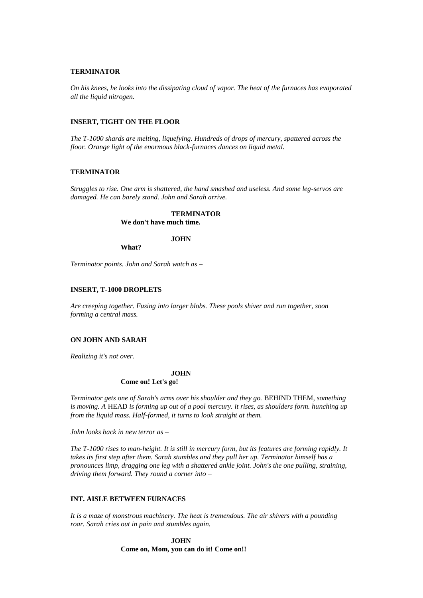#### **TERMINATOR**

*On his knees, he looks into the dissipating cloud of vapor. The heat of the furnaces has evaporated all the liquid nitrogen.*

#### **INSERT, TIGHT ON THE FLOOR**

*The T-1000 shards are melting, liquefying. Hundreds of drops of mercury, spattered across the floor. Orange light of the enormous black-furnaces dances on liquid metal.*

#### **TERMINATOR**

*Struggles to rise. One arm is shattered, the hand smashed and useless. And some leg-servos are damaged. He can barely stand. John and Sarah arrive.*

## **TERMINATOR We don't have much time.**

## **JOHN**

**What?**

*Terminator points. John and Sarah watch as –*

#### **INSERT, T-1000 DROPLETS**

*Are creeping together. Fusing into larger blobs. These pools shiver and run together, soon forming a central mass.*

## **ON JOHN AND SARAH**

*Realizing it's not over.*

#### **JOHN**

## **Come on! Let's go!**

*Terminator gets one of Sarah's arms over his shoulder and they go.* BEHIND THEM*, something is moving. A* HEAD *is forming up out of a pool mercury. it rises, as shoulders form. hunching up from the liquid mass. Half-formed, it turns to look straight at them.*

*John looks back in new terror as –*

*The T-1000 rises to man-height. It is still in mercury form, but its features are forming rapidly. It takes its first step after them. Sarah stumbles and they pull her up. Terminator himself has a pronounces limp, dragging one leg with a shattered ankle joint. John's the one pulling, straining, driving them forward. They round a corner into –*

## **INT. AISLE BETWEEN FURNACES**

*It is a maze of monstrous machinery. The heat is tremendous. The air shivers with a pounding roar. Sarah cries out in pain and stumbles again.*

> **JOHN Come on, Mom, you can do it! Come on!!**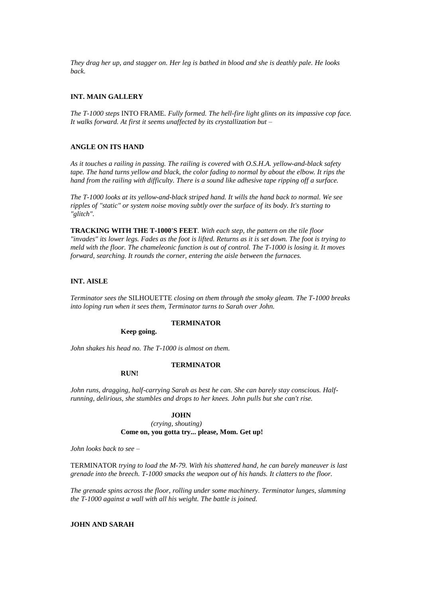*They drag her up, and stagger on. Her leg is bathed in blood and she is deathly pale. He looks back.*

#### **INT. MAIN GALLERY**

*The T-1000 steps* INTO FRAME*. Fully formed. The hell-fire light glints on its impassive cop face. It walks forward. At first it seems unaffected by its crystallization but –*

## **ANGLE ON ITS HAND**

*As it touches a railing in passing. The railing is covered with O.S.H.A. yellow-and-black safety tape. The hand turns yellow and black, the color fading to normal by about the elbow. It rips the hand from the railing with difficulty. There is a sound like adhesive tape ripping off a surface.*

*The T-1000 looks at its yellow-and-black striped hand. It wills the hand back to normal. We see ripples of "static" or system noise moving subtly over the surface of its body. It's starting to "glitch".*

**TRACKING WITH THE T-1000'S FEET***. With each step, the pattern on the tile floor "invades" its lower legs. Fades as the foot is lifted. Returns as it is set down. The foot is trying to meld with the floor. The chameleonic function is out of control. The T-1000 is losing it. It moves forward, searching. It rounds the corner, entering the aisle between the furnaces.*

## **INT. AISLE**

*Terminator sees the* SILHOUETTE *closing on them through the smoky gleam. The T-1000 breaks into loping run when it sees them, Terminator turns to Sarah over John.*

## **TERMINATOR**

#### **Keep going.**

*John shakes his head no. The T-1000 is almost on them.*

#### **TERMINATOR**

**RUN!**

*John runs, dragging, half-carrying Sarah as best he can. She can barely stay conscious. Halfrunning, delirious, she stumbles and drops to her knees. John pulls but she can't rise.*

## **JOHN**

*(crying, shouting)* **Come on, you gotta try... please, Mom. Get up!**

*John looks back to see –*

TERMINATOR *trying to load the M-79. With his shattered hand, he can barely maneuver is last grenade into the breech. T-1000 smacks the weapon out of his hands. It clatters to the floor.*

*The grenade spins across the floor, rolling under some machinery. Terminator lunges, slamming the T-1000 against a wall with all his weight. The battle is joined.*

## **JOHN AND SARAH**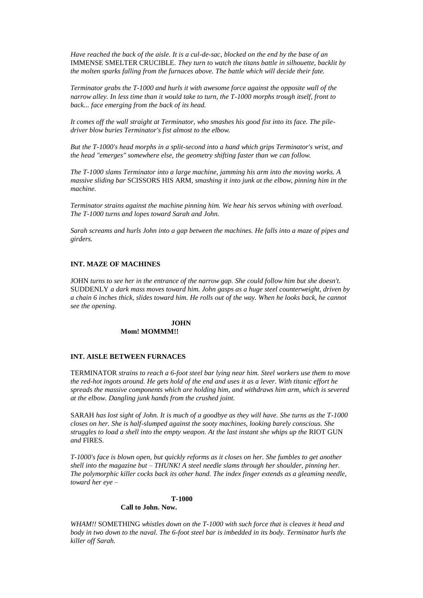*Have reached the back of the aisle. It is a cul-de-sac, blocked on the end by the base of an*  IMMENSE SMELTER CRUCIBLE*. They turn to watch the titans battle in silhouette, backlit by the molten sparks falling from the furnaces above. The battle which will decide their fate.*

*Terminator grabs the T-1000 and hurls it with awesome force against the opposite wall of the narrow alley. In less time than it would take to turn, the T-1000 morphs trough itself, front to back... face emerging from the back of its head.*

*It comes off the wall straight at Terminator, who smashes his good fist into its face. The piledriver blow buries Terminator's fist almost to the elbow.*

*But the T-1000's head morphs in a split-second into a hand which grips Terminator's wrist, and the head "emerges" somewhere else, the geometry shifting faster than we can follow.*

*The T-1000 slams Terminator into a large machine, jamming his arm into the moving works. A massive sliding bar* SCISSORS HIS ARM*, smashing it into junk at the elbow, pinning him in the machine.*

*Terminator strains against the machine pinning him. We hear his servos whining with overload. The T-1000 turns and lopes toward Sarah and John.*

*Sarah screams and hurls John into a gap between the machines. He falls into a maze of pipes and girders.*

## **INT. MAZE OF MACHINES**

JOHN *turns to see her in the entrance of the narrow gap. She could follow him but she doesn't.*  SUDDENLY *a dark mass moves toward him. John gasps as a huge steel counterweight, driven by a chain 6 inches thick, slides toward him. He rolls out of the way. When he looks back, he cannot see the opening.*

## **JOHN Mom! MOMMM!!**

#### **INT. AISLE BETWEEN FURNACES**

TERMINATOR *strains to reach a 6-foot steel bar lying near him. Steel workers use them to move the red-hot ingots around. He gets hold of the end and uses it as a lever. With titanic effort he spreads the massive components which are holding him, and withdraws him arm, which is severed at the elbow. Dangling junk hands from the crushed joint.*

SARAH *has lost sight of John. It is much of a goodbye as they will have. She turns as the T-1000 closes on her. She is half-slumped against the sooty machines, looking barely conscious. She struggles to load a shell into the empty weapon. At the last instant she whips up the* RIOT GUN *and* FIRES*.*

*T-1000's face is blown open, but quickly reforms as it closes on her. She fumbles to get another shell into the magazine but – THUNK! A steel needle slams through her shoulder, pinning her. The polymorphic killer cocks back its other hand. The index finger extends as a gleaming needle, toward her eye –*

#### **T-1000 Call to John. Now.**

*WHAM!!* SOMETHING *whistles down on the T-1000 with such force that is cleaves it head and body in two down to the naval. The 6-foot steel bar is imbedded in its body. Terminator hurls the killer off Sarah.*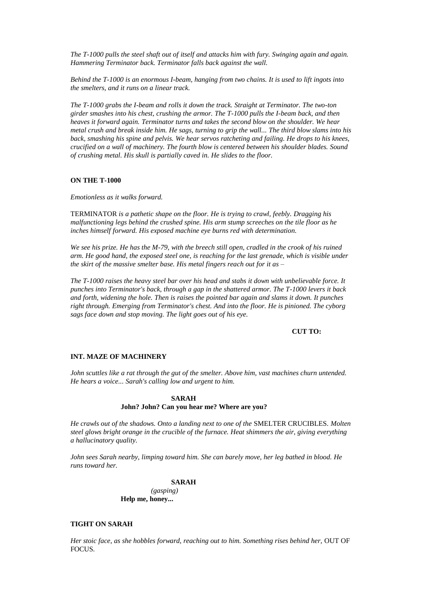*The T-1000 pulls the steel shaft out of itself and attacks him with fury. Swinging again and again. Hammering Terminator back. Terminator falls back against the wall.*

*Behind the T-1000 is an enormous I-beam, hanging from two chains. It is used to lift ingots into the smelters, and it runs on a linear track.*

*The T-1000 grabs the I-beam and rolls it down the track. Straight at Terminator. The two-ton girder smashes into his chest, crushing the armor. The T-1000 pulls the I-beam back, and then heaves it forward again. Terminator turns and takes the second blow on the shoulder. We hear metal crush and break inside him. He sags, turning to grip the wall... The third blow slams into his back, smashing his spine and pelvis. We hear servos ratcheting and failing. He drops to his knees, crucified on a wall of machinery. The fourth blow is centered between his shoulder blades. Sound of crushing metal. His skull is partially caved in. He slides to the floor.*

#### **ON THE T-1000**

*Emotionless as it walks forward.*

TERMINATOR *is a pathetic shape on the floor. He is trying to crawl, feebly. Dragging his malfunctioning legs behind the crushed spine. His arm stump screeches on the tile floor as he inches himself forward. His exposed machine eye burns red with determination.*

*We see his prize. He has the M-79, with the breech still open, cradled in the crook of his ruined arm. He good hand, the exposed steel one, is reaching for the last grenade, which is visible under the skirt of the massive smelter base. His metal fingers reach out for it as –*

*The T-1000 raises the heavy steel bar over his head and stabs it down with unbelievable force. It punches into Terminator's back, through a gap in the shattered armor. The T-1000 levers it back and forth, widening the hole. Then is raises the pointed bar again and slams it down. It punches right through. Emerging from Terminator's chest. And into the floor. He is pinioned. The cyborg sags face down and stop moving. The light goes out of his eye.*

#### **CUT TO:**

#### **INT. MAZE OF MACHINERY**

*John scuttles like a rat through the gut of the smelter. Above him, vast machines churn untended. He hears a voice... Sarah's calling low and urgent to him.*

#### **SARAH John? John? Can you hear me? Where are you?**

*He crawls out of the shadows. Onto a landing next to one of the* SMELTER CRUCIBLES*. Molten steel glows bright orange in the crucible of the furnace. Heat shimmers the air, giving everything a hallucinatory quality.*

*John sees Sarah nearby, limping toward him. She can barely move, her leg bathed in blood. He runs toward her.*

#### **SARAH**

*(gasping)* **Help me, honey...**

#### **TIGHT ON SARAH**

*Her stoic face, as she hobbles forward, reaching out to him. Something rises behind her,* OUT OF FOCUS*.*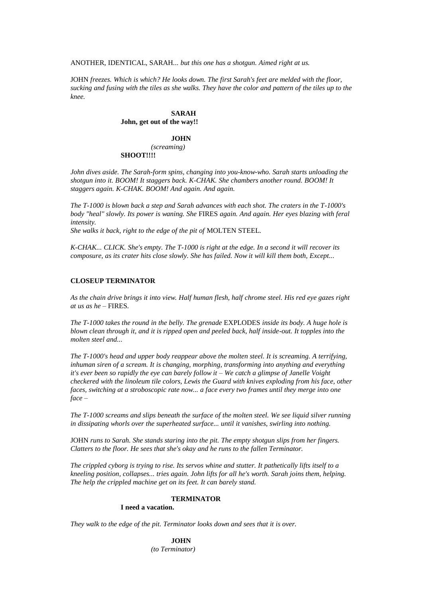ANOTHER, IDENTICAL, SARAH*... but this one has a shotgun. Aimed right at us.*

JOHN *freezes. Which is which? He looks down. The first Sarah's feet are melded with the floor, sucking and fusing with the tiles as she walks. They have the color and pattern of the tiles up to the knee.*

> **SARAH John, get out of the way!!**

#### **JOHN**

## *(screaming)* **SHOOT!!!!**

*John dives aside. The Sarah-form spins, changing into you-know-who. Sarah starts unloading the shotgun into it. BOOM! It staggers back. K-CHAK. She chambers another round. BOOM! It staggers again. K-CHAK. BOOM! And again. And again.*

*The T-1000 is blown back a step and Sarah advances with each shot. The craters in the T-1000's body "heal" slowly. Its power is waning. She* FIRES *again. And again. Her eyes blazing with feral intensity.*

*She walks it back, right to the edge of the pit of* MOLTEN STEEL*.*

*K-CHAK... CLICK. She's empty. The T-1000 is right at the edge. In a second it will recover its composure, as its crater hits close slowly. She has failed. Now it will kill them both, Except...*

## **CLOSEUP TERMINATOR**

*As the chain drive brings it into view. Half human flesh, half chrome steel. His red eye gazes right at us as he –* FIRES*.*

*The T-1000 takes the round in the belly. The grenade* EXPLODES *inside its body. A huge hole is blown clean through it, and it is ripped open and peeled back, half inside-out. It topples into the molten steel and...*

*The T-1000's head and upper body reappear above the molten steel. It is screaming. A terrifying, inhuman siren of a scream. It is changing, morphing, transforming into anything and everything it's ever been so rapidly the eye can barely follow it – We catch a glimpse of Janelle Voight checkered with the linoleum tile colors, Lewis the Guard with knives exploding from his face, other faces, switching at a stroboscopic rate now... a face every two frames until they merge into one face –*

*The T-1000 screams and slips beneath the surface of the molten steel. We see liquid silver running in dissipating whorls over the superheated surface... until it vanishes, swirling into nothing.*

JOHN *runs to Sarah. She stands staring into the pit. The empty shotgun slips from her fingers. Clatters to the floor. He sees that she's okay and he runs to the fallen Terminator.*

*The crippled cyborg is trying to rise. Its servos whine and stutter. It pathetically lifts itself to a kneeling position, collapses... tries again. John lifts for all he's worth. Sarah joins them, helping. The help the crippled machine get on its feet. It can barely stand.*

## **TERMINATOR**

## **I need a vacation.**

*They walk to the edge of the pit. Terminator looks down and sees that it is over.*

**JOHN** *(to Terminator)*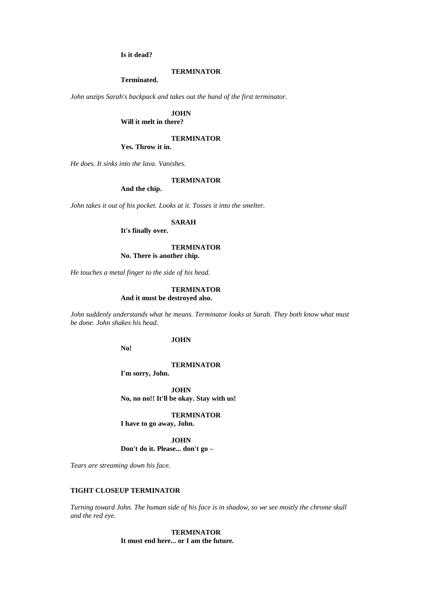**Is it dead?**

#### **TERMINATOR**

**Terminated.**

*John unzips Sarah's backpack and takes out the hand of the first terminator.*

#### **JOHN Will it melt in there?**

# **TERMINATOR**

**Yes. Throw it in.**

*He does. It sinks into the lava. Vanishes.*

#### **TERMINATOR**

**And the chip.**

*John takes it out of his pocket. Looks at it. Tosses it into the smelter.*

## **SARAH**

**It's finally over.**

## **TERMINATOR**

**No. There is another chip.**

*He touches a metal finger to the side of his head.*

# **TERMINATOR**

**And it must be destroyed also.**

*John suddenly understands what he means. Terminator looks at Sarah. They both know what must be done. John shakes his head.*

#### **JOHN**

**No!**

#### **TERMINATOR**

**I'm sorry, John.**

**JOHN No, no no!! It'll be okay. Stay with us!**

**TERMINATOR**

**I have to go away, John.**

**JOHN Don't do it. Please... don't go –**

*Tears are streaming down his face.*

#### **TIGHT CLOSEUP TERMINATOR**

*Turning toward John. The human side of his face is in shadow, so we see mostly the chrome skull and the red eye.*

> **TERMINATOR It must end here... or I am the future.**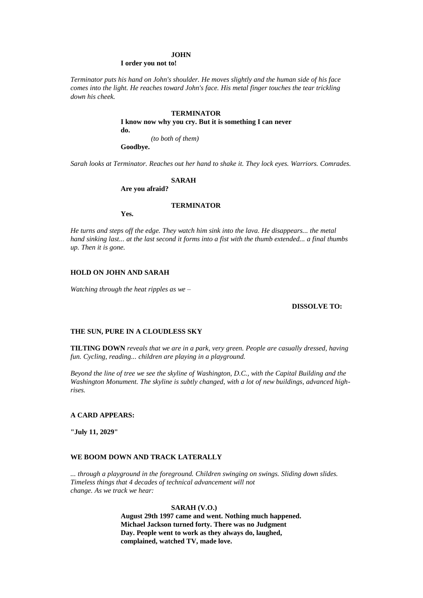## **JOHN**

#### **I order you not to!**

*Terminator puts his hand on John's shoulder. He moves slightly and the human side of his face comes into the light. He reaches toward John's face. His metal finger touches the tear trickling down his cheek.*

#### **TERMINATOR**

## **I know now why you cry. But it is something I can never**

**do.**

*(to both of them)*

**Goodbye.**

*Sarah looks at Terminator. Reaches out her hand to shake it. They lock eyes. Warriors. Comrades.*

## **SARAH**

**Are you afraid?**

#### **TERMINATOR**

**Yes.**

*He turns and steps off the edge. They watch him sink into the lava. He disappears... the metal hand sinking last... at the last second it forms into a fist with the thumb extended... a final thumbs up. Then it is gone.*

#### **HOLD ON JOHN AND SARAH**

*Watching through the heat ripples as we –*

#### **DISSOLVE TO:**

#### **THE SUN, PURE IN A CLOUDLESS SKY**

**TILTING DOWN** *reveals that we are in a park, very green. People are casually dressed, having fun. Cycling, reading... children are playing in a playground.*

*Beyond the line of tree we see the skyline of Washington, D.C., with the Capital Building and the Washington Monument. The skyline is subtly changed, with a lot of new buildings, advanced highrises.*

## **A CARD APPEARS:**

**"July 11, 2029"**

#### **WE BOOM DOWN AND TRACK LATERALLY**

*... through a playground in the foreground. Children swinging on swings. Sliding down slides. Timeless things that 4 decades of technical advancement will not change. As we track we hear:*

#### **SARAH (V.O.)**

**August 29th 1997 came and went. Nothing much happened. Michael Jackson turned forty. There was no Judgment Day. People went to work as they always do, laughed, complained, watched TV, made love.**